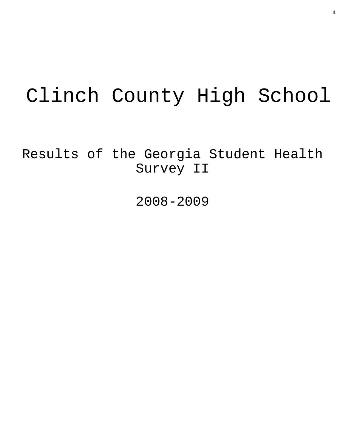# Clinch County High School

Results of the Georgia Student Health Survey II

2008-2009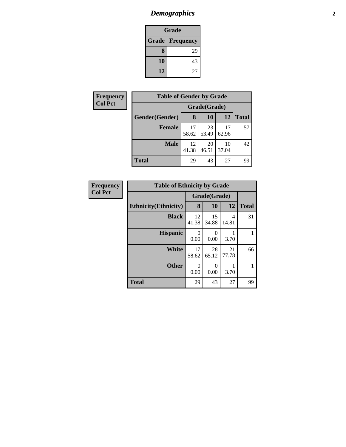# *Demographics* **2**

| Grade |                          |  |  |  |
|-------|--------------------------|--|--|--|
|       | <b>Grade   Frequency</b> |  |  |  |
| 8     | 29                       |  |  |  |
| 10    | 43                       |  |  |  |
| 12    | 27                       |  |  |  |

| Frequency      | <b>Table of Gender by Grade</b> |              |             |             |              |  |  |
|----------------|---------------------------------|--------------|-------------|-------------|--------------|--|--|
| <b>Col Pct</b> |                                 | Grade(Grade) |             |             |              |  |  |
|                | Gender(Gender)                  | 8            | <b>10</b>   | 12          | <b>Total</b> |  |  |
|                | <b>Female</b>                   | 17<br>58.62  | 23<br>53.49 | 17<br>62.96 | 57           |  |  |
|                | <b>Male</b>                     | 12<br>41.38  | 20<br>46.51 | 10<br>37.04 | 42           |  |  |
|                | <b>Total</b>                    | 29           | 43          | 27          | 99           |  |  |

| <b>Frequency</b> |                              | <b>Table of Ethnicity by Grade</b> |                  |             |              |
|------------------|------------------------------|------------------------------------|------------------|-------------|--------------|
| <b>Col Pct</b>   |                              | Grade(Grade)                       |                  |             |              |
|                  | <b>Ethnicity</b> (Ethnicity) | 8                                  | 10               | 12          | <b>Total</b> |
|                  | <b>Black</b>                 | 12<br>41.38                        | 15<br>34.88      | 4<br>14.81  | 31           |
|                  | <b>Hispanic</b>              | $\Omega$<br>0.00                   | $\Omega$<br>0.00 | 3.70        |              |
|                  | <b>White</b>                 | 17<br>58.62                        | 28<br>65.12      | 21<br>77.78 | 66           |
|                  | <b>Other</b>                 | $\theta$<br>0.00                   | 0<br>0.00        | 3.70        |              |
|                  | <b>Total</b>                 | 29                                 | 43               | 27          | 99           |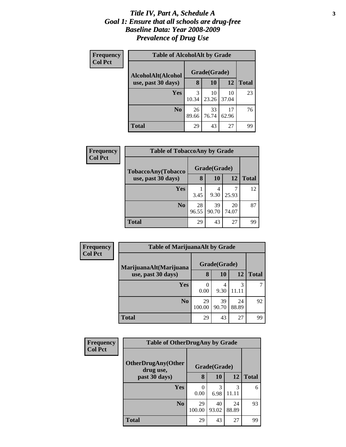### *Title IV, Part A, Schedule A* **3** *Goal 1: Ensure that all schools are drug-free Baseline Data: Year 2008-2009 Prevalence of Drug Use*

| Frequency<br><b>Col Pct</b> | <b>Table of AlcoholAlt by Grade</b> |              |             |             |              |  |
|-----------------------------|-------------------------------------|--------------|-------------|-------------|--------------|--|
|                             | AlcoholAlt(Alcohol                  | Grade(Grade) |             |             |              |  |
|                             | use, past 30 days)                  | 8            | 10          | 12          | <b>Total</b> |  |
|                             | Yes                                 | 3<br>10.34   | 10<br>23.26 | 10<br>37.04 | 23           |  |
|                             | N <sub>0</sub>                      | 26<br>89.66  | 33<br>76.74 | 17<br>62.96 | 76           |  |
|                             | Total                               | 29           | 43          | 27          | 99           |  |

| Frequency      | <b>Table of TobaccoAny by Grade</b> |             |              |             |              |
|----------------|-------------------------------------|-------------|--------------|-------------|--------------|
| <b>Col Pct</b> | TobaccoAny(Tobacco                  |             | Grade(Grade) |             |              |
|                | use, past 30 days)                  | 8           | 10           | 12          | <b>Total</b> |
|                | <b>Yes</b>                          | 3.45        | 4<br>9.30    | 25.93       | 12           |
|                | N <sub>0</sub>                      | 28<br>96.55 | 39<br>90.70  | 20<br>74.07 | 87           |
|                | <b>Total</b>                        | 29          | 43           | 27          | 99           |

| Frequency      | <b>Table of MarijuanaAlt by Grade</b> |              |             |             |              |
|----------------|---------------------------------------|--------------|-------------|-------------|--------------|
| <b>Col Pct</b> | MarijuanaAlt(Marijuana                | Grade(Grade) |             |             |              |
|                | use, past 30 days)                    | 8            | 10          | <b>12</b>   | <b>Total</b> |
|                | Yes                                   | 0.00         | 4<br>9.30   | 3<br>11.11  |              |
|                | N <sub>0</sub>                        | 29<br>100.00 | 39<br>90.70 | 24<br>88.89 | 92           |
|                | Total                                 | 29           | 43          | 27          | 99           |

| Frequency<br><b>Col Pct</b> | <b>Table of OtherDrugAny by Grade</b>  |              |              |             |              |
|-----------------------------|----------------------------------------|--------------|--------------|-------------|--------------|
|                             | <b>OtherDrugAny(Other</b><br>drug use, |              | Grade(Grade) |             |              |
|                             | past 30 days)                          | 8            | 10           | 12          | <b>Total</b> |
|                             | <b>Yes</b>                             | 0.00         | 3<br>6.98    | 3<br>11 11  | 6            |
|                             | N <sub>0</sub>                         | 29<br>100.00 | 40<br>93.02  | 24<br>88.89 | 93           |
|                             | <b>Total</b>                           | 29           | 43           | 27          | 99           |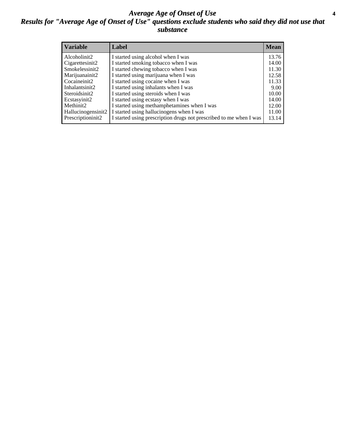### *Average Age of Onset of Use* **4** *Results for "Average Age of Onset of Use" questions exclude students who said they did not use that substance*

| <b>Variable</b>    | Label                                                              | <b>Mean</b> |
|--------------------|--------------------------------------------------------------------|-------------|
| Alcoholinit2       | I started using alcohol when I was                                 | 13.76       |
| Cigarettesinit2    | I started smoking tobacco when I was                               | 14.00       |
| Smokelessinit2     | I started chewing tobacco when I was                               | 11.30       |
| Marijuanainit2     | I started using marijuana when I was                               | 12.58       |
| Cocaineinit2       | I started using cocaine when I was                                 | 11.33       |
| Inhalantsinit2     | I started using inhalants when I was                               | 9.00        |
| Steroidsinit2      | I started using steroids when I was                                | 10.00       |
| Ecstasyinit2       | I started using ecstasy when I was                                 | 14.00       |
| Methinit2          | I started using methamphetamines when I was                        | 12.00       |
| Hallucinogensinit2 | I started using hallucinogens when I was                           | 11.00       |
| Prescriptioninit2  | I started using prescription drugs not prescribed to me when I was | 13.14       |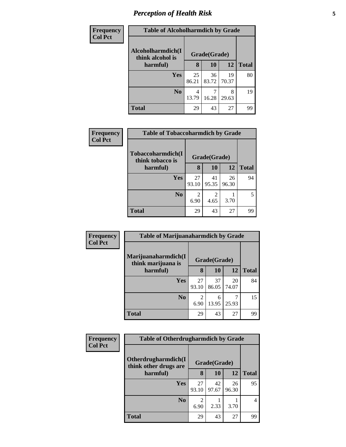# *Perception of Health Risk* **5**

| <b>Frequency</b> | <b>Table of Alcoholharmdich by Grade</b> |              |             |             |              |
|------------------|------------------------------------------|--------------|-------------|-------------|--------------|
| <b>Col Pct</b>   | Alcoholharmdich(I<br>think alcohol is    | Grade(Grade) |             |             |              |
|                  | harmful)                                 | 8            | 10          | 12          | <b>Total</b> |
|                  | <b>Yes</b>                               | 25<br>86.21  | 36<br>83.72 | 19<br>70.37 | 80           |
|                  | N <sub>o</sub>                           | 4<br>13.79   | 16.28       | 8<br>29.63  | 19           |
|                  | <b>Total</b>                             | 29           | 43          | 27          | 99           |

| <b>Frequency</b> | <b>Table of Tobaccoharmdich by Grade</b> |             |              |             |              |
|------------------|------------------------------------------|-------------|--------------|-------------|--------------|
| <b>Col Pct</b>   | Tobaccoharmdich(I<br>think tobacco is    |             | Grade(Grade) |             |              |
|                  | harmful)                                 | 8           | 10           | 12          | <b>Total</b> |
|                  | <b>Yes</b>                               | 27<br>93.10 | 41<br>95.35  | 26<br>96.30 | 94           |
|                  | N <sub>0</sub>                           | 6.90        | 4.65         | 3.70        |              |
|                  | <b>Total</b>                             | 29          | 43           | 27          | 99           |

| Frequency      | <b>Table of Marijuanaharmdich by Grade</b> |              |             |             |              |
|----------------|--------------------------------------------|--------------|-------------|-------------|--------------|
| <b>Col Pct</b> | Marijuanaharmdich(I<br>think marijuana is  | Grade(Grade) |             |             |              |
|                | harmful)                                   | 8            | 10          | 12          | <b>Total</b> |
|                | <b>Yes</b>                                 | 27<br>93.10  | 37<br>86.05 | 20<br>74.07 | 84           |
|                | N <sub>0</sub>                             | 6.90         | 6<br>13.95  | 25.93       | 15           |
|                | <b>Total</b>                               | 29           | 43          | 27          | 99           |

| <b>Frequency</b> | <b>Table of Otherdrugharmdich by Grade</b>                    |             |             |             |              |
|------------------|---------------------------------------------------------------|-------------|-------------|-------------|--------------|
| <b>Col Pct</b>   | Otherdrugharmdich(I)<br>Grade(Grade)<br>think other drugs are |             |             |             |              |
|                  | harmful)                                                      | 8           | 10          | 12          | <b>Total</b> |
|                  | <b>Yes</b>                                                    | 27<br>93.10 | 42<br>97.67 | 26<br>96.30 | 95           |
|                  | N <sub>0</sub>                                                | 6.90        | 2.33        | 3.70        | 4            |
|                  | Total                                                         | 29          | 43          | 27          | 99           |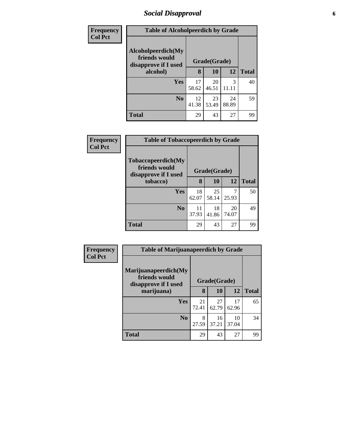# *Social Disapproval* **6**

| Frequency      | <b>Table of Alcoholpeerdich by Grade</b>                    |              |             |             |              |
|----------------|-------------------------------------------------------------|--------------|-------------|-------------|--------------|
| <b>Col Pct</b> | Alcoholpeerdich(My<br>friends would<br>disapprove if I used | Grade(Grade) |             |             |              |
|                | alcohol)                                                    | 8            | 10          | 12          | <b>Total</b> |
|                | Yes                                                         | 17<br>58.62  | 20<br>46.51 | 3           | 40           |
|                | N <sub>0</sub>                                              | 12<br>41.38  | 23<br>53.49 | 24<br>88.89 | 59           |
|                | <b>Total</b>                                                | 29           | 43          | 27          | 99           |

| <b>Frequency</b> | <b>Table of Tobaccopeerdich by Grade</b>                    |              |             |             |              |
|------------------|-------------------------------------------------------------|--------------|-------------|-------------|--------------|
| <b>Col Pct</b>   | Tobaccopeerdich(My<br>friends would<br>disapprove if I used | Grade(Grade) |             |             |              |
|                  | tobacco)                                                    | 8            | 10          | 12          | <b>Total</b> |
|                  | <b>Yes</b>                                                  | 18<br>62.07  | 25<br>58.14 | 25.93       | 50           |
|                  | N <sub>0</sub>                                              | 11<br>37.93  | 18<br>41.86 | 20<br>74.07 | 49           |
|                  | <b>Total</b>                                                | 29           | 43          | 27          | 99           |

| Frequency      | <b>Table of Marijuanapeerdich by Grade</b>                    |              |             |             |              |
|----------------|---------------------------------------------------------------|--------------|-------------|-------------|--------------|
| <b>Col Pct</b> | Marijuanapeerdich(My<br>friends would<br>disapprove if I used | Grade(Grade) |             |             |              |
|                | marijuana)                                                    | 8            | 10          | 12          | <b>Total</b> |
|                | <b>Yes</b>                                                    | 21<br>72.41  | 27<br>62.79 | 17<br>62.96 | 65           |
|                | N <sub>0</sub>                                                | 8<br>27.59   | 16<br>37.21 | 10<br>37.04 | 34           |
|                | <b>Total</b>                                                  | 29           | 43          | 27          | 99           |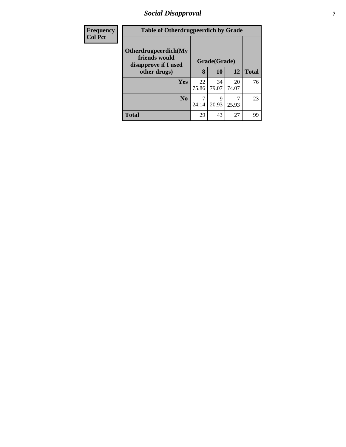# *Social Disapproval* **7**

| <b>Frequency</b> | <b>Table of Otherdrugpeerdich by Grade</b>                    |              |             |             |              |
|------------------|---------------------------------------------------------------|--------------|-------------|-------------|--------------|
| <b>Col Pct</b>   | Otherdrugpeerdich(My<br>friends would<br>disapprove if I used | Grade(Grade) |             |             |              |
|                  | other drugs)                                                  | 8            | 10          | 12          | <b>Total</b> |
|                  | Yes                                                           | 22<br>75.86  | 34<br>79.07 | 20<br>74.07 | 76           |
|                  | N <sub>0</sub>                                                | 24.14        | 9<br>20.93  | 25.93       | 23           |
|                  | <b>Total</b>                                                  | 29           | 43          | 27          | 99           |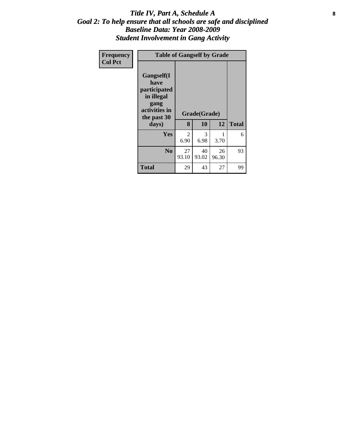### Title IV, Part A, Schedule A **8** *Goal 2: To help ensure that all schools are safe and disciplined Baseline Data: Year 2008-2009 Student Involvement in Gang Activity*

| Frequency      | <b>Table of Gangself by Grade</b>                                                                 |             |                    |             |              |
|----------------|---------------------------------------------------------------------------------------------------|-------------|--------------------|-------------|--------------|
| <b>Col Pct</b> | Gangself(I<br>have<br>participated<br>in illegal<br>gang<br>activities in<br>the past 30<br>days) | 8           | Grade(Grade)<br>10 | 12          | <b>Total</b> |
|                | Yes                                                                                               | 2<br>6.90   | 3<br>6.98          | 1<br>3.70   | 6            |
|                | N <sub>0</sub>                                                                                    | 27<br>93.10 | 40<br>93.02        | 26<br>96.30 | 93           |
|                | <b>Total</b>                                                                                      | 29          | 43                 | 27          | 99           |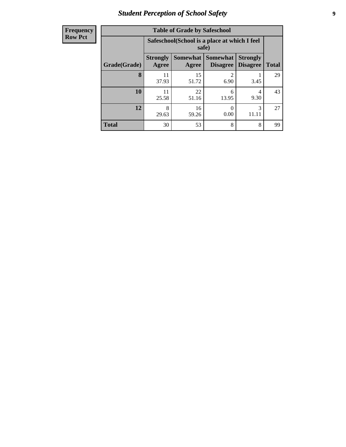# *Student Perception of School Safety* **9**

| <b>Frequency</b> |
|------------------|
| <b>Row Pct</b>   |

| <b>Table of Grade by Safeschool</b> |                                                                                                                                  |                                                        |                        |            |    |  |  |
|-------------------------------------|----------------------------------------------------------------------------------------------------------------------------------|--------------------------------------------------------|------------------------|------------|----|--|--|
|                                     |                                                                                                                                  | Safeschool (School is a place at which I feel<br>safe) |                        |            |    |  |  |
| Grade(Grade)                        | <b>Somewhat</b><br><b>Somewhat</b><br><b>Strongly</b><br><b>Strongly</b><br><b>Disagree</b><br>Agree<br><b>Disagree</b><br>Agree |                                                        |                        |            |    |  |  |
| 8                                   | 11<br>37.93                                                                                                                      | 15<br>51.72                                            | $\overline{c}$<br>6.90 | 3.45       | 29 |  |  |
| 10                                  | 11<br>25.58                                                                                                                      | 22<br>51.16                                            | 6<br>13.95             | 4<br>9.30  | 43 |  |  |
| 12                                  | 8<br>29.63                                                                                                                       | 16<br>59.26                                            | 0<br>0.00              | 3<br>11.11 | 27 |  |  |
| <b>Total</b>                        | 30                                                                                                                               | 53                                                     | 8                      | 8          | 99 |  |  |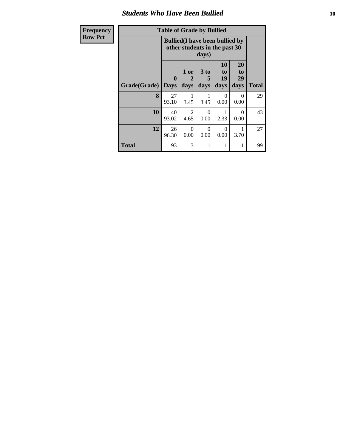### *Students Who Have Been Bullied* **10**

| <b>Frequency</b> |  |
|------------------|--|
| <b>Row Pct</b>   |  |

# **Table of Grade by Bullied**

| Table of Graue by Dunieu  |              |                                                                                  |                        |                        |                        |              |
|---------------------------|--------------|----------------------------------------------------------------------------------|------------------------|------------------------|------------------------|--------------|
|                           |              | <b>Bullied</b> (I have been bullied by<br>other students in the past 30<br>days) |                        |                        |                        |              |
| <b>Grade</b> (Grade) Days | $\mathbf{0}$ | 1 or<br>2<br>days                                                                | 3 to<br>5<br>days      | 10<br>to<br>19<br>days | 20<br>to<br>29<br>days | <b>Total</b> |
| 8                         | 27<br>93.10  | 3.45                                                                             | 3.45                   | 0<br>0.00              | 0<br>0.00              | 29           |
| 10                        | 40<br>93.02  | 2<br>4.65                                                                        | $\theta$<br>0.00       | 2.33                   | $\Omega$<br>0.00       | 43           |
| 12                        | 26<br>96.30  | $\Omega$<br>0.00                                                                 | $\overline{0}$<br>0.00 | $\Omega$<br>0.00       | 3.70                   | 27           |
| <b>Total</b>              | 93           | 3                                                                                | 1                      |                        | 1                      | 99           |

٦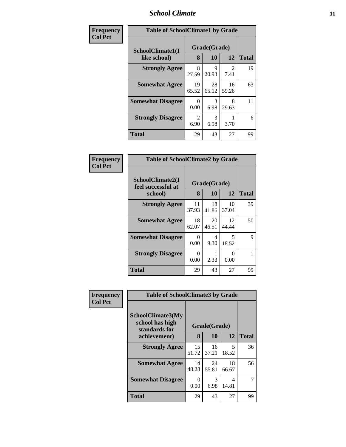### *School Climate* **11**

| Frequency      | <b>Table of SchoolClimate1 by Grade</b> |                      |                    |             |              |  |
|----------------|-----------------------------------------|----------------------|--------------------|-------------|--------------|--|
| <b>Col Pct</b> | SchoolClimate1(I<br>like school)        | 8                    | Grade(Grade)<br>10 | 12          | <b>Total</b> |  |
|                | <b>Strongly Agree</b>                   | 8<br>27.59           | 9<br>20.93         | 2<br>7.41   | 19           |  |
|                | <b>Somewhat Agree</b>                   | 19<br>65.52          | 28<br>65.12        | 16<br>59.26 | 63           |  |
|                | <b>Somewhat Disagree</b>                | $\mathbf{0}$<br>0.00 | 3<br>6.98          | 8<br>29.63  | 11           |  |
|                | <b>Strongly Disagree</b>                | 2<br>6.90            | 3<br>6.98          | 3.70        | 6            |  |
|                | <b>Total</b>                            | 29                   | 43                 | 27          | 99           |  |

| Frequency      | <b>Table of SchoolClimate2 by Grade</b> |                  |             |             |              |
|----------------|-----------------------------------------|------------------|-------------|-------------|--------------|
| <b>Col Pct</b> | SchoolClimate2(I<br>feel successful at  | Grade(Grade)     |             |             |              |
|                | school)                                 | 8                | 10          | 12          | <b>Total</b> |
|                | <b>Strongly Agree</b>                   | 11<br>37.93      | 18<br>41.86 | 10<br>37.04 | 39           |
|                | <b>Somewhat Agree</b>                   | 18<br>62.07      | 20<br>46.51 | 12<br>44.44 | 50           |
|                | <b>Somewhat Disagree</b>                | 0<br>0.00        | 4<br>9.30   | 5<br>18.52  | 9            |
|                | <b>Strongly Disagree</b>                | $\Omega$<br>0.00 | 2.33        | 0<br>0.00   |              |
|                | Total                                   | 29               | 43          | 27          | 99           |

| Frequency      | <b>Table of SchoolClimate3 by Grade</b>               |                  |             |                         |              |  |  |
|----------------|-------------------------------------------------------|------------------|-------------|-------------------------|--------------|--|--|
| <b>Col Pct</b> | SchoolClimate3(My<br>school has high<br>standards for | Grade(Grade)     |             |                         |              |  |  |
|                | achievement)                                          | 8                | 10          | 12                      | <b>Total</b> |  |  |
|                | <b>Strongly Agree</b>                                 | 15<br>51.72      | 16<br>37.21 | 5<br>18.52              | 36           |  |  |
|                | <b>Somewhat Agree</b>                                 | 14<br>48.28      | 24<br>55.81 | 18<br>66.67             | 56           |  |  |
|                | <b>Somewhat Disagree</b>                              | $\Omega$<br>0.00 | 3<br>6.98   | $\overline{4}$<br>14.81 |              |  |  |
|                | Total                                                 | 29               | 43          | 27                      | 99           |  |  |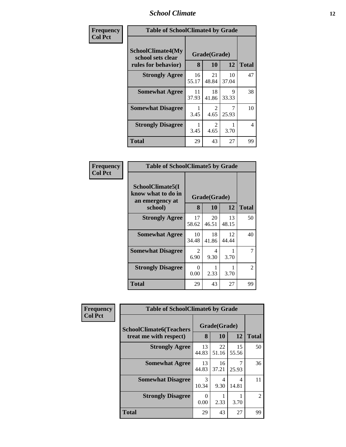### *School Climate* **12**

| Frequency      |                                                                      | <b>Table of SchoolClimate4 by Grade</b> |                       |             |              |  |  |
|----------------|----------------------------------------------------------------------|-----------------------------------------|-----------------------|-------------|--------------|--|--|
| <b>Col Pct</b> | <b>SchoolClimate4(My</b><br>school sets clear<br>rules for behavior) | 8                                       | Grade(Grade)<br>10    | 12          | <b>Total</b> |  |  |
|                | <b>Strongly Agree</b>                                                | 16<br>55.17                             | 21<br>48.84           | 10<br>37.04 | 47           |  |  |
|                | <b>Somewhat Agree</b>                                                | 11<br>37.93                             | 18<br>41.86           | 9<br>33.33  | 38           |  |  |
|                | <b>Somewhat Disagree</b>                                             | 3.45                                    | $\mathcal{L}$<br>4.65 | 25.93       | 10           |  |  |
|                | <b>Strongly Disagree</b>                                             | 3.45                                    | 2<br>4.65             | 3.70        | 4            |  |  |
|                | <b>Total</b>                                                         | 29                                      | 43                    | 27          | 99           |  |  |

| <b>Table of SchoolClimate5 by Grade</b>                   |              |             |             |               |  |  |  |
|-----------------------------------------------------------|--------------|-------------|-------------|---------------|--|--|--|
| SchoolClimate5(I<br>know what to do in<br>an emergency at | Grade(Grade) |             |             |               |  |  |  |
| school)                                                   | 8            | 10          | 12          | <b>Total</b>  |  |  |  |
| <b>Strongly Agree</b>                                     | 17<br>58.62  | 20<br>46.51 | 13<br>48.15 | 50            |  |  |  |
| <b>Somewhat Agree</b>                                     | 10<br>34.48  | 18<br>41.86 | 12<br>44.44 | 40            |  |  |  |
| <b>Somewhat Disagree</b>                                  | 2<br>6.90    | 4<br>9.30   | 3.70        |               |  |  |  |
| <b>Strongly Disagree</b>                                  | 0<br>0.00    | 2.33        | 3.70        | $\mathcal{L}$ |  |  |  |
| Total                                                     | 29           | 43          | 27          | 99            |  |  |  |

| Frequency      | <b>Table of SchoolClimate6 by Grade</b>                  |                  |                    |             |                |
|----------------|----------------------------------------------------------|------------------|--------------------|-------------|----------------|
| <b>Col Pct</b> | <b>SchoolClimate6(Teachers</b><br>treat me with respect) | 8                | Grade(Grade)<br>10 | 12          | <b>Total</b>   |
|                | <b>Strongly Agree</b>                                    | 13<br>44.83      | 22<br>51.16        | 15<br>55.56 | 50             |
|                | <b>Somewhat Agree</b>                                    | 13<br>44.83      | 16<br>37.21        | 25.93       | 36             |
|                | <b>Somewhat Disagree</b>                                 | 3<br>10.34       | 4<br>9.30          | 4<br>14.81  | 11             |
|                | <b>Strongly Disagree</b>                                 | $\Omega$<br>0.00 | 2.33               | 3.70        | $\mathfrak{D}$ |
|                | <b>Total</b>                                             | 29               | 43                 | 27          | 99             |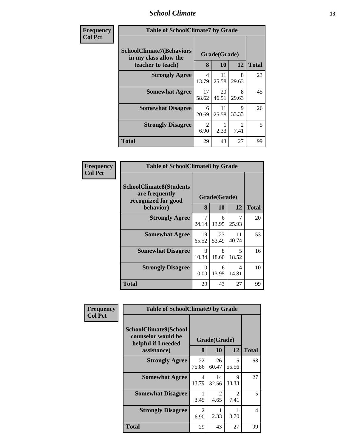### *School Climate* **13**

| <b>Frequency</b> | <b>Table of SchoolClimate7 by Grade</b>                                       |                         |                    |                        |              |
|------------------|-------------------------------------------------------------------------------|-------------------------|--------------------|------------------------|--------------|
| <b>Col Pct</b>   | <b>SchoolClimate7(Behaviors</b><br>in my class allow the<br>teacher to teach) |                         | Grade(Grade)<br>10 | 12                     | <b>Total</b> |
|                  | <b>Strongly Agree</b>                                                         | $\overline{4}$<br>13.79 | 11<br>25.58        | 8<br>29.63             | 23           |
|                  | <b>Somewhat Agree</b>                                                         | 17<br>58.62             | 20<br>46.51        | 8<br>29.63             | 45           |
|                  | <b>Somewhat Disagree</b>                                                      | 6<br>20.69              | 11<br>25.58        | 9<br>33.33             | 26           |
|                  | <b>Strongly Disagree</b>                                                      | 2<br>6.90               | 2.33               | $\mathfrak{D}$<br>7.41 | 5            |
|                  | <b>Total</b>                                                                  | 29                      | 43                 | 27                     | 99           |

| Frequency      | <b>Table of SchoolClimate8 by Grade</b>                                 |                         |              |             |              |
|----------------|-------------------------------------------------------------------------|-------------------------|--------------|-------------|--------------|
| <b>Col Pct</b> | <b>SchoolClimate8(Students</b><br>are frequently<br>recognized for good |                         | Grade(Grade) |             |              |
|                | behavior)                                                               | 8                       | 10           | 12          | <b>Total</b> |
|                | <b>Strongly Agree</b>                                                   | $\overline{7}$<br>24.14 | 6<br>13.95   | 25.93       | 20           |
|                | <b>Somewhat Agree</b>                                                   | 19<br>65.52             | 23<br>53.49  | 11<br>40.74 | 53           |
|                | <b>Somewhat Disagree</b>                                                | $\mathcal{R}$<br>10.34  | 8<br>18.60   | 5<br>18.52  | 16           |
|                | <b>Strongly Disagree</b>                                                | $\theta$<br>0.00        | 6<br>13.95   | 4<br>14.81  | 10           |
|                | <b>Total</b>                                                            | 29                      | 43           | 27          | 99           |

| Frequency      | <b>Table of SchoolClimate9 by Grade</b>                                           |                         |                        |                        |              |
|----------------|-----------------------------------------------------------------------------------|-------------------------|------------------------|------------------------|--------------|
| <b>Col Pct</b> | SchoolClimate9(School<br>counselor would be<br>helpful if I needed<br>assistance) | 8                       | Grade(Grade)           | 12                     |              |
|                |                                                                                   |                         | 10                     |                        | <b>Total</b> |
|                | <b>Strongly Agree</b>                                                             | 22<br>75.86             | 26<br>60.47            | 15<br>55.56            | 63           |
|                | <b>Somewhat Agree</b>                                                             | $\overline{4}$<br>13.79 | 14<br>32.56            | $\mathbf Q$<br>33.33   | 27           |
|                | <b>Somewhat Disagree</b>                                                          | 3.45                    | $\mathfrak{D}$<br>4.65 | $\mathfrak{D}$<br>7.41 | 5            |
|                | <b>Strongly Disagree</b>                                                          | 2<br>6.90               | 2.33                   | 3.70                   | 4            |
|                | <b>Total</b>                                                                      | 29                      | 43                     | 27                     | 99           |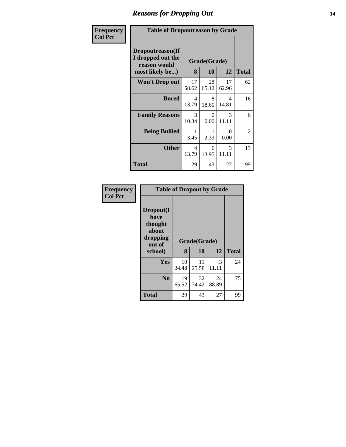### *Reasons for Dropping Out* **14**

| Frequency      |                                                                          | <b>Table of Dropoutreason by Grade</b> |                    |                        |              |
|----------------|--------------------------------------------------------------------------|----------------------------------------|--------------------|------------------------|--------------|
| <b>Col Pct</b> | Dropoutreason(If<br>I dropped out the<br>reason would<br>most likely be) | 8                                      | Grade(Grade)<br>10 | 12                     | <b>Total</b> |
|                | <b>Won't Drop out</b>                                                    | 17<br>58.62                            | 28<br>65.12        | 17<br>62.96            | 62           |
|                | <b>Bored</b>                                                             | 4<br>13.79                             | 8<br>18.60         | 4<br>14.81             | 16           |
|                | <b>Family Reasons</b>                                                    | 3<br>10.34                             | 0<br>0.00          | $\mathcal{F}$<br>11.11 | 6            |
|                | <b>Being Bullied</b>                                                     | 3.45                                   | 2.33               | ∩<br>0.00              | 2            |
|                | <b>Other</b>                                                             | 4<br>13.79                             | 6<br>13.95         | 3<br>11.11             | 13           |
|                | Total                                                                    | 29                                     | 43                 | 27                     | 99           |

| Frequency<br><b>Col Pct</b> | <b>Table of Dropout by Grade</b>                                       |             |                    |             |              |  |  |  |
|-----------------------------|------------------------------------------------------------------------|-------------|--------------------|-------------|--------------|--|--|--|
|                             | Dropout(I<br>have<br>thought<br>about<br>dropping<br>out of<br>school) | 8           | Grade(Grade)<br>10 | 12          | <b>Total</b> |  |  |  |
|                             | Yes                                                                    | 10          | 11                 | 3           | 24           |  |  |  |
|                             |                                                                        | 34.48       | 25.58              | 11.11       |              |  |  |  |
|                             | N <sub>0</sub>                                                         | 19<br>65.52 | 32<br>74.42        | 24<br>88.89 | 75           |  |  |  |
|                             | <b>Total</b>                                                           | 29          | 43                 | 27          | 99           |  |  |  |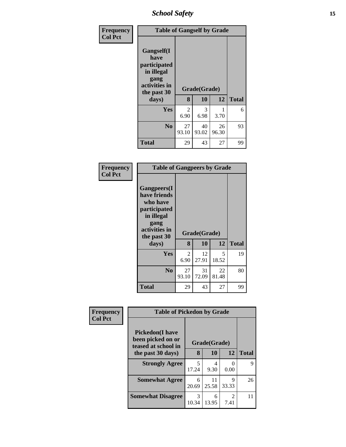*School Safety* **15**

| Frequency      | <b>Table of Gangself by Grade</b>                                                                 |             |                    |             |              |
|----------------|---------------------------------------------------------------------------------------------------|-------------|--------------------|-------------|--------------|
| <b>Col Pct</b> | Gangself(I<br>have<br>participated<br>in illegal<br>gang<br>activities in<br>the past 30<br>days) | 8           | Grade(Grade)<br>10 | 12          | <b>Total</b> |
|                | Yes                                                                                               | 2<br>6.90   | 3<br>6.98          | 3.70        | 6            |
|                | N <sub>0</sub>                                                                                    | 27<br>93.10 | 40<br>93.02        | 26<br>96.30 | 93           |
|                | <b>Total</b>                                                                                      | 29          | 43                 | 27          | 99           |

| Frequency<br><b>Col Pct</b> | <b>Table of Gangpeers by Grade</b>                                                                                    |             |              |             |              |  |  |
|-----------------------------|-----------------------------------------------------------------------------------------------------------------------|-------------|--------------|-------------|--------------|--|--|
|                             | <b>Gangpeers</b> (I<br>have friends<br>who have<br>participated<br>in illegal<br>gang<br>activities in<br>the past 30 |             | Grade(Grade) |             |              |  |  |
|                             | days)                                                                                                                 | 8           | 10           | 12          | <b>Total</b> |  |  |
|                             | Yes                                                                                                                   | 2<br>6.90   | 12<br>27.91  | 5<br>18.52  | 19           |  |  |
|                             | N <sub>0</sub>                                                                                                        | 27<br>93.10 | 31<br>72.09  | 22<br>81.48 | 80           |  |  |
|                             | Total                                                                                                                 | 29          | 43           | 27          | 99           |  |  |

| Frequency      |                                                                     | <b>Table of Pickedon by Grade</b> |             |                        |              |  |
|----------------|---------------------------------------------------------------------|-----------------------------------|-------------|------------------------|--------------|--|
| <b>Col Pct</b> | <b>Pickedon</b> (I have<br>been picked on or<br>teased at school in | Grade(Grade)                      |             |                        |              |  |
|                | the past 30 days)                                                   | 8                                 | 10          | 12                     | <b>Total</b> |  |
|                | <b>Strongly Agree</b>                                               | 5<br>17.24                        | 4<br>9.30   | 0.00                   | 9            |  |
|                | <b>Somewhat Agree</b>                                               | 6<br>20.69                        | 11<br>25.58 | Q<br>33.33             | 26           |  |
|                | <b>Somewhat Disagree</b>                                            | 3<br>10.34                        | 6<br>13.95  | $\mathfrak{D}$<br>7.41 | 11           |  |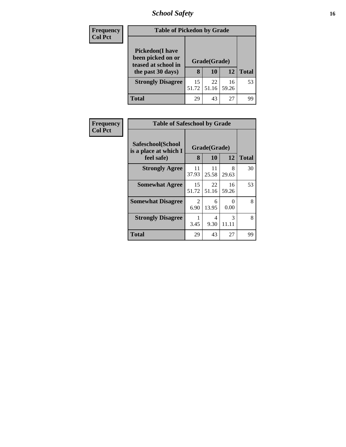# *School Safety* **16**

| <b>Frequency</b> | <b>Table of Pickedon by Grade</b>                                                        |             |                    |             |              |
|------------------|------------------------------------------------------------------------------------------|-------------|--------------------|-------------|--------------|
| <b>Col Pct</b>   | <b>Pickedon</b> (I have<br>been picked on or<br>teased at school in<br>the past 30 days) | 8           | Grade(Grade)<br>10 | <b>12</b>   | <b>Total</b> |
|                  | <b>Strongly Disagree</b>                                                                 | 15<br>51.72 | 22<br>51.16        | 16<br>59.26 | 53           |
|                  | Total                                                                                    | 29          | 43                 | 27          | 99           |

| <b>Frequency</b> | <b>Table of Safeschool by Grade</b>        |              |             |                        |              |
|------------------|--------------------------------------------|--------------|-------------|------------------------|--------------|
| <b>Col Pct</b>   | Safeschool(School<br>is a place at which I | Grade(Grade) |             |                        |              |
|                  | feel safe)                                 | 8            | 10          | 12                     | <b>Total</b> |
|                  | <b>Strongly Agree</b>                      | 11<br>37.93  | 11<br>25.58 | 8<br>29.63             | 30           |
|                  | <b>Somewhat Agree</b>                      | 15<br>51.72  | 22<br>51.16 | 16<br>59.26            | 53           |
|                  | <b>Somewhat Disagree</b>                   | 2<br>6.90    | 6<br>13.95  | 0<br>0.00              | 8            |
|                  | <b>Strongly Disagree</b>                   | 3.45         | 4<br>9.30   | $\mathcal{R}$<br>11.11 | 8            |
|                  | <b>Total</b>                               | 29           | 43          | 27                     | 99           |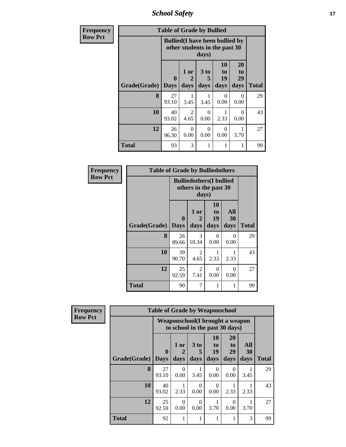*School Safety* **17**

| Frequency      | <b>Table of Grade by Bullied</b> |                                                                                  |                        |                   |                        |                        |              |  |
|----------------|----------------------------------|----------------------------------------------------------------------------------|------------------------|-------------------|------------------------|------------------------|--------------|--|
| <b>Row Pct</b> |                                  | <b>Bullied</b> (I have been bullied by<br>other students in the past 30<br>days) |                        |                   |                        |                        |              |  |
|                | Grade(Grade)                     | $\bf{0}$<br><b>Days</b>                                                          | 1 or<br>2<br>days      | 3 to<br>5<br>days | 10<br>to<br>19<br>days | 20<br>to<br>29<br>days | <b>Total</b> |  |
|                | 8                                | 27<br>93.10                                                                      | 1<br>3.45              | 3.45              | 0<br>0.00              | 0<br>0.00              | 29           |  |
|                | 10                               | 40<br>93.02                                                                      | $\overline{2}$<br>4.65 | $\Omega$<br>0.00  | 1<br>2.33              | $\Omega$<br>0.00       | 43           |  |
|                | 12                               | 26<br>96.30                                                                      | $\Omega$<br>0.00       | $\Omega$<br>0.00  | $\Omega$<br>0.00       | 3.70                   | 27           |  |
|                | <b>Total</b>                     | 93                                                                               | 3                      |                   | 1                      |                        | 99           |  |

| Frequency      | <b>Table of Grade by Bulliedothers</b> |                                                                   |                   |                        |                   |              |  |
|----------------|----------------------------------------|-------------------------------------------------------------------|-------------------|------------------------|-------------------|--------------|--|
| <b>Row Pct</b> |                                        | <b>Bulliedothers</b> (I bullied<br>others in the past 30<br>days) |                   |                        |                   |              |  |
|                | Grade(Grade)                           | $\mathbf{0}$<br><b>Days</b>                                       | 1 or<br>2<br>days | 10<br>to<br>19<br>days | All<br>30<br>days | <b>Total</b> |  |
|                | 8                                      | 26<br>89.66                                                       | 3<br>10.34        | 0<br>0.00              | 0<br>0.00         | 29           |  |
|                | 10                                     | 39<br>90.70                                                       | 2<br>4.65         | 2.33                   | 2.33              | 43           |  |
|                | 12                                     | 25<br>92.59                                                       | 2<br>7.41         | $\Omega$<br>0.00       | $\Omega$<br>0.00  | 27           |  |
|                | <b>Total</b>                           | 90                                                                | 7                 |                        | 1                 | 99           |  |

| Frequency      |              | <b>Table of Grade by Weaponschool</b> |                                                                   |                      |                       |                       |           |              |  |
|----------------|--------------|---------------------------------------|-------------------------------------------------------------------|----------------------|-----------------------|-----------------------|-----------|--------------|--|
| <b>Row Pct</b> |              |                                       | Weaponschool(I brought a weapon<br>to school in the past 30 days) |                      |                       |                       |           |              |  |
|                |              | $\mathbf{0}$                          | 1 or<br>$\overline{2}$                                            | 3 <sub>to</sub><br>5 | <b>10</b><br>to<br>19 | <b>20</b><br>to<br>29 | All<br>30 |              |  |
|                | Grade(Grade) | <b>Days</b>                           | days                                                              | days                 | days                  | days                  | days      | <b>Total</b> |  |
|                | 8            | 27<br>93.10                           | $\Omega$<br>0.00                                                  | 3.45                 | 0<br>0.00             | $\Omega$<br>0.00      | 3.45      | 29           |  |
|                | 10           | 40<br>93.02                           | 2.33                                                              | $\Omega$<br>0.00     | 0<br>0.00             | 2.33                  | 2.33      | 43           |  |
|                | 12           | 25<br>92.59                           | $\Omega$<br>0.00                                                  | $\Omega$<br>0.00     | 3.70                  | $\Omega$<br>0.00      | 3.70      | 27           |  |
|                | <b>Total</b> | 92                                    | 1                                                                 |                      |                       |                       | 3         | 99           |  |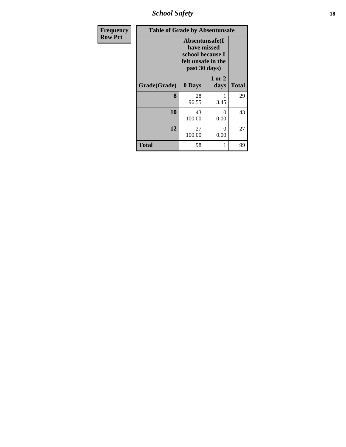*School Safety* **18**

| <b>Frequency</b> |              | <b>Table of Grade by Absentunsafe</b>                                                     |                |              |  |  |  |  |
|------------------|--------------|-------------------------------------------------------------------------------------------|----------------|--------------|--|--|--|--|
| <b>Row Pct</b>   |              | Absentunsafe(I)<br>have missed<br>school because I<br>felt unsafe in the<br>past 30 days) |                |              |  |  |  |  |
|                  | Grade(Grade) | 0 Days                                                                                    | 1 or 2<br>days | <b>Total</b> |  |  |  |  |
|                  | 8            | 28<br>96.55                                                                               | 3.45           | 29           |  |  |  |  |
|                  | 10           | 43<br>100.00                                                                              | 0<br>0.00      | 43           |  |  |  |  |
|                  | 12           | 27<br>100.00                                                                              | 0<br>0.00      | 27           |  |  |  |  |
|                  | Total        | 98                                                                                        | 1              | 99           |  |  |  |  |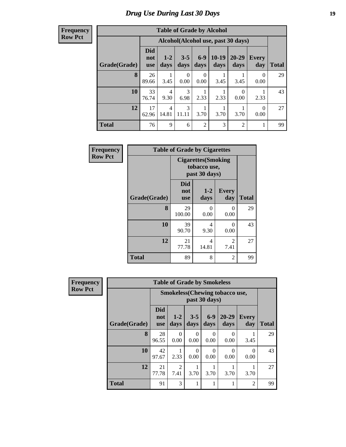# *Drug Use During Last 30 Days* **19**

#### **Frequency Row Pct**

| <b>Table of Grade by Alcohol</b> |                                 |                                    |                 |                  |                 |                   |                     |              |  |
|----------------------------------|---------------------------------|------------------------------------|-----------------|------------------|-----------------|-------------------|---------------------|--------------|--|
|                                  |                                 | Alcohol(Alcohol use, past 30 days) |                 |                  |                 |                   |                     |              |  |
| Grade(Grade)                     | <b>Did</b><br>not<br><b>use</b> | $1-2$<br>days                      | $3 - 5$<br>days | $6-9$<br>days    | $10-19$<br>days | $20 - 29$<br>days | <b>Every</b><br>day | <b>Total</b> |  |
| 8                                | 26<br>89.66                     | 3.45                               | 0<br>0.00       | $\Omega$<br>0.00 | 3.45            | 3.45              | 0<br>0.00           | 29           |  |
| 10                               | 33<br>76.74                     | $\overline{4}$<br>9.30             | 3<br>6.98       | 2.33             | 2.33            | 0<br>0.00         | 2.33                | 43           |  |
| 12                               | 17<br>62.96                     | $\overline{4}$<br>14.81            | 3<br>11.11      | 3.70             | 3.70            | 3.70              | $\Omega$<br>0.00    | 27           |  |
| <b>Total</b>                     | 76                              | 9                                  | 6               | $\overline{2}$   | 3               | $\overline{2}$    | 1                   | 99           |  |

| Frequency      | <b>Table of Grade by Cigarettes</b> |                                 |                                                             |                        |              |  |  |  |
|----------------|-------------------------------------|---------------------------------|-------------------------------------------------------------|------------------------|--------------|--|--|--|
| <b>Row Pct</b> |                                     |                                 | <b>Cigarettes</b> (Smoking<br>tobacco use,<br>past 30 days) |                        |              |  |  |  |
|                | Grade(Grade)                        | <b>Did</b><br>not<br><b>use</b> | $1-2$<br>days                                               | <b>Every</b><br>day    | <b>Total</b> |  |  |  |
|                | 8                                   | 29<br>100.00                    | 0<br>0.00                                                   | 0<br>0.00              | 29           |  |  |  |
|                | 10                                  | 39<br>90.70                     | 4<br>9.30                                                   | $\Omega$<br>0.00       | 43           |  |  |  |
|                | 12                                  | 21<br>77.78                     | $\overline{4}$<br>14.81                                     | $\overline{2}$<br>7.41 | 27           |  |  |  |
|                | <b>Total</b>                        | 89                              | 8                                                           | $\overline{2}$         | 99           |  |  |  |

| <b>Frequency</b> | <b>Table of Grade by Smokeless</b> |                                 |                        |                  |               |                                        |                     |              |  |
|------------------|------------------------------------|---------------------------------|------------------------|------------------|---------------|----------------------------------------|---------------------|--------------|--|
| <b>Row Pct</b>   |                                    |                                 |                        |                  | past 30 days) | <b>Smokeless</b> (Chewing tobacco use, |                     |              |  |
|                  | Grade(Grade)                       | <b>Did</b><br>not<br><b>use</b> | $1-2$<br>days          | $3 - 5$<br>days  | $6-9$<br>days | $20 - 29$<br>days                      | <b>Every</b><br>day | <b>Total</b> |  |
|                  | 8                                  | 28<br>96.55                     | $\Omega$<br>0.00       | $\Omega$<br>0.00 | 0<br>0.00     | 0<br>0.00                              | 3.45                | 29           |  |
|                  | 10                                 | 42<br>97.67                     | 2.33                   | $\Omega$<br>0.00 | 0<br>0.00     | 0<br>0.00                              | $\Omega$<br>0.00    | 43           |  |
|                  | 12                                 | 21<br>77.78                     | $\overline{2}$<br>7.41 | 1<br>3.70        | 3.70          | 3.70                                   | 3.70                | 27           |  |
|                  | <b>Total</b>                       | 91                              | 3                      | 1                |               |                                        | $\overline{2}$      | 99           |  |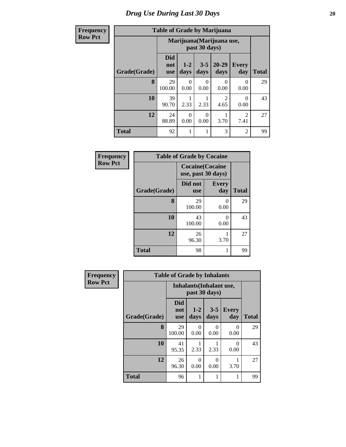#### **Frequency Row Pct**

# **Table of Grade by Marijuana**

| ıcy |              | Table of Grade by Marijuana     |                                            |                  |                        |                        |              |  |  |
|-----|--------------|---------------------------------|--------------------------------------------|------------------|------------------------|------------------------|--------------|--|--|
|     |              |                                 | Marijuana (Marijuana use,<br>past 30 days) |                  |                        |                        |              |  |  |
|     | Grade(Grade) | <b>Did</b><br>not<br><b>use</b> | $1 - 2$<br>days                            | $3 - 5$<br>days  | 20-29<br>days          | <b>Every</b><br>day    | <b>Total</b> |  |  |
|     | 8            | 29<br>100.00                    | 0<br>0.00                                  | 0<br>0.00        | 0<br>0.00              | 0<br>0.00              | 29           |  |  |
|     | 10           | 39<br>90.70                     | 2.33                                       | 2.33             | $\mathfrak{D}$<br>4.65 | 0<br>0.00              | 43           |  |  |
|     | 12           | 24<br>88.89                     | $\Omega$<br>0.00                           | $\Omega$<br>0.00 | 3.70                   | $\overline{2}$<br>7.41 | 27           |  |  |
|     | <b>Total</b> | 92                              | 1                                          |                  | 3                      | $\overline{2}$         | 99           |  |  |

| <b>Frequency</b> | <b>Table of Grade by Cocaine</b> |                                               |                     |              |  |  |
|------------------|----------------------------------|-----------------------------------------------|---------------------|--------------|--|--|
| <b>Row Pct</b>   |                                  | <b>Cocaine</b> (Cocaine<br>use, past 30 days) |                     |              |  |  |
|                  | Grade(Grade)                     | Did not<br><b>use</b>                         | <b>Every</b><br>day | <b>Total</b> |  |  |
|                  | 8                                | 29<br>100.00                                  | 0.00                | 29           |  |  |
|                  | 10                               | 43<br>100.00                                  | 0.00                | 43           |  |  |
|                  | 12                               | 26<br>96.30                                   | 3.70                | 27           |  |  |
|                  | <b>Total</b>                     | 98                                            |                     | 99           |  |  |

| Frequency      | <b>Table of Grade by Inhalants</b> |                                 |                                                  |                 |                     |              |  |  |
|----------------|------------------------------------|---------------------------------|--------------------------------------------------|-----------------|---------------------|--------------|--|--|
| <b>Row Pct</b> |                                    |                                 | <b>Inhalants</b> (Inhalant use,<br>past 30 days) |                 |                     |              |  |  |
|                | Grade(Grade)                       | <b>Did</b><br>not<br><b>use</b> | $1-2$<br>days                                    | $3 - 5$<br>days | <b>Every</b><br>day | <b>Total</b> |  |  |
|                | 8                                  | 29<br>100.00                    | $\Omega$<br>0.00                                 | 0<br>0.00       | $\Omega$<br>0.00    | 29           |  |  |
|                | 10                                 | 41<br>95.35                     | 2.33                                             | 2.33            | 0<br>0.00           | 43           |  |  |
|                | 12                                 | 26<br>96.30                     | $\Omega$<br>0.00                                 | 0<br>0.00       | 3.70                | 27           |  |  |
|                | <b>Total</b>                       | 96                              | 1                                                |                 |                     | 99           |  |  |

┓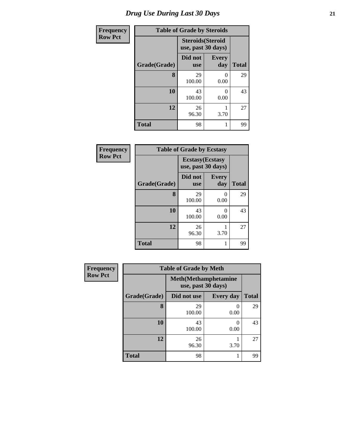| Frequency      | <b>Table of Grade by Steroids</b> |                                                |                     |              |  |  |  |  |  |
|----------------|-----------------------------------|------------------------------------------------|---------------------|--------------|--|--|--|--|--|
| <b>Row Pct</b> |                                   | <b>Steroids</b> (Steroid<br>use, past 30 days) |                     |              |  |  |  |  |  |
|                | Grade(Grade)                      | Did not<br><b>use</b>                          | <b>Every</b><br>day | <b>Total</b> |  |  |  |  |  |
|                | 8                                 | 29<br>100.00                                   | 0<br>0.00           | 29           |  |  |  |  |  |
|                | 10                                | 43<br>100.00                                   | 0<br>0.00           | 43           |  |  |  |  |  |
|                | 12                                | 26<br>96.30                                    | 3.70                | 27           |  |  |  |  |  |
|                | <b>Total</b>                      | 98                                             | 1                   | 99           |  |  |  |  |  |

| Frequency      | <b>Table of Grade by Ecstasy</b> |                                               |                     |              |  |  |
|----------------|----------------------------------|-----------------------------------------------|---------------------|--------------|--|--|
| <b>Row Pct</b> |                                  | <b>Ecstasy</b> (Ecstasy<br>use, past 30 days) |                     |              |  |  |
|                | Grade(Grade)                     | Did not<br><b>use</b>                         | <b>Every</b><br>day | <b>Total</b> |  |  |
|                | 8                                | 29<br>100.00                                  | 0<br>0.00           | 29           |  |  |
|                | 10                               | 43<br>100.00                                  | 0<br>0.00           | 43           |  |  |
|                | 12                               | 26<br>96.30                                   | 3.70                | 27           |  |  |
|                | <b>Total</b>                     | 98                                            |                     | 99           |  |  |

| Frequency      | <b>Table of Grade by Meth</b> |                                                    |                  |              |  |  |  |
|----------------|-------------------------------|----------------------------------------------------|------------------|--------------|--|--|--|
| <b>Row Pct</b> |                               | <b>Meth</b> (Methamphetamine<br>use, past 30 days) |                  |              |  |  |  |
|                | Grade(Grade)                  | Did not use                                        | <b>Every day</b> | <b>Total</b> |  |  |  |
|                | 8                             | 29<br>100.00                                       | 0<br>0.00        | 29           |  |  |  |
|                | 10                            | 43<br>100.00                                       | $\theta$<br>0.00 | 43           |  |  |  |
|                | 12                            | 26<br>96.30                                        | 3.70             | 27           |  |  |  |
|                | <b>Total</b>                  | 98                                                 |                  | 99           |  |  |  |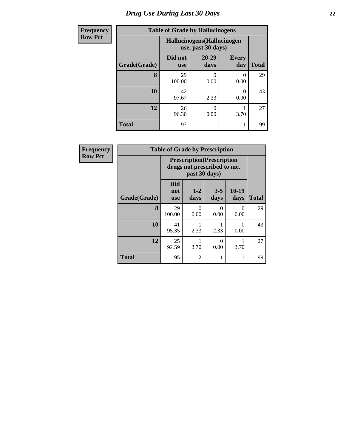| <b>Frequency</b> | <b>Table of Grade by Hallucinogens</b> |                       |                                                   |                       |              |  |  |  |
|------------------|----------------------------------------|-----------------------|---------------------------------------------------|-----------------------|--------------|--|--|--|
| <b>Row Pct</b>   |                                        |                       | Hallucinogens (Hallucinogen<br>use, past 30 days) |                       |              |  |  |  |
|                  | Grade(Grade)                           | Did not<br><b>use</b> | $20 - 29$<br>days                                 | <b>Every</b><br>day   | <b>Total</b> |  |  |  |
|                  | 8                                      | 29<br>100.00          | $\Omega$<br>0.00                                  | $\mathcal{O}$<br>0.00 | 29           |  |  |  |
|                  | 10                                     | 42<br>97.67           | 2.33                                              | 0.00                  | 43           |  |  |  |
|                  | 12                                     | 26<br>96.30           | 0<br>0.00                                         | 3.70                  | 27           |  |  |  |
|                  | <b>Total</b>                           | 97                    |                                                   |                       | 99           |  |  |  |

| Frequency      | <b>Table of Grade by Prescription</b> |                                                                  |               |                 |                  |              |
|----------------|---------------------------------------|------------------------------------------------------------------|---------------|-----------------|------------------|--------------|
| <b>Row Pct</b> |                                       | <b>Prescription</b> (Prescription<br>drugs not prescribed to me, |               |                 |                  |              |
|                | Grade(Grade)                          | <b>Did</b><br>not<br><b>use</b>                                  | $1-2$<br>days | $3 - 5$<br>days | 10-19<br>days    | <b>Total</b> |
|                | 8                                     | 29<br>100.00                                                     | 0<br>0.00     | 0<br>0.00       | $\Omega$<br>0.00 | 29           |
|                | 10                                    | 41<br>95.35                                                      | 2.33          | 2.33            | 0<br>0.00        | 43           |
|                | 12                                    | 25<br>92.59                                                      | 3.70          | 0<br>0.00       | 3.70             | 27           |
|                | <b>Total</b>                          | 95                                                               | 2             |                 |                  | 99           |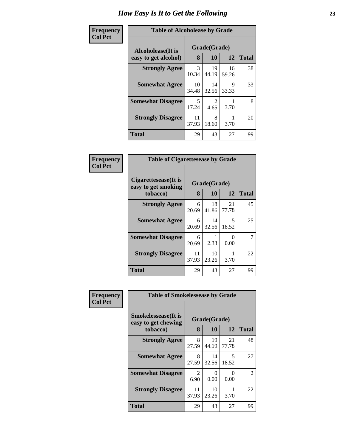| <b>Table of Alcoholease by Grade</b> |                        |             |             |              |  |  |
|--------------------------------------|------------------------|-------------|-------------|--------------|--|--|
| Alcoholease(It is                    | Grade(Grade)           |             |             |              |  |  |
| easy to get alcohol)                 | 8                      | 10          | 12          | <b>Total</b> |  |  |
| <b>Strongly Agree</b>                | $\mathcal{R}$<br>10.34 | 19<br>44.19 | 16<br>59.26 | 38           |  |  |
| <b>Somewhat Agree</b>                | 10<br>34.48            | 14<br>32.56 | 9<br>33.33  | 33           |  |  |
| <b>Somewhat Disagree</b>             | 5<br>17.24             | 2<br>4.65   | 3.70        | 8            |  |  |
| <b>Strongly Disagree</b>             | 11<br>37.93            | 8<br>18.60  | 3.70        | 20           |  |  |
| <b>Total</b>                         | 29                     | 43          | 27          | 99           |  |  |

| Frequency      |                                                         | <b>Table of Cigarettesease by Grade</b> |                    |                  |              |  |
|----------------|---------------------------------------------------------|-----------------------------------------|--------------------|------------------|--------------|--|
| <b>Col Pct</b> | Cigarettesease(It is<br>easy to get smoking<br>tobacco) | 8                                       | Grade(Grade)<br>10 | 12               | <b>Total</b> |  |
|                | <b>Strongly Agree</b>                                   | 6<br>20.69                              | 18<br>41.86        | 21<br>77.78      | 45           |  |
|                | <b>Somewhat Agree</b>                                   | 6<br>20.69                              | 14<br>32.56        | 5<br>18.52       | 25           |  |
|                | <b>Somewhat Disagree</b>                                | 6<br>20.69                              | 2.33               | $\Omega$<br>0.00 |              |  |
|                | <b>Strongly Disagree</b>                                | 11<br>37.93                             | 10<br>23.26        | 3.70             | 22           |  |
|                | <b>Total</b>                                            | 29                                      | 43                 | 27               | 99           |  |

| Frequency      | <b>Table of Smokelessease by Grade</b>                         |             |                    |             |                |  |  |
|----------------|----------------------------------------------------------------|-------------|--------------------|-------------|----------------|--|--|
| <b>Col Pct</b> | <b>Smokelessease</b> (It is<br>easy to get chewing<br>tobacco) | 8           | Grade(Grade)<br>10 | 12          | <b>Total</b>   |  |  |
|                | <b>Strongly Agree</b>                                          | 8<br>27.59  | 19<br>44.19        | 21<br>77.78 | 48             |  |  |
|                | <b>Somewhat Agree</b>                                          | 8<br>27.59  | 14<br>32.56        | 5<br>18.52  | 27             |  |  |
|                | <b>Somewhat Disagree</b>                                       | 2<br>6.90   | 0<br>0.00          | 0<br>0.00   | $\mathfrak{D}$ |  |  |
|                | <b>Strongly Disagree</b>                                       | 11<br>37.93 | 10<br>23.26        | 3.70        | 22             |  |  |
|                | <b>Total</b>                                                   | 29          | 43                 | 27          | 99             |  |  |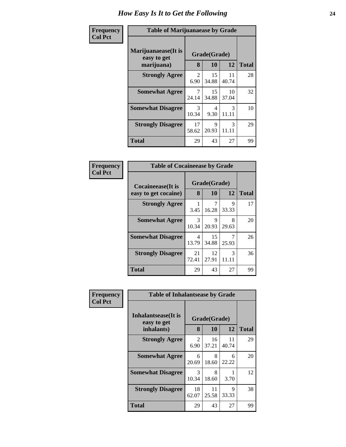#### **Frequency Col Pct**

| <b>Table of Marijuanaease by Grade</b> |                       |             |             |              |  |  |  |
|----------------------------------------|-----------------------|-------------|-------------|--------------|--|--|--|
| Marijuanaease(It is<br>easy to get     | Grade(Grade)          |             |             |              |  |  |  |
| marijuana)                             | 8                     | 10          | 12          | <b>Total</b> |  |  |  |
| <b>Strongly Agree</b>                  | $\mathcal{L}$<br>6.90 | 15<br>34.88 | 11<br>40.74 | 28           |  |  |  |
| <b>Somewhat Agree</b>                  | 7<br>24.14            | 15<br>34.88 | 10<br>37.04 | 32           |  |  |  |
| <b>Somewhat Disagree</b>               | 3<br>10.34            | 4<br>9.30   | 3<br>11.11  | 10           |  |  |  |
| <b>Strongly Disagree</b>               | 17<br>58.62           | 9<br>20.93  | 3<br>11.11  | 29           |  |  |  |
| <b>Total</b>                           | 29                    | 43          | 27          | 99           |  |  |  |

| <b>Table of Cocaineease by Grade</b> |              |             |            |              |  |  |  |
|--------------------------------------|--------------|-------------|------------|--------------|--|--|--|
| Cocaineease(It is                    | Grade(Grade) |             |            |              |  |  |  |
| easy to get cocaine)                 | 8            | 10          | 12         | <b>Total</b> |  |  |  |
| <b>Strongly Agree</b>                | 3.45         | 7<br>16.28  | 9<br>33.33 | 17           |  |  |  |
| <b>Somewhat Agree</b>                | 3<br>10.34   | 9<br>20.93  | 8<br>29.63 | 20           |  |  |  |
| <b>Somewhat Disagree</b>             | 4<br>13.79   | 15<br>34.88 | 25.93      | 26           |  |  |  |
| <b>Strongly Disagree</b>             | 21<br>72.41  | 12<br>27.91 | 3<br>11.11 | 36           |  |  |  |
| Total                                | 29           | 43          | 27         | 99           |  |  |  |

| Frequency      | <b>Table of Inhalantsease by Grade</b>           |                        |                    |             |              |
|----------------|--------------------------------------------------|------------------------|--------------------|-------------|--------------|
| <b>Col Pct</b> | Inhalantsease(It is<br>easy to get<br>inhalants) | 8                      | Grade(Grade)<br>10 | 12          | <b>Total</b> |
|                | <b>Strongly Agree</b>                            | $\overline{2}$<br>6.90 | 16<br>37.21        | 11<br>40.74 | 29           |
|                | <b>Somewhat Agree</b>                            | 6<br>20.69             | 8<br>18.60         | 6<br>22.22  | 20           |
|                | <b>Somewhat Disagree</b>                         | 3<br>10.34             | 8<br>18.60         | 3.70        | 12           |
|                | <b>Strongly Disagree</b>                         | 18<br>62.07            | 11<br>25.58        | 9<br>33.33  | 38           |
|                | <b>Total</b>                                     | 29                     | 43                 | 27          | 99           |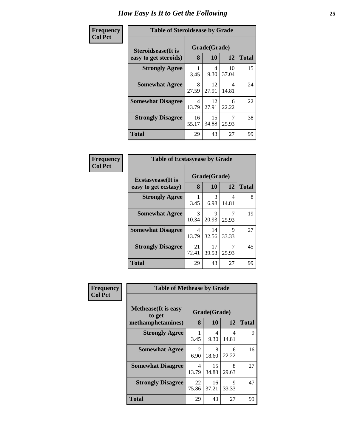| <b>Table of Steroidsease by Grade</b> |              |             |             |              |  |  |
|---------------------------------------|--------------|-------------|-------------|--------------|--|--|
| Steroidsease(It is                    | Grade(Grade) |             |             |              |  |  |
| easy to get steroids)                 | 8            | 10          | 12          | <b>Total</b> |  |  |
| <b>Strongly Agree</b>                 | 3.45         | 4<br>9.30   | 10<br>37.04 | 15           |  |  |
| <b>Somewhat Agree</b>                 | 8<br>27.59   | 12<br>27.91 | 4<br>14.81  | 24           |  |  |
| <b>Somewhat Disagree</b>              | 4<br>13.79   | 12<br>27.91 | 6<br>22.22  | 22           |  |  |
| <b>Strongly Disagree</b>              | 16<br>55.17  | 15<br>34.88 | 25.93       | 38           |  |  |
| <b>Total</b>                          | 29           | 43          | 27          | 99           |  |  |

| Frequency      | <b>Table of Ecstasyease by Grade</b>              |                               |             |            |              |  |
|----------------|---------------------------------------------------|-------------------------------|-------------|------------|--------------|--|
| <b>Col Pct</b> | <b>Ecstasyease</b> (It is<br>easy to get ecstasy) | Grade(Grade)<br>8<br>10<br>12 |             |            | <b>Total</b> |  |
|                | <b>Strongly Agree</b>                             | 3.45                          | 3<br>6.98   | 4<br>14.81 | 8            |  |
|                | <b>Somewhat Agree</b>                             | 3<br>10.34                    | 9<br>20.93  | 7<br>25.93 | 19           |  |
|                | <b>Somewhat Disagree</b>                          | 4<br>13.79                    | 14<br>32.56 | 9<br>33.33 | 27           |  |
|                | <b>Strongly Disagree</b>                          | 21<br>72.41                   | 17<br>39.53 | 7<br>25.93 | 45           |  |
|                | <b>Total</b>                                      | 29                            | 43          | 27         | 99           |  |

| Frequency      |                                                            | <b>Table of Methease by Grade</b> |                        |            |              |  |  |  |
|----------------|------------------------------------------------------------|-----------------------------------|------------------------|------------|--------------|--|--|--|
| <b>Col Pct</b> | <b>Methease</b> (It is easy<br>to get<br>methamphetamines) | 8                                 | Grade(Grade)<br>10     | 12         | <b>Total</b> |  |  |  |
|                | <b>Strongly Agree</b>                                      | 3.45                              | $\overline{4}$<br>9.30 | 4<br>14.81 | 9            |  |  |  |
|                | <b>Somewhat Agree</b>                                      | 2<br>6.90                         | 8<br>18.60             | 6<br>22.22 | 16           |  |  |  |
|                | <b>Somewhat Disagree</b>                                   | 4<br>13.79                        | 15<br>34.88            | 8<br>29.63 | 27           |  |  |  |
|                | <b>Strongly Disagree</b>                                   | 22<br>75.86                       | 16<br>37.21            | 9<br>33.33 | 47           |  |  |  |
|                | <b>Total</b>                                               | 29                                | 43                     | 27         | 99           |  |  |  |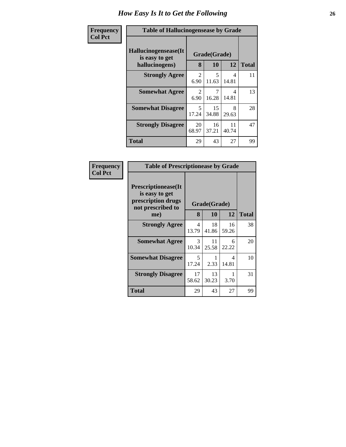| Frequency      | <b>Table of Hallucinogensease by Grade</b>               |                        |                    |             |              |  |  |
|----------------|----------------------------------------------------------|------------------------|--------------------|-------------|--------------|--|--|
| <b>Col Pct</b> | Hallucinogensease(It<br>is easy to get<br>hallucinogens) | 8                      | Grade(Grade)<br>10 | 12          | <b>Total</b> |  |  |
|                | <b>Strongly Agree</b>                                    | $\mathfrak{D}$<br>6.90 | 5<br>11.63         | 4<br>14.81  | 11           |  |  |
|                | <b>Somewhat Agree</b>                                    | $\mathfrak{D}$<br>6.90 | 7<br>16.28         | 4<br>14.81  | 13           |  |  |
|                | <b>Somewhat Disagree</b>                                 | 5<br>17.24             | 15<br>34.88        | 8<br>29.63  | 28           |  |  |
|                | <b>Strongly Disagree</b>                                 | 20<br>68.97            | 16<br>37.21        | 11<br>40.74 | 47           |  |  |
|                | <b>Total</b>                                             | 29                     | 43                 | 27          | 99           |  |  |

|                                                                                          | <b>Table of Prescriptionease by Grade</b> |              |             |              |  |  |  |
|------------------------------------------------------------------------------------------|-------------------------------------------|--------------|-------------|--------------|--|--|--|
| <b>Prescriptionease</b> (It<br>is easy to get<br>prescription drugs<br>not prescribed to |                                           | Grade(Grade) |             |              |  |  |  |
| me)                                                                                      | 8                                         | 10           | 12          | <b>Total</b> |  |  |  |
| <b>Strongly Agree</b>                                                                    | 4<br>13.79                                | 18<br>41.86  | 16<br>59.26 | 38           |  |  |  |
| <b>Somewhat Agree</b>                                                                    | $\mathcal{R}$<br>10.34                    | 11<br>25.58  | 6<br>22.22  | 20           |  |  |  |
| <b>Somewhat Disagree</b>                                                                 | 5<br>17.24                                | 2.33         | 4<br>14.81  | 10           |  |  |  |
| <b>Strongly Disagree</b>                                                                 | 17<br>58.62                               | 13<br>30.23  | 3.70        | 31           |  |  |  |
| <b>Total</b>                                                                             | 29                                        | 43           | 27          | 99           |  |  |  |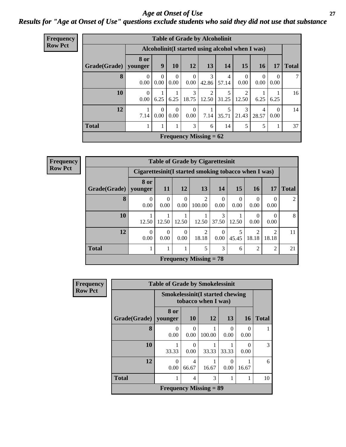### *Age at Onset of Use* **27** *Results for "Age at Onset of Use" questions exclude students who said they did not use that substance*

| <b>Frequency</b> | <b>Table of Grade by Alcoholinit</b> |                  |                  |                      |                      |                               |                                                  |                        |                      |                  |              |
|------------------|--------------------------------------|------------------|------------------|----------------------|----------------------|-------------------------------|--------------------------------------------------|------------------------|----------------------|------------------|--------------|
| <b>Row Pct</b>   |                                      |                  |                  |                      |                      |                               | Alcoholinit (I started using alcohol when I was) |                        |                      |                  |              |
|                  | Grade(Grade)                         | 8 or<br>younger  | 9                | 10                   | <b>12</b>            | 13                            | 14                                               | 15                     | <b>16</b>            | 17               | <b>Total</b> |
|                  | 8                                    | $\theta$<br>0.00 | $\theta$<br>0.00 | $\mathbf{0}$<br>0.00 | $\mathbf{0}$<br>0.00 | 3<br>42.86                    | $\overline{4}$<br>57.14                          | $\theta$<br>0.00       | $\left($<br>$0.00\,$ | $\Omega$<br>0.00 | 7            |
|                  | 10                                   | $\Omega$<br>0.00 | 6.25             | 6.25                 | 3<br>18.75           | $\overline{2}$                | $12.50 \mid 31.25$                               | 2<br>12.50             | 6.25                 | 6.25             | 16           |
|                  | 12                                   | 7.14             | $\Omega$<br>0.00 | $\Omega$<br>0.00     | $\Omega$<br>0.00     | 7.14                          | 5<br>35.71                                       | $\mathcal{E}$<br>21.43 | 4<br>28.57           | $\Omega$<br>0.00 | 14           |
|                  | <b>Total</b>                         |                  | 1                |                      | 3                    | 6                             | 14                                               | 5                      | 5                    | 1                | 37           |
|                  |                                      |                  |                  |                      |                      | <b>Frequency Missing = 62</b> |                                                  |                        |                      |                  |              |

| <b>Frequency</b> | <b>Table of Grade by Cigarettesinit</b> |                                                       |                  |                  |                               |                        |                  |                         |                         |              |
|------------------|-----------------------------------------|-------------------------------------------------------|------------------|------------------|-------------------------------|------------------------|------------------|-------------------------|-------------------------|--------------|
| <b>Row Pct</b>   |                                         | Cigarettesinit (I started smoking tobacco when I was) |                  |                  |                               |                        |                  |                         |                         |              |
|                  | Grade(Grade)                            | 8 or<br>younger                                       | <b>11</b>        | 12               | 13                            | 14                     | 15               | <b>16</b>               | 17                      | <b>Total</b> |
|                  | 8                                       | 0<br>0.00                                             | $\Omega$<br>0.00 | $\Omega$<br>0.00 | 2<br>100.00                   | $\overline{0}$<br>0.00 | $\Omega$<br>0.00 | $\Omega$<br>0.00        | $\theta$<br>0.00        | 2            |
|                  | 10                                      | 12.50                                                 | 12.50            | 12.50            | 12.50                         | 3<br>37.50             | 12.50            | $\theta$<br>0.00        | $\theta$<br>0.00        | 8            |
|                  | 12                                      | $\theta$<br>0.00                                      | $\Omega$<br>0.00 | $\Omega$<br>0.00 | $\overline{2}$<br>18.18       | $\Omega$<br>0.00       | 45.45            | $\mathfrak{D}$<br>18.18 | $\mathfrak{D}$<br>18.18 | 11           |
|                  | <b>Total</b>                            |                                                       |                  |                  | 5                             | 3                      | 6                | $\overline{c}$          | $\overline{2}$          | 21           |
|                  |                                         |                                                       |                  |                  | <b>Frequency Missing = 78</b> |                        |                  |                         |                         |              |

| <b>Frequency</b> |                        | <b>Table of Grade by Smokelessinit</b> |                  |                                                               |                  |                  |              |  |
|------------------|------------------------|----------------------------------------|------------------|---------------------------------------------------------------|------------------|------------------|--------------|--|
| <b>Row Pct</b>   |                        |                                        |                  | <b>Smokelessinit(I started chewing</b><br>tobacco when I was) |                  |                  |              |  |
|                  | Grade(Grade)   younger | 8 or                                   | <b>10</b>        | 12                                                            | 13               | <b>16</b>        | <b>Total</b> |  |
|                  | 8                      | 0<br>0.00                              | $\Omega$<br>0.00 | 100.00                                                        | $\Omega$<br>0.00 | $\Omega$<br>0.00 | 1            |  |
|                  | 10                     | 33.33                                  | 0.00             | 33.33                                                         | 33.33            | ∩<br>0.00        | 3            |  |
|                  | 12                     | $\Omega$<br>0.00                       | 4<br>66.67       | 16.67                                                         | $\Omega$<br>0.00 | 16.67            | 6            |  |
|                  | <b>Total</b>           |                                        | 4                | 3                                                             | 1                | 1                | 10           |  |
|                  |                        | <b>Frequency Missing = 89</b>          |                  |                                                               |                  |                  |              |  |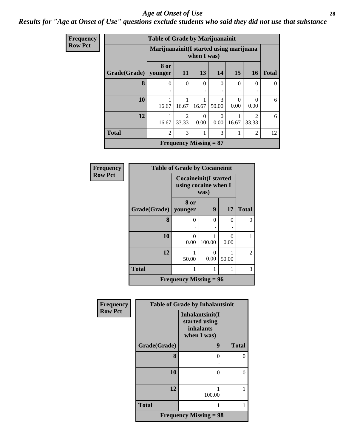#### *Age at Onset of Use* **28**

### *Results for "Age at Onset of Use" questions exclude students who said they did not use that substance*

| Frequency      |              | <b>Table of Grade by Marijuanainit</b>   |                               |                  |                  |                  |                        |              |
|----------------|--------------|------------------------------------------|-------------------------------|------------------|------------------|------------------|------------------------|--------------|
| <b>Row Pct</b> |              | Marijuanainit (I started using marijuana |                               | when I was)      |                  |                  |                        |              |
|                | Grade(Grade) | 8 or<br>younger                          | 11                            | 13               | 14               | <b>15</b>        | <b>16</b>              | <b>Total</b> |
|                | 8            | 0<br>٠                                   | $\theta$<br>٠                 | $\Omega$         | 0                | $\Omega$         | $\Omega$               | $\mathbf{0}$ |
|                | 10           | 16.67                                    | 1<br>16.67                    | 16.67            | 3<br>50.00       | $\Omega$<br>0.00 | $\Omega$<br>0.00       | 6            |
|                | 12           | 16.67                                    | $\mathfrak{D}$<br>33.33       | $\Omega$<br>0.00 | $\theta$<br>0.00 | 16.67            | $\mathcal{L}$<br>33.33 | 6            |
|                | <b>Total</b> | $\overline{2}$                           | 3                             |                  | 3                |                  | $\overline{2}$         | 12           |
|                |              |                                          | <b>Frequency Missing = 87</b> |                  |                  |                  |                        |              |

| Frequency      |                        | <b>Table of Grade by Cocaineinit</b>          |                  |           |                |  |  |
|----------------|------------------------|-----------------------------------------------|------------------|-----------|----------------|--|--|
| <b>Row Pct</b> |                        | Cocaineinit(I started<br>using cocaine when I | was)             |           |                |  |  |
|                | Grade(Grade)   younger | <b>8 or</b>                                   | $\boldsymbol{9}$ | 17        | <b>Total</b>   |  |  |
|                | 8                      | $\theta$                                      | $\Omega$         | $\Omega$  | 0              |  |  |
|                | 10                     | $\theta$<br>0.00                              | 100.00           | 0<br>0.00 |                |  |  |
|                | 12                     | 50.00                                         | $\Omega$<br>0.00 | 50.00     | $\overline{2}$ |  |  |
|                | <b>Total</b>           | 1                                             |                  | 1         | 3              |  |  |
|                |                        | <b>Frequency Missing = 96</b>                 |                  |           |                |  |  |

| Frequency      |              | <b>Table of Grade by Inhalantsinit</b>                       |              |  |  |  |  |
|----------------|--------------|--------------------------------------------------------------|--------------|--|--|--|--|
| <b>Row Pct</b> |              | Inhalantsinit(I<br>started using<br>inhalants<br>when I was) |              |  |  |  |  |
|                | Grade(Grade) | 9                                                            | <b>Total</b> |  |  |  |  |
|                | 8            | 0                                                            | 0            |  |  |  |  |
|                | 10           | 0                                                            | $\theta$     |  |  |  |  |
|                | 12           | 100.00                                                       |              |  |  |  |  |
|                | <b>Total</b> |                                                              | 1            |  |  |  |  |
|                |              | <b>Frequency Missing = 98</b>                                |              |  |  |  |  |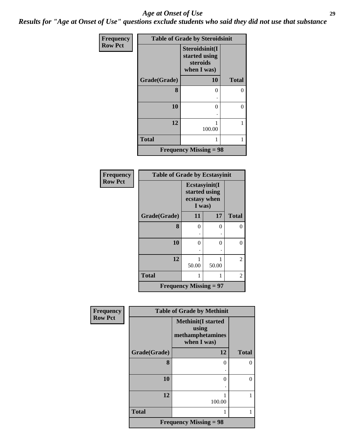#### *Age at Onset of Use* **29**

*Results for "Age at Onset of Use" questions exclude students who said they did not use that substance*

| <b>Frequency</b> |              | <b>Table of Grade by Steroidsinit</b>                      |              |
|------------------|--------------|------------------------------------------------------------|--------------|
| <b>Row Pct</b>   |              | Steroidsinit(I<br>started using<br>steroids<br>when I was) |              |
|                  | Grade(Grade) | 10                                                         | <b>Total</b> |
|                  | 8            | $\theta$                                                   | 0            |
|                  | 10           | 0                                                          | 0            |
|                  | 12           | 100.00                                                     |              |
|                  | <b>Total</b> |                                                            | 1            |
|                  |              | <b>Frequency Missing = 98</b>                              |              |

| Frequency      | <b>Table of Grade by Ecstasyinit</b> |                                                          |       |              |  |  |  |
|----------------|--------------------------------------|----------------------------------------------------------|-------|--------------|--|--|--|
| <b>Row Pct</b> |                                      | Ecstasyinit(I<br>started using<br>ecstasy when<br>I was) |       |              |  |  |  |
|                | Grade(Grade)                         | 11                                                       | 17    | <b>Total</b> |  |  |  |
|                | 8                                    | 0                                                        | 0     | 0            |  |  |  |
|                |                                      |                                                          |       |              |  |  |  |
|                | 10                                   | 0                                                        | 0     | 0            |  |  |  |
|                |                                      |                                                          |       |              |  |  |  |
|                | 12                                   | 50.00                                                    | 50.00 | 2            |  |  |  |
|                | <b>Total</b>                         | 1                                                        | 1     | 2            |  |  |  |
|                | <b>Frequency Missing = 97</b>        |                                                          |       |              |  |  |  |

| <b>Frequency</b> |              | <b>Table of Grade by Methinit</b>                                     |              |
|------------------|--------------|-----------------------------------------------------------------------|--------------|
| <b>Row Pct</b>   |              | <b>Methinit(I started</b><br>using<br>methamphetamines<br>when I was) |              |
|                  | Grade(Grade) | 12                                                                    | <b>Total</b> |
|                  | 8            | 0                                                                     | 0            |
|                  | 10           | 0                                                                     | 0            |
|                  | 12           | 100.00                                                                |              |
|                  | <b>Total</b> |                                                                       |              |
|                  |              | <b>Frequency Missing = 98</b>                                         |              |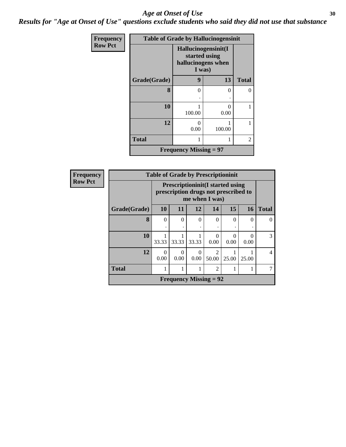#### Age at Onset of Use **30**

*Results for "Age at Onset of Use" questions exclude students who said they did not use that substance*

| Frequency      | <b>Table of Grade by Hallucinogensinit</b> |                                                                      |                           |                |  |  |  |
|----------------|--------------------------------------------|----------------------------------------------------------------------|---------------------------|----------------|--|--|--|
| <b>Row Pct</b> |                                            | Hallucinogensinit(I<br>started using<br>hallucinogens when<br>I was) |                           |                |  |  |  |
|                | Grade(Grade)                               | 9                                                                    | 13                        | <b>Total</b>   |  |  |  |
|                | 8                                          | 0                                                                    | $\Omega$                  | 0              |  |  |  |
|                | 10                                         | 100.00                                                               | $\mathbf{\Omega}$<br>0.00 |                |  |  |  |
|                | 12                                         | $\mathbf{\Omega}$<br>0.00                                            | 100.00                    |                |  |  |  |
|                | <b>Total</b>                               |                                                                      |                           | $\overline{c}$ |  |  |  |
|                |                                            | <b>Frequency Missing = 97</b>                                        |                           |                |  |  |  |

| Frequency      | <b>Table of Grade by Prescriptioninit</b> |                  |                                                                                                   |                  |                         |       |           |              |  |  |
|----------------|-------------------------------------------|------------------|---------------------------------------------------------------------------------------------------|------------------|-------------------------|-------|-----------|--------------|--|--|
| <b>Row Pct</b> |                                           |                  | <b>Prescriptioninit(I started using</b><br>prescription drugs not prescribed to<br>me when I was) |                  |                         |       |           |              |  |  |
|                | Grade(Grade)                              | 10               | 11                                                                                                | 12               | 14                      | 15    | <b>16</b> | <b>Total</b> |  |  |
|                | 8                                         | $\Omega$         | $\Omega$<br>٠                                                                                     | $\Omega$         | $\Omega$                | 0     | 0         | ∩            |  |  |
|                | 10                                        | 33.33            | 33.33                                                                                             | 33.33            | $\Omega$<br>0.00        | 0.00  | 0.00      | 3            |  |  |
|                | 12                                        | $\Omega$<br>0.00 | 0<br>0.00                                                                                         | $\Omega$<br>0.00 | $\mathfrak{D}$<br>50.00 | 25.00 | 25.00     | 4            |  |  |
|                | <b>Total</b>                              |                  | 1                                                                                                 |                  | $\overline{2}$          |       |           | 7            |  |  |
|                |                                           |                  | <b>Frequency Missing = 92</b>                                                                     |                  |                         |       |           |              |  |  |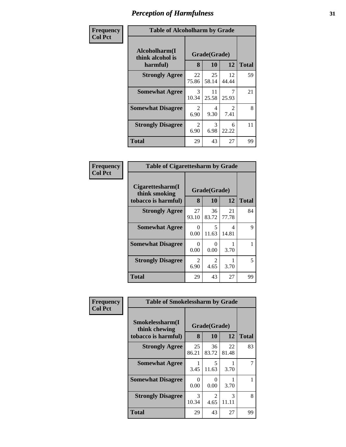| Frequency      |                                               | <b>Table of Alcoholharm by Grade</b> |                    |                        |              |  |  |
|----------------|-----------------------------------------------|--------------------------------------|--------------------|------------------------|--------------|--|--|
| <b>Col Pct</b> | Alcoholharm(I<br>think alcohol is<br>harmful) | 8                                    | Grade(Grade)<br>10 | 12                     | <b>Total</b> |  |  |
|                | <b>Strongly Agree</b>                         | 22<br>75.86                          | 25<br>58.14        | 12<br>44.44            | 59           |  |  |
|                | <b>Somewhat Agree</b>                         | 3<br>10.34                           | 11<br>25.58        | 7<br>25.93             | 21           |  |  |
|                | <b>Somewhat Disagree</b>                      | 2<br>6.90                            | 4<br>9.30          | $\mathfrak{D}$<br>7.41 | 8            |  |  |
|                | <b>Strongly Disagree</b>                      | 2<br>6.90                            | 3<br>6.98          | 6<br>22.22             | 11           |  |  |
|                | <b>Total</b>                                  | 29                                   | 43                 | 27                     | 99           |  |  |

#### **Frequency Col Pct**

| <b>Table of Cigarettesharm by Grade</b>                  |                   |             |              |    |  |  |
|----------------------------------------------------------|-------------------|-------------|--------------|----|--|--|
| Cigarettesharm(I<br>think smoking<br>tobacco is harmful) | Grade(Grade)<br>8 | 12          | <b>Total</b> |    |  |  |
| <b>Strongly Agree</b>                                    | 27<br>93.10       | 36<br>83.72 | 21<br>77.78  | 84 |  |  |
| <b>Somewhat Agree</b>                                    | 0<br>0.00         | 5<br>11.63  | 4<br>14.81   | 9  |  |  |
| <b>Somewhat Disagree</b>                                 | $\Omega$<br>0.00  | 0<br>0.00   | 3.70         | 1  |  |  |
| <b>Strongly Disagree</b>                                 | 2<br>6.90         | 2<br>4.65   | 3.70         | 5  |  |  |
| <b>Total</b>                                             | 29                | 43          | 27           | 99 |  |  |

| Frequency      |                                                         | <b>Table of Smokelessharm by Grade</b> |                           |             |              |  |  |
|----------------|---------------------------------------------------------|----------------------------------------|---------------------------|-------------|--------------|--|--|
| <b>Col Pct</b> | Smokelessharm(I<br>think chewing<br>tobacco is harmful) | 8                                      | Grade(Grade)<br>10        | 12          | <b>Total</b> |  |  |
|                | <b>Strongly Agree</b>                                   | 25<br>86.21                            | 36<br>83.72               | 22<br>81.48 | 83           |  |  |
|                | <b>Somewhat Agree</b>                                   | 3.45                                   | 5<br>11.63                | 3.70        |              |  |  |
|                | <b>Somewhat Disagree</b>                                | 0<br>0.00                              | $\mathbf{\Omega}$<br>0.00 | 3.70        |              |  |  |
|                | <b>Strongly Disagree</b>                                | 3<br>10.34                             | 2<br>4.65                 | 3<br>11.11  | 8            |  |  |
|                | <b>Total</b>                                            | 29                                     | 43                        | 27          | 99           |  |  |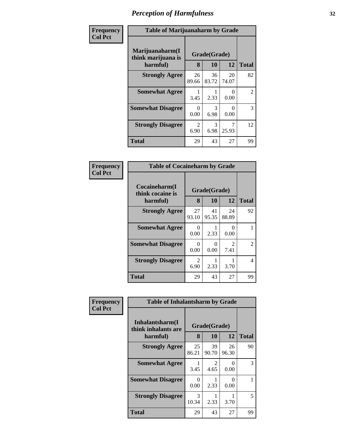| Frequency<br>Col Pct |
|----------------------|
|                      |

Е

# **Table of Marijuanaharm by Grade**

| I able of Marifuananarin by Graue     |              |             |             |              |  |  |
|---------------------------------------|--------------|-------------|-------------|--------------|--|--|
| Marijuanaharm(I<br>think marijuana is | Grade(Grade) |             |             |              |  |  |
| harmful)                              | 8            | 10          | 12          | <b>Total</b> |  |  |
| <b>Strongly Agree</b>                 | 26<br>89.66  | 36<br>83.72 | 20<br>74.07 | 82           |  |  |
| <b>Somewhat Agree</b>                 | 3.45         | 2.33        | 0.00        | 2            |  |  |
| <b>Somewhat Disagree</b>              | 0<br>0.00    | 3<br>6.98   | 0.00        | 3            |  |  |
| <b>Strongly Disagree</b>              | 2<br>6.90    | 3<br>6.98   | 25.93       | 12           |  |  |
| <b>Total</b>                          | 29           | 43          | 27          | 99           |  |  |

| <b>Table of Cocaineharm by Grade</b>          |                   |              |             |                |  |  |
|-----------------------------------------------|-------------------|--------------|-------------|----------------|--|--|
| Cocaineharm(I<br>think cocaine is<br>harmful) | Grade(Grade)<br>8 | <b>Total</b> |             |                |  |  |
| <b>Strongly Agree</b>                         | 27<br>93.10       | 41<br>95.35  | 24<br>88.89 | 92             |  |  |
| <b>Somewhat Agree</b>                         | 0<br>0.00         | 2.33         | 0<br>0.00   | 1              |  |  |
| <b>Somewhat Disagree</b>                      | 0<br>0.00         | 0<br>0.00    | 2<br>7.41   | $\mathfrak{D}$ |  |  |
| <b>Strongly Disagree</b>                      | 2<br>6.90         | 2.33         | 3.70        | 4              |  |  |
| <b>Total</b>                                  | 29                | 43           | 27          | 99             |  |  |

| Frequency      | <b>Table of Inhalantsharm by Grade</b>              |             |                    |             |              |  |
|----------------|-----------------------------------------------------|-------------|--------------------|-------------|--------------|--|
| <b>Col Pct</b> | Inhalantsharm(I)<br>think inhalants are<br>harmful) | 8           | Grade(Grade)<br>10 | 12          | <b>Total</b> |  |
|                | <b>Strongly Agree</b>                               | 25<br>86.21 | 39<br>90.70        | 26<br>96.30 | 90           |  |
|                | <b>Somewhat Agree</b>                               | 3.45        | 2<br>4.65          | 0<br>0.00   | 3            |  |
|                | <b>Somewhat Disagree</b>                            | 0<br>0.00   | 2.33               | 0<br>0.00   |              |  |
|                | <b>Strongly Disagree</b>                            | 3<br>10.34  | 2.33               | 3.70        | 5            |  |
|                | <b>Total</b>                                        | 29          | 43                 | 27          | 99           |  |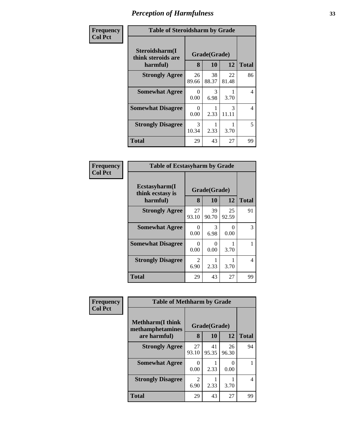| <b>Frequency</b><br>Col Pct |
|-----------------------------|
|                             |

I

### **Table of Steroidsharm by Grade**

٦

|                                                  | Table of biel oldshaftli by Grade |              |             |    |  |  |  |
|--------------------------------------------------|-----------------------------------|--------------|-------------|----|--|--|--|
| Steroidsharm(I<br>think steroids are<br>harmful) | Grade(Grade)<br>8                 | <b>Total</b> |             |    |  |  |  |
| <b>Strongly Agree</b>                            | 26<br>89.66                       | 38<br>88.37  | 22<br>81.48 | 86 |  |  |  |
| <b>Somewhat Agree</b>                            | 0<br>0.00                         | 3<br>6.98    | 3.70        | 4  |  |  |  |
| <b>Somewhat Disagree</b>                         | 0<br>0.00                         | 2.33         | 3<br>11.11  | 4  |  |  |  |
| <b>Strongly Disagree</b>                         | 3<br>10.34                        | 2.33         | 3.70        | 5  |  |  |  |
| <b>Total</b>                                     | 29                                | 43           | 27          | 99 |  |  |  |

| <b>Table of Ecstasyharm by Grade</b>                |                   |              |             |    |  |  |
|-----------------------------------------------------|-------------------|--------------|-------------|----|--|--|
| $E$ cstasyharm $(I$<br>think ecstasy is<br>harmful) | Grade(Grade)<br>8 | <b>Total</b> |             |    |  |  |
| <b>Strongly Agree</b>                               | 27<br>93.10       | 39<br>90.70  | 25<br>92.59 | 91 |  |  |
| <b>Somewhat Agree</b>                               | $\Omega$<br>0.00  | 3<br>6.98    | 0<br>0.00   | 3  |  |  |
| <b>Somewhat Disagree</b>                            | 0<br>0.00         | 0<br>0.00    | 3.70        |    |  |  |
| <b>Strongly Disagree</b>                            | 2<br>6.90         | 2.33         | 3.70        | 4  |  |  |
| <b>Total</b>                                        | 29                | 43           | 27          | 99 |  |  |

| Frequency      | <b>Table of Methharm by Grade</b>            |                        |              |             |              |
|----------------|----------------------------------------------|------------------------|--------------|-------------|--------------|
| <b>Col Pct</b> | <b>Methharm</b> (I think<br>methamphetamines |                        | Grade(Grade) |             |              |
|                | are harmful)                                 | 8                      | 10           | 12          | <b>Total</b> |
|                | <b>Strongly Agree</b>                        | 27<br>93.10            | 41<br>95.35  | 26<br>96.30 | 94           |
|                | <b>Somewhat Agree</b>                        | 0<br>0.00              | 2.33         | 0<br>0.00   |              |
|                | <b>Strongly Disagree</b>                     | $\overline{c}$<br>6.90 | 2.33         | 3.70        | 4            |
|                | <b>Total</b>                                 | 29                     | 43           | 27          | 99           |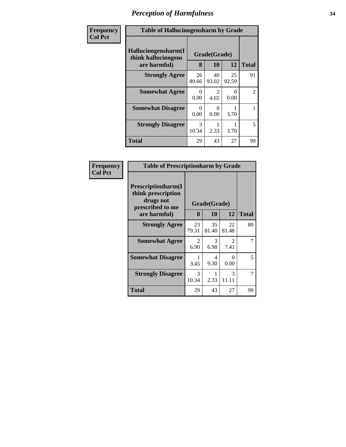| Frequency      | <b>Table of Hallucinogensharm by Grade</b>                 |                               |                           |             |                |
|----------------|------------------------------------------------------------|-------------------------------|---------------------------|-------------|----------------|
| <b>Col Pct</b> | Hallucinogensharm(I<br>think hallucinogens<br>are harmful) | Grade(Grade)<br>12<br>8<br>10 |                           |             | <b>Total</b>   |
|                | <b>Strongly Agree</b>                                      | 26<br>89.66                   | 40<br>93.02               | 25<br>92.59 | 91             |
|                | <b>Somewhat Agree</b>                                      | $\Omega$<br>0.00              | 2<br>4.65                 | 0<br>0.00   | $\overline{2}$ |
|                | <b>Somewhat Disagree</b>                                   | $\Omega$<br>0.00              | $\mathbf{\Omega}$<br>0.00 | 3.70        |                |
|                | <b>Strongly Disagree</b>                                   | $\mathcal{F}$<br>10.34        | 2.33                      | 3.70        | 5              |
|                | <b>Total</b>                                               | 29                            | 43                        | 27          | 99             |

| <b>Frequency<br/>Col Pct</b> |
|------------------------------|

| <b>Table of Prescriptionharm by Grade</b>                                         |             |              |                        |       |
|-----------------------------------------------------------------------------------|-------------|--------------|------------------------|-------|
| <b>Prescriptionharm(I)</b><br>think prescription<br>drugs not<br>prescribed to me |             | Grade(Grade) |                        |       |
| are harmful)                                                                      | 8           | 10           | 12                     | Total |
| <b>Strongly Agree</b>                                                             | 23<br>79.31 | 35<br>81.40  | 22<br>81.48            | 80    |
| <b>Somewhat Agree</b>                                                             | 2<br>6.90   | 3<br>6.98    | $\mathfrak{D}$<br>7.41 |       |
| <b>Somewhat Disagree</b>                                                          | 1<br>3.45   | 4<br>9.30    | 0<br>0.00              | 5     |
| <b>Strongly Disagree</b>                                                          | 3<br>10.34  | 2.33         | 3<br>11.11             |       |
| Total                                                                             | 29          | 43           | 27                     | 99    |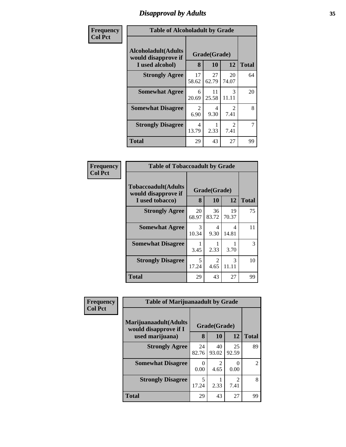# *Disapproval by Adults* **35**

| Frequency      | <b>Table of Alcoholadult by Grade</b>                                 |             |                    |                                     |                |  |
|----------------|-----------------------------------------------------------------------|-------------|--------------------|-------------------------------------|----------------|--|
| <b>Col Pct</b> | <b>Alcoholadult</b> (Adults<br>would disapprove if<br>I used alcohol) | 8           | Grade(Grade)<br>10 | <b>Total</b>                        |                |  |
|                | <b>Strongly Agree</b>                                                 | 17<br>58.62 | 27<br>62.79        | 20<br>74.07                         | 64             |  |
|                | <b>Somewhat Agree</b>                                                 | 6<br>20.69  | 11<br>25.58        | 3<br>11.11                          | 20             |  |
|                | <b>Somewhat Disagree</b>                                              | 2<br>6.90   | 4<br>9.30          | $\mathcal{D}_{\mathcal{L}}$<br>7.41 | 8              |  |
|                | <b>Strongly Disagree</b>                                              | 4<br>13.79  | 2.33               | $\mathcal{L}$<br>7.41               | $\overline{7}$ |  |
|                | Total                                                                 | 29          | 43                 | 27                                  | 99             |  |

| Frequency<br>Col Pct |
|----------------------|
|                      |

| <b>Table of Tobaccoadult by Grade</b>                                 |             |                          |             |    |  |  |
|-----------------------------------------------------------------------|-------------|--------------------------|-------------|----|--|--|
| <b>Tobaccoadult</b> (Adults<br>would disapprove if<br>I used tobacco) | 8           | Grade(Grade)<br>10<br>12 |             |    |  |  |
| <b>Strongly Agree</b>                                                 | 20<br>68.97 | 36<br>83.72              | 19<br>70.37 | 75 |  |  |
| <b>Somewhat Agree</b>                                                 | 3<br>10.34  | 4<br>9.30                | 4<br>14.81  | 11 |  |  |
| <b>Somewhat Disagree</b>                                              | 3.45        | 2.33                     | 3.70        | 3  |  |  |
| <b>Strongly Disagree</b>                                              | 5<br>17.24  | 2<br>4.65                | 3<br>11.11  | 10 |  |  |
| <b>Total</b>                                                          | 29          | 43                       | 27          | 99 |  |  |

| Frequency      |                                                | <b>Table of Marijuanaadult by Grade</b> |             |                        |              |
|----------------|------------------------------------------------|-----------------------------------------|-------------|------------------------|--------------|
| <b>Col Pct</b> | Marijuanaadult(Adults<br>would disapprove if I | Grade(Grade)                            |             |                        |              |
|                | used marijuana)                                | 8                                       | 10          | 12                     | <b>Total</b> |
|                | <b>Strongly Agree</b>                          | 24<br>82.76                             | 40<br>93.02 | 25<br>92.59            | 89           |
|                | <b>Somewhat Disagree</b>                       | $\theta$<br>0.00                        | 4.65        | $\Omega$<br>0.00       | 2            |
|                | <b>Strongly Disagree</b>                       | 5<br>17.24                              | 2.33        | $\overline{2}$<br>7.41 | 8            |
|                | <b>Total</b>                                   | 29                                      | 43          | 27                     | 99           |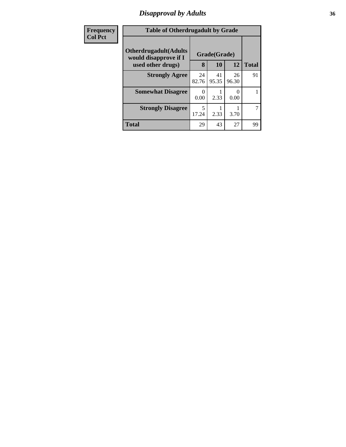# *Disapproval by Adults* **36**

| <b>Frequency</b>  | <b>Table of Otherdrugadult by Grade</b>                |                           |             |              |    |
|-------------------|--------------------------------------------------------|---------------------------|-------------|--------------|----|
| <b>Col Pct</b>    | <b>Otherdrugadult</b> (Adults<br>would disapprove if I | Grade(Grade)              |             |              |    |
| used other drugs) | 8                                                      | 10                        | 12          | <b>Total</b> |    |
|                   | <b>Strongly Agree</b>                                  | 24<br>82.76               | 41<br>95.35 | 26<br>96.30  | 91 |
|                   | <b>Somewhat Disagree</b>                               | $\mathbf{\Omega}$<br>0.00 | 2.33        | 0.00         |    |
|                   | <b>Strongly Disagree</b>                               | 5<br>17.24                | 2.33        | 3.70         | 7  |
|                   | Total                                                  | 29                        | 43          | 27           | 99 |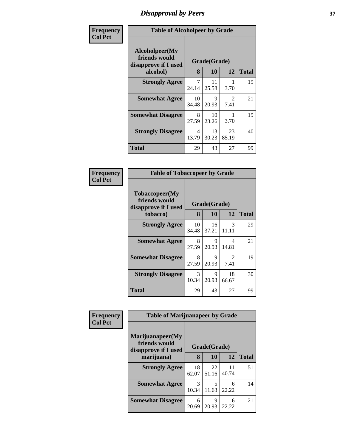## *Disapproval by Peers* **37**

| Frequency      | <b>Table of Alcoholpeer by Grade</b>                    |             |              |                        |              |  |  |
|----------------|---------------------------------------------------------|-------------|--------------|------------------------|--------------|--|--|
| <b>Col Pct</b> | Alcoholpeer(My<br>friends would<br>disapprove if I used |             | Grade(Grade) |                        |              |  |  |
|                | alcohol)                                                | 8           | 10           | 12                     | <b>Total</b> |  |  |
|                | <b>Strongly Agree</b>                                   | 7<br>24.14  | 11<br>25.58  | 3.70                   | 19           |  |  |
|                | <b>Somewhat Agree</b>                                   | 10<br>34.48 | 9<br>20.93   | $\mathfrak{D}$<br>7.41 | 21           |  |  |
|                | <b>Somewhat Disagree</b>                                | 8<br>27.59  | 10<br>23.26  | 3.70                   | 19           |  |  |
|                | <b>Strongly Disagree</b>                                | 4<br>13.79  | 13<br>30.23  | 23<br>85.19            | 40           |  |  |
|                | Total                                                   | 29          | 43           | 27                     | 99           |  |  |

| Frequency      | <b>Table of Tobaccopeer by Grade</b>                                |            |                    |                        |              |  |  |
|----------------|---------------------------------------------------------------------|------------|--------------------|------------------------|--------------|--|--|
| <b>Col Pct</b> | Tobaccopeer(My<br>friends would<br>disapprove if I used<br>tobacco) | 8          | Grade(Grade)<br>10 | 12                     | <b>Total</b> |  |  |
|                | <b>Strongly Agree</b>                                               | 10         | 16                 | 3                      | 29           |  |  |
|                |                                                                     | 34.48      | 37.21              | 11.11                  |              |  |  |
|                | <b>Somewhat Agree</b>                                               | 8<br>27.59 | 9<br>20.93         | 4<br>14.81             | 21           |  |  |
|                | <b>Somewhat Disagree</b>                                            | 8<br>27.59 | 9<br>20.93         | $\overline{2}$<br>7.41 | 19           |  |  |
|                | <b>Strongly Disagree</b>                                            | 3<br>10.34 | 9<br>20.93         | 18<br>66.67            | 30           |  |  |
|                | Total                                                               | 29         | 43                 | 27                     | 99           |  |  |

| <b>Frequency</b> |                                                                         | <b>Table of Marijuanapeer by Grade</b> |             |             |              |  |  |
|------------------|-------------------------------------------------------------------------|----------------------------------------|-------------|-------------|--------------|--|--|
| <b>Col Pct</b>   | Marijuanapeer(My<br>friends would<br>disapprove if I used<br>marijuana) | Grade(Grade)<br>12<br>8<br>10          |             |             | <b>Total</b> |  |  |
|                  | <b>Strongly Agree</b>                                                   | 18<br>62.07                            | 22<br>51.16 | 11<br>40.74 | 51           |  |  |
|                  | <b>Somewhat Agree</b>                                                   | 3<br>10.34                             | 5<br>11.63  | 6<br>22.22  | 14           |  |  |
|                  | <b>Somewhat Disagree</b>                                                | 6<br>20.69                             | 9<br>20.93  | 6<br>22.22  | 21           |  |  |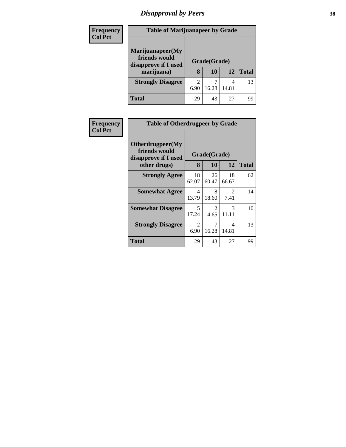# *Disapproval by Peers* **38**

| <b>Frequency</b> | <b>Table of Marijuanapeer by Grade</b>                                  |           |                    |       |              |
|------------------|-------------------------------------------------------------------------|-----------|--------------------|-------|--------------|
| <b>Col Pct</b>   | Marijuanapeer(My<br>friends would<br>disapprove if I used<br>marijuana) | 8         | Grade(Grade)<br>10 | 12    | <b>Total</b> |
|                  | <b>Strongly Disagree</b>                                                | 2<br>6.90 | 16.28              | 14.81 | 13           |
|                  | Total                                                                   | 29        | 43                 | 27    | 99           |

| Frequency      | <b>Table of Otherdrugpeer by Grade</b>                                    |                               |             |                                     |    |  |  |  |  |
|----------------|---------------------------------------------------------------------------|-------------------------------|-------------|-------------------------------------|----|--|--|--|--|
| <b>Col Pct</b> | Otherdrugpeer(My<br>friends would<br>disapprove if I used<br>other drugs) | Grade(Grade)<br>8<br>12<br>10 |             | <b>Total</b>                        |    |  |  |  |  |
|                |                                                                           |                               |             |                                     |    |  |  |  |  |
|                | <b>Strongly Agree</b>                                                     | 18<br>62.07                   | 26<br>60.47 | 18<br>66.67                         | 62 |  |  |  |  |
|                | <b>Somewhat Agree</b>                                                     | 4<br>13.79                    | 8<br>18.60  | $\mathcal{D}_{\mathcal{L}}$<br>7.41 | 14 |  |  |  |  |
|                | <b>Somewhat Disagree</b>                                                  | 5<br>17.24                    | 2<br>4.65   | 3<br>11.11                          | 10 |  |  |  |  |
|                | <b>Strongly Disagree</b>                                                  | 2<br>6.90                     | 7<br>16.28  | 4<br>14.81                          | 13 |  |  |  |  |
|                | Total                                                                     | 29                            | 43          | 27                                  | 99 |  |  |  |  |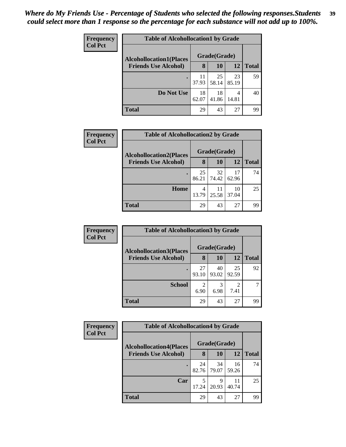| <b>Frequency</b> | <b>Table of Alcohollocation1 by Grade</b> |             |              |             |              |
|------------------|-------------------------------------------|-------------|--------------|-------------|--------------|
| <b>Col Pct</b>   | <b>Alcohollocation1(Places</b>            |             | Grade(Grade) |             |              |
|                  | <b>Friends Use Alcohol)</b>               | 8           | 10           | 12          | <b>Total</b> |
|                  |                                           | 11<br>37.93 | 25<br>58.14  | 23<br>85.19 | 59           |
|                  | Do Not Use                                | 18<br>62.07 | 18<br>41.86  | 4<br>14.81  | 40           |
|                  | Total                                     | 29          | 43           | 27          | 99           |

| Frequency      | <b>Table of Alcohollocation2 by Grade</b> |             |              |             |              |  |
|----------------|-------------------------------------------|-------------|--------------|-------------|--------------|--|
| <b>Col Pct</b> | <b>Alcohollocation2(Places</b>            |             | Grade(Grade) |             |              |  |
|                | <b>Friends Use Alcohol)</b>               | 8           | <b>10</b>    | 12          | <b>Total</b> |  |
|                |                                           | 25<br>86.21 | 32<br>74.42  | 17<br>62.96 | 74           |  |
|                | Home                                      | 4<br>13.79  | 11<br>25.58  | 10<br>37.04 | 25           |  |
|                | <b>Total</b>                              | 29          | 43           | 27          | 99           |  |

| Frequency      | <b>Table of Alcohollocation3 by Grade</b> |       |              |                |              |
|----------------|-------------------------------------------|-------|--------------|----------------|--------------|
| <b>Col Pct</b> | <b>Alcohollocation3(Places</b>            |       | Grade(Grade) |                |              |
|                | <b>Friends Use Alcohol)</b>               | 8     | 10           | <b>12</b>      | <b>Total</b> |
|                |                                           | 27    | 40           | 25             | 92           |
|                |                                           | 93.10 | 93.02        | 92.59          |              |
|                | <b>School</b>                             | 2     | 3            | $\overline{2}$ |              |
|                |                                           | 6.90  | 6.98         | 7.41           |              |
|                | <b>Total</b>                              | 29    | 43           | 27             | 99           |

| <b>Frequency</b> | <b>Table of Alcohollocation4 by Grade</b> |             |              |             |              |  |
|------------------|-------------------------------------------|-------------|--------------|-------------|--------------|--|
| <b>Col Pct</b>   | <b>Alcohollocation4(Places</b>            |             | Grade(Grade) |             |              |  |
|                  | <b>Friends Use Alcohol)</b>               | 8           | <b>10</b>    | 12          | <b>Total</b> |  |
|                  |                                           | 24<br>82.76 | 34<br>79.07  | 16<br>59.26 | 74           |  |
|                  | Car                                       | 5<br>17.24  | 9<br>20.93   | 11<br>40.74 | 25           |  |
|                  | <b>Total</b>                              | 29          | 43           | 27          | 99           |  |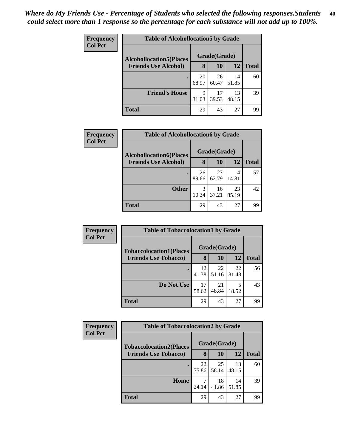| <b>Frequency</b> | <b>Table of Alcohollocation5 by Grade</b>                      |              |             |             |              |  |  |
|------------------|----------------------------------------------------------------|--------------|-------------|-------------|--------------|--|--|
| <b>Col Pct</b>   | <b>Alcohollocation5</b> (Places<br><b>Friends Use Alcohol)</b> | Grade(Grade) |             |             |              |  |  |
|                  |                                                                | 8            | 10          | 12          | <b>Total</b> |  |  |
|                  |                                                                | 20<br>68.97  | 26<br>60.47 | 14<br>51.85 | 60           |  |  |
|                  | <b>Friend's House</b>                                          | 9<br>31.03   | 17<br>39.53 | 13<br>48.15 | 39           |  |  |
|                  | <b>Total</b>                                                   | 29           | 43          | 27          | 99           |  |  |

| <b>Frequency</b> | <b>Table of Alcohollocation6 by Grade</b> |             |              |             |              |  |  |  |
|------------------|-------------------------------------------|-------------|--------------|-------------|--------------|--|--|--|
| <b>Col Pct</b>   | <b>Alcohollocation6(Places</b>            |             | Grade(Grade) |             |              |  |  |  |
|                  | <b>Friends Use Alcohol)</b>               | 8           | 10           | 12          | <b>Total</b> |  |  |  |
|                  |                                           | 26<br>89.66 | 27<br>62.79  | 4<br>14.81  | 57           |  |  |  |
|                  | <b>Other</b>                              | 3<br>10.34  | 16<br>37.21  | 23<br>85.19 | 42           |  |  |  |
|                  | Total                                     | 29          | 43           | 27          | 99           |  |  |  |

| Frequency<br><b>Col Pct</b> | <b>Table of Tobaccolocation1 by Grade</b> |             |              |             |              |  |
|-----------------------------|-------------------------------------------|-------------|--------------|-------------|--------------|--|
|                             | <b>Tobaccolocation1(Places</b>            |             | Grade(Grade) |             |              |  |
|                             | <b>Friends Use Tobacco)</b>               | 8           | 10           | 12          | <b>Total</b> |  |
|                             |                                           | 12<br>41.38 | 22<br>51.16  | 22<br>81.48 | 56           |  |
|                             | Do Not Use                                | 17<br>58.62 | 21<br>48.84  | 18.52       | 43           |  |
|                             | <b>Total</b>                              | 29          | 43           | 27          | 99           |  |

| Frequency      | <b>Table of Tobaccolocation2 by Grade</b> |              |             |             |              |  |  |
|----------------|-------------------------------------------|--------------|-------------|-------------|--------------|--|--|
| <b>Col Pct</b> | <b>Tobaccolocation2(Places</b>            | Grade(Grade) |             |             |              |  |  |
|                | <b>Friends Use Tobacco)</b>               | 8            | <b>10</b>   | 12          | <b>Total</b> |  |  |
|                |                                           | 22<br>75.86  | 25<br>58.14 | 13<br>48.15 | 60           |  |  |
|                | Home                                      | 7<br>24.14   | 18<br>41.86 | 14<br>51.85 | 39           |  |  |
|                | <b>Total</b>                              | 29           | 43          | 27          | 99           |  |  |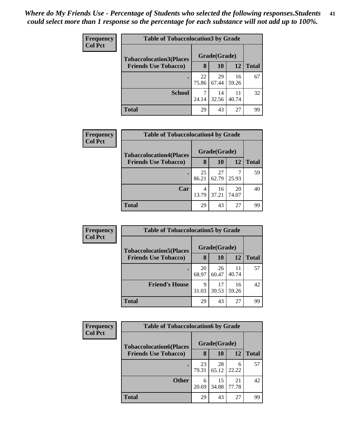| Frequency      | <b>Table of Tobaccolocation3 by Grade</b> |              |             |             |              |  |  |  |  |
|----------------|-------------------------------------------|--------------|-------------|-------------|--------------|--|--|--|--|
| <b>Col Pct</b> | <b>Tobaccolocation3(Places</b>            | Grade(Grade) |             |             |              |  |  |  |  |
|                | <b>Friends Use Tobacco)</b>               | 8            | 10          | 12          | <b>Total</b> |  |  |  |  |
|                |                                           | 22<br>75.86  | 29<br>67.44 | 16<br>59.26 | 67           |  |  |  |  |
|                | <b>School</b>                             | 7<br>24.14   | 14<br>32.56 | 11<br>40.74 | 32           |  |  |  |  |
|                | <b>Total</b>                              | 29           | 43          | 27          | 99           |  |  |  |  |

| <b>Frequency</b> | <b>Table of Tobaccolocation4 by Grade</b> |             |              |             |              |  |  |  |
|------------------|-------------------------------------------|-------------|--------------|-------------|--------------|--|--|--|
| <b>Col Pct</b>   | <b>Tobaccolocation4(Places</b>            |             | Grade(Grade) |             |              |  |  |  |
|                  | <b>Friends Use Tobacco)</b>               | 8           | 10           | 12          | <b>Total</b> |  |  |  |
|                  |                                           | 25<br>86.21 | 27<br>62.79  | 25.93       | 59           |  |  |  |
|                  | Car                                       | 4<br>13.79  | 16<br>37.21  | 20<br>74.07 | 40           |  |  |  |
|                  | <b>Total</b>                              | 29          | 43           | 27          | 99           |  |  |  |

| <b>Frequency</b> | <b>Table of Tobaccolocation5 by Grade</b>                     |             |              |             |              |  |
|------------------|---------------------------------------------------------------|-------------|--------------|-------------|--------------|--|
| <b>Col Pct</b>   | <b>Tobaccolocation5(Places</b><br><b>Friends Use Tobacco)</b> |             | Grade(Grade) |             |              |  |
|                  |                                                               | 8           | 10           | 12          | <b>Total</b> |  |
|                  |                                                               | 20<br>68.97 | 26<br>60.47  | 11<br>40.74 | 57           |  |
|                  | <b>Friend's House</b>                                         | 9<br>31.03  | 17<br>39.53  | 16<br>59.26 | 42           |  |
|                  | <b>Total</b>                                                  | 29          | 43           | 27          | 99           |  |

| Frequency<br><b>Col Pct</b> | <b>Table of Tobaccolocation6 by Grade</b> |             |              |             |              |  |  |
|-----------------------------|-------------------------------------------|-------------|--------------|-------------|--------------|--|--|
|                             | <b>Tobaccolocation6(Places</b>            |             | Grade(Grade) |             |              |  |  |
|                             | <b>Friends Use Tobacco)</b>               | 8           | 10           | 12          | <b>Total</b> |  |  |
|                             |                                           | 23<br>79.31 | 28<br>65.12  | 6<br>22.22  | 57           |  |  |
|                             | <b>Other</b>                              | 6<br>20.69  | 15<br>34.88  | 21<br>77.78 | 42           |  |  |
|                             | <b>Total</b>                              | 29          | 43           | 27          | 99           |  |  |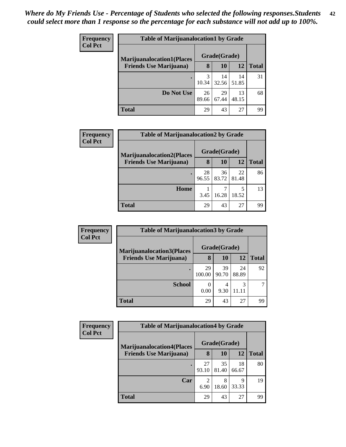| <b>Frequency</b> | <b>Table of Marijuanalocation1 by Grade</b>                        |              |             |             |              |  |
|------------------|--------------------------------------------------------------------|--------------|-------------|-------------|--------------|--|
| <b>Col Pct</b>   | <b>Marijuanalocation1(Places</b><br><b>Friends Use Marijuana</b> ) | Grade(Grade) |             |             |              |  |
|                  |                                                                    | 8            | 10          | 12          | <b>Total</b> |  |
|                  |                                                                    | 3<br>10.34   | 14<br>32.56 | 14<br>51.85 | 31           |  |
|                  | Do Not Use                                                         | 26<br>89.66  | 29<br>67.44 | 13<br>48.15 | 68           |  |
|                  | <b>Total</b>                                                       | 29           | 43          | 27          | 99           |  |

| <b>Frequency</b> |                                   | <b>Table of Marijuanalocation2 by Grade</b> |              |             |              |  |  |  |
|------------------|-----------------------------------|---------------------------------------------|--------------|-------------|--------------|--|--|--|
| <b>Col Pct</b>   | <b>Marijuanalocation2(Places)</b> |                                             | Grade(Grade) |             |              |  |  |  |
|                  | <b>Friends Use Marijuana</b> )    | 8                                           | 10           | 12          | <b>Total</b> |  |  |  |
|                  |                                   | 28<br>96.55                                 | 36<br>83.72  | 22<br>81.48 | 86           |  |  |  |
|                  | Home                              | 3.45                                        | 16.28        | 18.52       | 13           |  |  |  |
|                  | Total                             | 29                                          | 43           | 27          | 99           |  |  |  |

| Frequency                      | <b>Table of Marijuanalocation3 by Grade</b> |              |              |              |    |  |  |
|--------------------------------|---------------------------------------------|--------------|--------------|--------------|----|--|--|
| <b>Col Pct</b>                 | <b>Marijuanalocation3</b> (Places           |              | Grade(Grade) |              |    |  |  |
| <b>Friends Use Marijuana</b> ) | 8                                           | 10           | 12           | <b>Total</b> |    |  |  |
|                                |                                             | 29<br>100.00 | 39<br>90.70  | 24<br>88.89  | 92 |  |  |
|                                | <b>School</b>                               | 0<br>0.00    | 4<br>9.30    | 3            |    |  |  |
|                                | <b>Total</b>                                | 29           | 43           | 27           | 99 |  |  |

| <b>Frequency</b> | <b>Table of Marijuanalocation4 by Grade</b> |             |              |             |              |  |  |  |
|------------------|---------------------------------------------|-------------|--------------|-------------|--------------|--|--|--|
| <b>Col Pct</b>   | <b>Marijuanalocation4(Places</b>            |             | Grade(Grade) |             |              |  |  |  |
|                  | <b>Friends Use Marijuana</b> )              | 8           | <b>10</b>    | 12          | <b>Total</b> |  |  |  |
|                  |                                             | 27<br>93.10 | 35<br>81.40  | 18<br>66.67 | 80           |  |  |  |
|                  | Car                                         | ↑<br>6.90   | 8<br>18.60   | Q<br>33.33  | 19           |  |  |  |
|                  | Total                                       | 29          | 43           | 27          | 99           |  |  |  |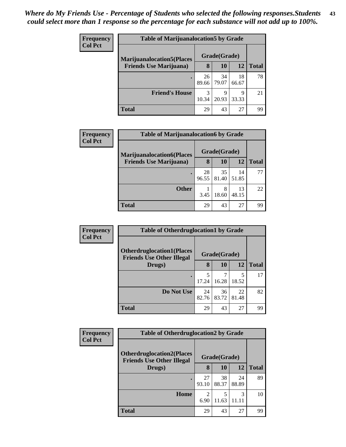| <b>Frequency</b> | <b>Table of Marijuanalocation5 by Grade</b> |             |              |             |              |  |
|------------------|---------------------------------------------|-------------|--------------|-------------|--------------|--|
| <b>Col Pct</b>   | <b>Marijuanalocation5</b> (Places           |             | Grade(Grade) |             |              |  |
|                  | <b>Friends Use Marijuana</b> )              | 8           | 10           | 12          | <b>Total</b> |  |
|                  | $\bullet$                                   | 26<br>89.66 | 34<br>79.07  | 18<br>66.67 | 78           |  |
|                  | <b>Friend's House</b>                       | 3<br>10.34  | q<br>20.93   | Q<br>33.33  | 21           |  |
|                  | <b>Total</b>                                | 29          | 43           | 27          | 99           |  |

| <b>Frequency</b> | <b>Table of Marijuanalocation6 by Grade</b> |             |              |             |              |
|------------------|---------------------------------------------|-------------|--------------|-------------|--------------|
| <b>Col Pct</b>   | <b>Marijuanalocation6(Places</b>            |             | Grade(Grade) |             |              |
|                  | <b>Friends Use Marijuana</b> )              | 8           | 10           | 12          | <b>Total</b> |
|                  |                                             | 28<br>96.55 | 35<br>81.40  | 14<br>51.85 | 77           |
|                  | <b>Other</b>                                | 3.45        | 8<br>18.60   | 13<br>48.15 | 22           |
|                  | <b>Total</b>                                | 29          | 43           | 27          | 99           |

| <b>Frequency</b> | <b>Table of Otherdruglocation1 by Grade</b>                          |             |              |             |              |  |
|------------------|----------------------------------------------------------------------|-------------|--------------|-------------|--------------|--|
| <b>Col Pct</b>   | <b>Otherdruglocation1(Places</b><br><b>Friends Use Other Illegal</b> |             | Grade(Grade) |             |              |  |
|                  | Drugs)                                                               | 8           | <b>10</b>    | 12          | <b>Total</b> |  |
|                  | $\bullet$                                                            | 5<br>17.24  | 7<br>16.28   | 18.52       | 17           |  |
|                  | Do Not Use                                                           | 24<br>82.76 | 36<br>83.72  | 22<br>81.48 | 82           |  |
|                  | <b>Total</b>                                                         | 29          | 43           | 27          | 99           |  |

| Frequency      | <b>Table of Otherdruglocation2 by Grade</b>                          |             |              |             |              |
|----------------|----------------------------------------------------------------------|-------------|--------------|-------------|--------------|
| <b>Col Pct</b> | <b>Otherdruglocation2(Places</b><br><b>Friends Use Other Illegal</b> |             | Grade(Grade) |             |              |
|                | Drugs)                                                               | 8           | <b>10</b>    | 12          | <b>Total</b> |
|                | $\bullet$                                                            | 27<br>93.10 | 38<br>88.37  | 24<br>88.89 | 89           |
|                | Home                                                                 | 2<br>6.90   | 5<br>11.63   | 3<br>11.II  | 10           |
|                | <b>Total</b>                                                         | 29          | 43           | 27          | 99           |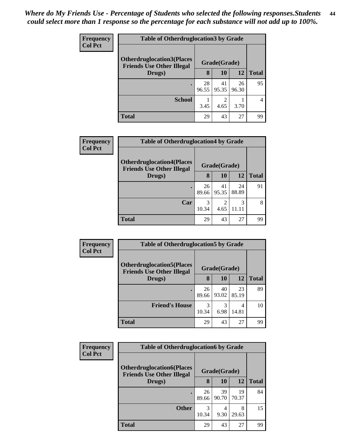| <b>Frequency</b> | <b>Table of Otherdruglocation 3 by Grade</b>                         |             |              |             |                |  |
|------------------|----------------------------------------------------------------------|-------------|--------------|-------------|----------------|--|
| <b>Col Pct</b>   | <b>Otherdruglocation3(Places</b><br><b>Friends Use Other Illegal</b> |             | Grade(Grade) |             |                |  |
|                  | Drugs)                                                               | 8           | 10           | 12          | <b>Total</b>   |  |
|                  | $\bullet$                                                            | 28<br>96.55 | 41<br>95.35  | 26<br>96.30 | 95             |  |
|                  | <b>School</b>                                                        | 3.45        | 2<br>4.65    | 3.70        | $\overline{4}$ |  |
|                  | <b>Total</b>                                                         | 29          | 43           | 27          | 99             |  |

| <b>Frequency</b><br><b>Col Pct</b> | <b>Table of Otherdruglocation4 by Grade</b>                          |             |                        |             |              |
|------------------------------------|----------------------------------------------------------------------|-------------|------------------------|-------------|--------------|
|                                    | <b>Otherdruglocation4(Places</b><br><b>Friends Use Other Illegal</b> |             | Grade(Grade)           |             |              |
|                                    | Drugs)                                                               | 8           | <b>10</b>              | 12          | <b>Total</b> |
|                                    |                                                                      | 26<br>89.66 | 41<br>95.35            | 24<br>88.89 | 91           |
|                                    | Car                                                                  | 3<br>10.34  | $\overline{2}$<br>4.65 | 3           | 8            |
|                                    | <b>Total</b>                                                         | 29          | 43                     | 27          | 99           |

| <b>Frequency</b> | <b>Table of Otherdruglocation5 by Grade</b>                           |             |              |             |              |  |
|------------------|-----------------------------------------------------------------------|-------------|--------------|-------------|--------------|--|
| <b>Col Pct</b>   | <b>Otherdruglocation5</b> (Places<br><b>Friends Use Other Illegal</b> |             | Grade(Grade) |             |              |  |
|                  | Drugs)                                                                | 8           | 10           | 12          | <b>Total</b> |  |
|                  |                                                                       | 26<br>89.66 | 40<br>93.02  | 23<br>85.19 | 89           |  |
|                  | <b>Friend's House</b>                                                 | 3<br>10.34  | 3<br>6.98    | 4<br>14.81  | 10           |  |
|                  | Total                                                                 | 29          | 43           | 27          | 99           |  |

| <b>Frequency</b> | <b>Table of Otherdruglocation6 by Grade</b>                          |              |             |             |              |  |
|------------------|----------------------------------------------------------------------|--------------|-------------|-------------|--------------|--|
| <b>Col Pct</b>   | <b>Otherdruglocation6(Places</b><br><b>Friends Use Other Illegal</b> | Grade(Grade) |             |             |              |  |
|                  | Drugs)                                                               | 8            | 10          | 12          | <b>Total</b> |  |
|                  |                                                                      | 26<br>89.66  | 39<br>90.70 | 19<br>70.37 | 84           |  |
|                  | <b>Other</b>                                                         | 3<br>10.34   | 4<br>9.30   | 8<br>29.63  | 15           |  |
|                  | <b>Total</b>                                                         | 29           | 43          | 27          | 99           |  |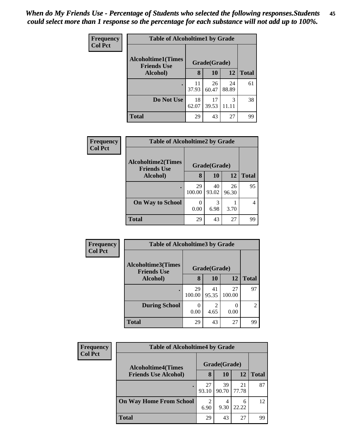| <b>Frequency</b><br><b>Col Pct</b> | <b>Table of Alcoholtime1 by Grade</b>           |             |              |             |              |  |
|------------------------------------|-------------------------------------------------|-------------|--------------|-------------|--------------|--|
|                                    | <b>Alcoholtime1(Times</b><br><b>Friends Use</b> |             | Grade(Grade) |             |              |  |
|                                    | Alcohol)                                        | 8           | 10           | <b>12</b>   | <b>Total</b> |  |
|                                    |                                                 | 11<br>37.93 | 26<br>60.47  | 24<br>88.89 | 61           |  |
|                                    | Do Not Use                                      | 18<br>62.07 | 17<br>39.53  | 3<br>11.11  | 38           |  |
|                                    | <b>Total</b>                                    | 29          | 43           | 27          | 99           |  |

| <b>Frequency</b> |                                                 | <b>Table of Alcoholtime2 by Grade</b> |              |             |              |  |  |
|------------------|-------------------------------------------------|---------------------------------------|--------------|-------------|--------------|--|--|
| <b>Col Pct</b>   | <b>Alcoholtime2(Times</b><br><b>Friends Use</b> |                                       | Grade(Grade) |             |              |  |  |
|                  | Alcohol)                                        | 8                                     | <b>10</b>    | 12          | <b>Total</b> |  |  |
|                  |                                                 | 29<br>100.00                          | 40<br>93.02  | 26<br>96.30 | 95           |  |  |
|                  | <b>On Way to School</b>                         | $\mathbf{\Omega}$<br>0.00             | 3<br>6.98    | 3.70        |              |  |  |
|                  | <b>Total</b>                                    | 29                                    | 43           | 27          | 99           |  |  |

| Frequency      | <b>Table of Alcoholtime3 by Grade</b>           |              |                                     |              |                |  |
|----------------|-------------------------------------------------|--------------|-------------------------------------|--------------|----------------|--|
| <b>Col Pct</b> | <b>Alcoholtime3(Times</b><br><b>Friends Use</b> |              | Grade(Grade)                        |              |                |  |
|                | Alcohol)                                        | 8            | <b>10</b>                           | 12           | <b>Total</b>   |  |
|                |                                                 | 29<br>100.00 | 41<br>95.35                         | 27<br>100.00 | 97             |  |
|                | <b>During School</b>                            | 0.00         | $\mathcal{D}_{\mathcal{L}}$<br>4.65 | 0.00         | $\overline{2}$ |  |
|                | Total                                           | 29           | 43                                  | 27           | 99             |  |

| <b>Frequency</b> | <b>Table of Alcoholtime4 by Grade</b>                    |             |              |             |              |  |
|------------------|----------------------------------------------------------|-------------|--------------|-------------|--------------|--|
| <b>Col Pct</b>   | <b>Alcoholtime4(Times</b><br><b>Friends Use Alcohol)</b> |             | Grade(Grade) |             |              |  |
|                  |                                                          | 8           | 10           | 12          | <b>Total</b> |  |
|                  |                                                          | 27<br>93.10 | 39<br>90.70  | 21<br>77.78 | 87           |  |
|                  | <b>On Way Home From School</b>                           | 2<br>6.90   | 4<br>9.30    | 6<br>22.22  | 12           |  |
|                  | <b>Total</b>                                             | 29          | 43           | 27          | 99           |  |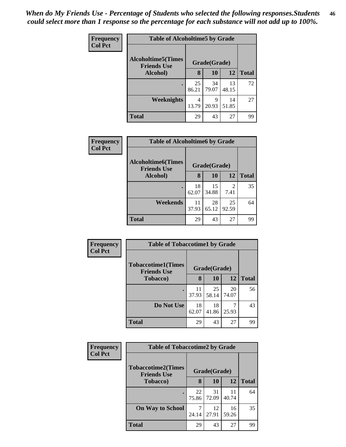| <b>Frequency</b> | <b>Table of Alcoholtime5 by Grade</b>           |             |              |             |              |  |
|------------------|-------------------------------------------------|-------------|--------------|-------------|--------------|--|
| <b>Col Pct</b>   | <b>Alcoholtime5(Times</b><br><b>Friends Use</b> |             | Grade(Grade) |             |              |  |
|                  | Alcohol)                                        | 8           | 10           | <b>12</b>   | <b>Total</b> |  |
|                  |                                                 | 25<br>86.21 | 34<br>79.07  | 13<br>48.15 | 72           |  |
|                  | Weeknights                                      | 4<br>13.79  | 9<br>20.93   | 14<br>51.85 | 27           |  |
|                  | <b>Total</b>                                    | 29          | 43           | 27          | 99           |  |

| <b>Frequency</b> | <b>Table of Alcoholtime6 by Grade</b>           |             |              |             |              |  |
|------------------|-------------------------------------------------|-------------|--------------|-------------|--------------|--|
| <b>Col Pct</b>   | <b>Alcoholtime6(Times</b><br><b>Friends Use</b> |             | Grade(Grade) |             |              |  |
|                  | Alcohol)                                        | 8           | 10           | 12          | <b>Total</b> |  |
|                  |                                                 | 18<br>62.07 | 15<br>34.88  | 2<br>7.41   | 35           |  |
|                  | Weekends                                        | 11<br>37.93 | 28<br>65.12  | 25<br>92.59 | 64           |  |
|                  | <b>Total</b>                                    | 29          | 43           | 27          | 99           |  |

| <b>Frequency</b> | <b>Table of Tobaccotime1 by Grade</b>           |             |              |             |              |
|------------------|-------------------------------------------------|-------------|--------------|-------------|--------------|
| <b>Col Pct</b>   | <b>Tobaccotime1(Times</b><br><b>Friends Use</b> |             | Grade(Grade) |             |              |
|                  | <b>Tobacco</b> )                                | 8           | 10           | <b>12</b>   | <b>Total</b> |
|                  |                                                 | 11<br>37.93 | 25<br>58.14  | 20<br>74.07 | 56           |
|                  | Do Not Use                                      | 18<br>62.07 | 18<br>41.86  | 25.93       | 43           |
|                  | <b>Total</b>                                    | 29          | 43           | 27          | 99           |

| <b>Frequency</b> | <b>Table of Tobaccotime2 by Grade</b>                           |             |             |             |              |  |
|------------------|-----------------------------------------------------------------|-------------|-------------|-------------|--------------|--|
| <b>Col Pct</b>   | <b>Tobaccotime2(Times</b><br>Grade(Grade)<br><b>Friends Use</b> |             |             |             |              |  |
|                  | <b>Tobacco</b> )                                                | 8           | 10          | 12          | <b>Total</b> |  |
|                  |                                                                 | 22<br>75.86 | 31<br>72.09 | 11<br>40.74 | 64           |  |
|                  | <b>On Way to School</b>                                         | 24.14       | 12<br>27.91 | 16<br>59.26 | 35           |  |
|                  | Total                                                           | 29          | 43          | 27          | 99           |  |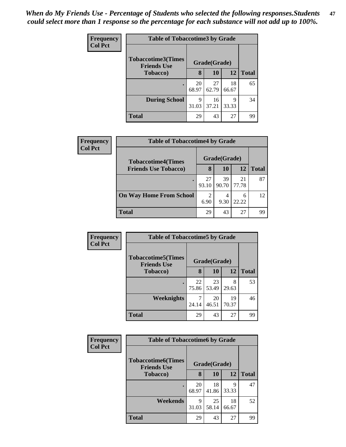| <b>Frequency</b> | <b>Table of Tobaccotime3 by Grade</b>           |             |              |             |              |  |
|------------------|-------------------------------------------------|-------------|--------------|-------------|--------------|--|
| <b>Col Pct</b>   | <b>Tobaccotime3(Times</b><br><b>Friends Use</b> |             | Grade(Grade) |             |              |  |
|                  | <b>Tobacco</b> )                                | 8           | 10           | 12          | <b>Total</b> |  |
|                  |                                                 | 20<br>68.97 | 27<br>62.79  | 18<br>66.67 | 65           |  |
|                  | <b>During School</b>                            | 9<br>31.03  | 16<br>37.21  | q<br>33.33  | 34           |  |
|                  | <b>Total</b>                                    | 29          | 43           | 27          | 99           |  |

| <b>Frequency</b> | <b>Table of Tobaccotime4 by Grade</b> |             |              |             |       |  |  |
|------------------|---------------------------------------|-------------|--------------|-------------|-------|--|--|
| <b>Col Pct</b>   | <b>Tobaccotime4(Times</b>             |             | Grade(Grade) |             |       |  |  |
|                  | <b>Friends Use Tobacco)</b>           | 8           | 10           | 12          | Total |  |  |
|                  |                                       | 27<br>93.10 | 39<br>90.70  | 21<br>77.78 | 87    |  |  |
|                  | <b>On Way Home From School</b>        | 2<br>6.90   | 4<br>9.30    | 6<br>22.22  | 12    |  |  |
|                  | <b>Total</b>                          | 29          | 43           | 27          | 99    |  |  |

| Frequency      | <b>Table of Tobaccotime5 by Grade</b>           |             |              |             |              |  |
|----------------|-------------------------------------------------|-------------|--------------|-------------|--------------|--|
| <b>Col Pct</b> | <b>Tobaccotime5(Times</b><br><b>Friends Use</b> |             | Grade(Grade) |             |              |  |
|                | <b>Tobacco</b> )                                | 8           | 10           | 12          | <b>Total</b> |  |
|                |                                                 | 22<br>75.86 | 23<br>53.49  | 8<br>29.63  | 53           |  |
|                | <b>Weeknights</b>                               | 24.14       | 20<br>46.51  | 19<br>70.37 | 46           |  |
|                | <b>Total</b>                                    | 29          | 43           | 27          | 99           |  |

| <b>Frequency</b> | <b>Table of Tobaccotime6 by Grade</b>           |             |              |             |              |  |
|------------------|-------------------------------------------------|-------------|--------------|-------------|--------------|--|
| <b>Col Pct</b>   | <b>Tobaccotime6(Times</b><br><b>Friends Use</b> |             | Grade(Grade) |             |              |  |
|                  | <b>Tobacco</b> )                                | 8           | 10           | 12          | <b>Total</b> |  |
|                  |                                                 | 20<br>68.97 | 18<br>41.86  | 9<br>33.33  | 47           |  |
|                  | Weekends                                        | 9<br>31.03  | 25<br>58.14  | 18<br>66.67 | 52           |  |
|                  | <b>Total</b>                                    | 29          | 43           | 27          | 99           |  |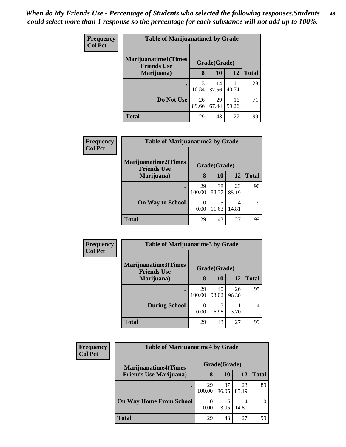| <b>Frequency</b> | <b>Table of Marijuanatime1 by Grade</b>            |             |              |             |              |  |
|------------------|----------------------------------------------------|-------------|--------------|-------------|--------------|--|
| <b>Col Pct</b>   | <b>Marijuanatime1</b> (Times<br><b>Friends Use</b> |             | Grade(Grade) |             |              |  |
|                  | Marijuana)                                         | 8           | 10           | 12          | <b>Total</b> |  |
|                  | $\bullet$                                          | 3<br>10.34  | 14<br>32.56  | 11<br>40.74 | 28           |  |
|                  | Do Not Use                                         | 26<br>89.66 | 29<br>67.44  | 16<br>59.26 | 71           |  |
|                  | <b>Total</b>                                       | 29          | 43           | 27          | 99           |  |

| Frequency      | <b>Table of Marijuanatime2 by Grade</b>           |              |              |             |              |  |
|----------------|---------------------------------------------------|--------------|--------------|-------------|--------------|--|
| <b>Col Pct</b> | <b>Marijuanatime2(Times</b><br><b>Friends Use</b> |              | Grade(Grade) |             |              |  |
|                | Marijuana)                                        | 8            | 10           | 12          | <b>Total</b> |  |
|                | ٠                                                 | 29<br>100.00 | 38<br>88.37  | 23<br>85.19 | 90           |  |
|                | <b>On Way to School</b>                           | 0<br>0.00    | 5<br>11.63   | 4<br>14.81  | Q            |  |
|                | <b>Total</b>                                      | 29           | 43           | 27          | 99           |  |

| Frequency      | <b>Table of Marijuanatime3 by Grade</b>    |              |              |             |              |  |
|----------------|--------------------------------------------|--------------|--------------|-------------|--------------|--|
| <b>Col Pct</b> | Marijuanatime3(Times<br><b>Friends Use</b> |              | Grade(Grade) |             |              |  |
|                | Marijuana)                                 | 8            | 10           | 12          | <b>Total</b> |  |
|                |                                            | 29<br>100.00 | 40<br>93.02  | 26<br>96.30 | 95           |  |
|                | <b>During School</b>                       | 0<br>0.00    | 3<br>6.98    | 3.70        | 4            |  |
|                | <b>Total</b>                               | 29           | 43           | 27          | 99           |  |

| <b>Frequency</b> | <b>Table of Marijuanatime4 by Grade</b> |              |              |             |       |  |
|------------------|-----------------------------------------|--------------|--------------|-------------|-------|--|
| <b>Col Pct</b>   | <b>Marijuanatime4</b> (Times            |              | Grade(Grade) |             |       |  |
|                  | <b>Friends Use Marijuana</b> )          | 8            | 10           | 12          | Total |  |
|                  |                                         | 29<br>100.00 | 37<br>86.05  | 23<br>85.19 | 89    |  |
|                  | <b>On Way Home From School</b>          | 0<br>0.00    | 6<br>13.95   | 4<br>14.81  | 10    |  |
|                  | Total                                   | 29           | 43           | 27          | 99    |  |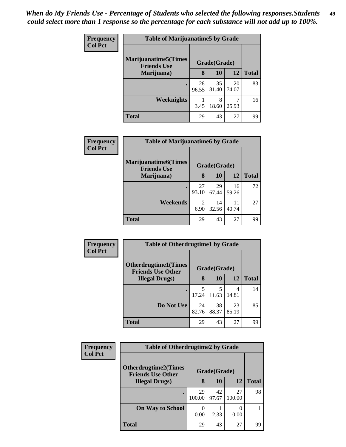| Frequency      | <b>Table of Marijuanatime5 by Grade</b>            |             |              |             |              |
|----------------|----------------------------------------------------|-------------|--------------|-------------|--------------|
| <b>Col Pct</b> | <b>Marijuanatime5</b> (Times<br><b>Friends Use</b> |             | Grade(Grade) |             |              |
|                | Marijuana)                                         | 8           | 10           | 12          | <b>Total</b> |
|                | $\bullet$                                          | 28<br>96.55 | 35<br>81.40  | 20<br>74.07 | 83           |
|                | Weeknights                                         | 3.45        | 8<br>18.60   | 25.93       | 16           |
|                | <b>Total</b>                                       | 29          | 43           | 27          | 99           |

| <b>Frequency</b><br><b>Col Pct</b> | <b>Table of Marijuanatime6 by Grade</b>                          |              |             |             |              |  |
|------------------------------------|------------------------------------------------------------------|--------------|-------------|-------------|--------------|--|
|                                    | <b>Marijuanatime6</b> (Times<br><b>Friends Use</b><br>Marijuana) | Grade(Grade) |             |             |              |  |
|                                    |                                                                  | 8            | 10          | 12          | <b>Total</b> |  |
|                                    |                                                                  | 27<br>93.10  | 29<br>67.44 | 16<br>59.26 | 72           |  |
|                                    | Weekends                                                         | 2<br>6.90    | 14<br>32.56 | 11<br>40.74 | 27           |  |
|                                    | <b>Total</b>                                                     | 29           | 43          | 27          | 99           |  |

| Frequency      | <b>Table of Otherdrugtime1 by Grade</b>                 |             |              |             |              |
|----------------|---------------------------------------------------------|-------------|--------------|-------------|--------------|
| <b>Col Pct</b> | <b>Otherdrugtime1(Times</b><br><b>Friends Use Other</b> |             | Grade(Grade) |             |              |
|                | <b>Illegal Drugs</b> )                                  | 8           | <b>10</b>    | 12          | <b>Total</b> |
|                | ٠                                                       | 5<br>17.24  | 11.63        | 4<br>14.81  | 14           |
|                | Do Not Use                                              | 24<br>82.76 | 38<br>88.37  | 23<br>85.19 | 85           |
|                | <b>Total</b>                                            | 29          | 43           | 27          | 99           |

| <b>Frequency</b> | <b>Table of Otherdrugtime2 by Grade</b>                 |              |              |              |              |
|------------------|---------------------------------------------------------|--------------|--------------|--------------|--------------|
| <b>Col Pct</b>   | <b>Otherdrugtime2(Times</b><br><b>Friends Use Other</b> |              | Grade(Grade) |              |              |
|                  | <b>Illegal Drugs</b> )                                  | 8            | <b>10</b>    | 12           | <b>Total</b> |
|                  |                                                         | 29<br>100.00 | 42<br>97.67  | 27<br>100.00 | 98           |
|                  | <b>On Way to School</b>                                 | 0.00         | 2.33         | 0.00         |              |
|                  | Total                                                   | 29           | 43           | 27           | 99           |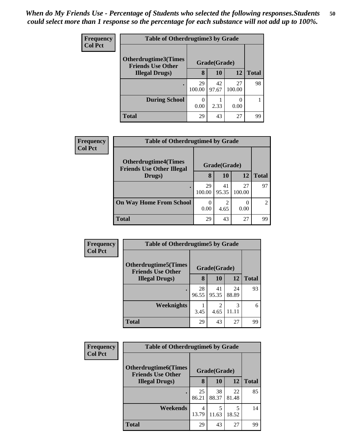| <b>Frequency</b> | <b>Table of Otherdrugtime3 by Grade</b>          |              |              |              |              |
|------------------|--------------------------------------------------|--------------|--------------|--------------|--------------|
| <b>Col Pct</b>   | Otherdrugtime3(Times<br><b>Friends Use Other</b> |              | Grade(Grade) |              |              |
|                  | <b>Illegal Drugs</b> )                           | 8            | <b>10</b>    | 12           | <b>Total</b> |
|                  |                                                  | 29<br>100.00 | 42<br>97.67  | 27<br>100.00 | 98           |
|                  | <b>During School</b>                             | ∩<br>0.00    | 2.33         | 0.00         |              |
|                  | <b>Total</b>                                     | 29           | 43           | 27           | 99           |

| Frequency      |                                                                 | <b>Table of Otherdrugtime4 by Grade</b> |              |                           |              |  |
|----------------|-----------------------------------------------------------------|-----------------------------------------|--------------|---------------------------|--------------|--|
| <b>Col Pct</b> | <b>Otherdrugtime4(Times</b><br><b>Friends Use Other Illegal</b> |                                         | Grade(Grade) |                           |              |  |
|                | Drugs)                                                          | 8                                       | 10           | 12                        | <b>Total</b> |  |
|                |                                                                 | 29<br>100.00                            | 41<br>95.35  | 27<br>100.00              | 97           |  |
|                | <b>On Way Home From School</b>                                  | 0.00                                    | 2<br>4.65    | $\mathbf{\Omega}$<br>0.00 |              |  |
|                | <b>Total</b>                                                    | 29                                      | 43           | 27                        | 99           |  |

| Frequency      | <b>Table of Otherdrugtime5 by Grade</b>                  |             |                                     |             |              |
|----------------|----------------------------------------------------------|-------------|-------------------------------------|-------------|--------------|
| <b>Col Pct</b> | <b>Otherdrugtime5</b> (Times<br><b>Friends Use Other</b> |             | Grade(Grade)                        |             |              |
|                | <b>Illegal Drugs</b> )                                   | 8           | 10                                  | 12          | <b>Total</b> |
|                | $\bullet$                                                | 28<br>96.55 | 41<br>95.35                         | 24<br>88.89 | 93           |
|                | Weeknights                                               | 3.45        | $\mathcal{D}_{\mathcal{L}}$<br>4.65 | 3<br>11.11  | 6            |
|                | <b>Total</b>                                             | 29          | 43                                  | 27          | 99           |

| <b>Frequency</b> | <b>Table of Otherdrugtime6 by Grade</b>                  |             |              |             |              |
|------------------|----------------------------------------------------------|-------------|--------------|-------------|--------------|
| <b>Col Pct</b>   | <b>Otherdrugtime6</b> (Times<br><b>Friends Use Other</b> |             | Grade(Grade) |             |              |
|                  | <b>Illegal Drugs</b> )                                   | 8           | 10           | 12          | <b>Total</b> |
|                  | $\bullet$                                                | 25<br>86.21 | 38<br>88.37  | 22<br>81.48 | 85           |
|                  | Weekends                                                 | 4<br>13.79  | 5<br>11.63   | 5<br>18.52  | 14           |
|                  | <b>Total</b>                                             | 29          | 43           | 27          | 99           |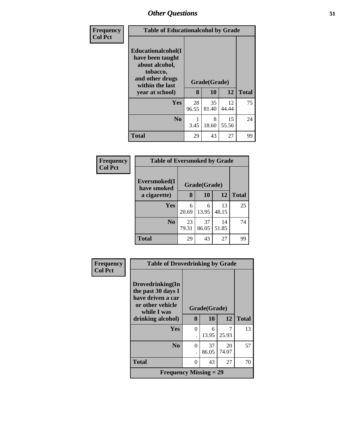| <b>Frequency</b><br><b>Col Pct</b> |                                                                                                            | <b>Table of Educationalcohol by Grade</b> |              |             |              |  |
|------------------------------------|------------------------------------------------------------------------------------------------------------|-------------------------------------------|--------------|-------------|--------------|--|
|                                    | Educationalcohol(I<br>have been taught<br>about alcohol,<br>tobacco,<br>and other drugs<br>within the last |                                           | Grade(Grade) |             |              |  |
|                                    | year at school)                                                                                            | 8                                         | 10           | 12          | <b>Total</b> |  |
|                                    | <b>Yes</b>                                                                                                 | 28<br>96.55                               | 35<br>81.40  | 12<br>44.44 | 75           |  |
|                                    | N <sub>0</sub>                                                                                             | 3.45                                      | 8<br>18.60   | 15<br>55.56 | 24           |  |
|                                    | <b>Total</b>                                                                                               | 29                                        | 43           | 27          | 99           |  |

| Frequency<br><b>Col Pct</b> | <b>Table of Eversmoked by Grade</b> |              |             |             |              |  |
|-----------------------------|-------------------------------------|--------------|-------------|-------------|--------------|--|
|                             | Eversmoked(I<br>have smoked         | Grade(Grade) |             |             |              |  |
|                             | a cigarette)                        | 8            | 10          | <b>12</b>   | <b>Total</b> |  |
|                             | <b>Yes</b>                          | 6<br>20.69   | 6<br>13.95  | 13<br>48.15 | 25           |  |
|                             | N <sub>0</sub>                      | 23<br>79.31  | 37<br>86.05 | 14<br>51.85 | 74           |  |
|                             | Total                               | 29           | 43          | 27          | 99           |  |

| Frequency      |                                                                                                | <b>Table of Drovedrinking by Grade</b> |              |             |              |
|----------------|------------------------------------------------------------------------------------------------|----------------------------------------|--------------|-------------|--------------|
| <b>Col Pct</b> | Drovedrinking(In<br>the past 30 days I<br>have driven a car<br>or other vehicle<br>while I was |                                        | Grade(Grade) |             |              |
|                | drinking alcohol)                                                                              | 8                                      | <b>10</b>    | 12          | <b>Total</b> |
|                | Yes                                                                                            | $\Omega$                               | 6<br>13.95   | 25.93       | 13           |
|                | N <sub>0</sub>                                                                                 | 0                                      | 37<br>86.05  | 20<br>74.07 | 57           |
|                | <b>Total</b>                                                                                   | $\Omega$                               | 43           | 27          | 70           |
|                | <b>Frequency Missing = 29</b>                                                                  |                                        |              |             |              |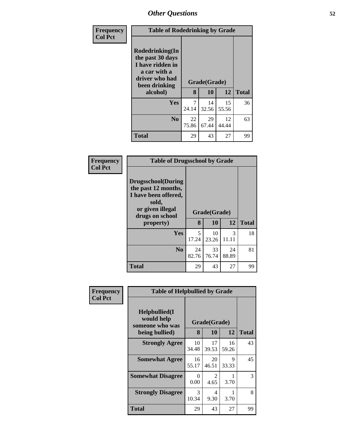| <b>Frequency</b> | <b>Table of Rodedrinking by Grade</b>                                                                      |             |              |             |              |
|------------------|------------------------------------------------------------------------------------------------------------|-------------|--------------|-------------|--------------|
| <b>Col Pct</b>   | Rodedrinking(In<br>the past 30 days<br>I have ridden in<br>a car with a<br>driver who had<br>been drinking |             | Grade(Grade) |             |              |
|                  | alcohol)                                                                                                   | 8           | 10           | 12          | <b>Total</b> |
|                  | <b>Yes</b>                                                                                                 | 7<br>24.14  | 14<br>32.56  | 15<br>55.56 | 36           |
|                  | N <sub>o</sub>                                                                                             | 22<br>75.86 | 29<br>67.44  | 12<br>44.44 | 63           |
|                  | <b>Total</b>                                                                                               | 29          | 43           | 27          | 99           |

| Frequency<br><b>Col Pct</b> | <b>Table of Drugsschool by Grade</b>                                                                                      |             |              |             |              |
|-----------------------------|---------------------------------------------------------------------------------------------------------------------------|-------------|--------------|-------------|--------------|
|                             | <b>Drugsschool</b> (During<br>the past 12 months,<br>I have been offered,<br>sold,<br>or given illegal<br>drugs on school |             | Grade(Grade) |             |              |
|                             | property)                                                                                                                 | 8           | 10           | 12          | <b>Total</b> |
|                             | <b>Yes</b>                                                                                                                | 5<br>17.24  | 10<br>23.26  | 3<br>11.11  | 18           |
|                             | N <sub>0</sub>                                                                                                            | 24<br>82.76 | 33<br>76.74  | 24<br>88.89 | 81           |
|                             | <b>Total</b>                                                                                                              | 29          | 43           | 27          | 99           |

| Frequency      |                                                                   | <b>Table of Helpbullied by Grade</b> |                    |             |              |  |
|----------------|-------------------------------------------------------------------|--------------------------------------|--------------------|-------------|--------------|--|
| <b>Col Pct</b> | Helpbullied(I)<br>would help<br>someone who was<br>being bullied) | 8                                    | Grade(Grade)<br>10 | 12          | <b>Total</b> |  |
|                | <b>Strongly Agree</b>                                             | 10<br>34.48                          | 17<br>39.53        | 16<br>59.26 | 43           |  |
|                | <b>Somewhat Agree</b>                                             | 16<br>55.17                          | 20<br>46.51        | 9<br>33.33  | 45           |  |
|                | <b>Somewhat Disagree</b>                                          | 0<br>0.00                            | 2<br>4.65          | 3.70        | 3            |  |
|                | <b>Strongly Disagree</b>                                          | 3<br>10.34                           | 4<br>9.30          | 3.70        | 8            |  |
|                | Total                                                             | 29                                   | 43                 | 27          | 99           |  |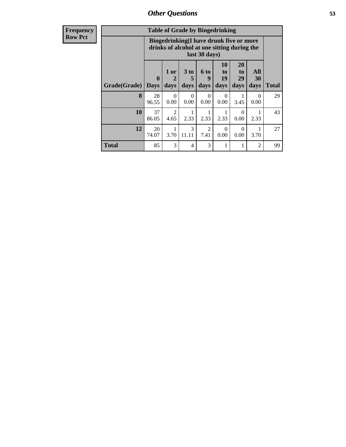| Frequency |
|-----------|
| Row Pct   |

| <b>Table of Grade by Bingedrinking</b> |                         |                                                                                                         |                              |                          |                        |                        |                   |              |
|----------------------------------------|-------------------------|---------------------------------------------------------------------------------------------------------|------------------------------|--------------------------|------------------------|------------------------|-------------------|--------------|
|                                        |                         | Bingedrinking(I have drunk five or more<br>drinks of alcohol at one sitting during the<br>last 30 days) |                              |                          |                        |                        |                   |              |
| Grade(Grade)                           | $\bf{0}$<br><b>Days</b> | 1 or<br>2<br>days                                                                                       | 3 <sub>to</sub><br>5<br>days | <b>6 to</b><br>9<br>days | 10<br>to<br>19<br>days | 20<br>to<br>29<br>days | All<br>30<br>days | <b>Total</b> |
| 8                                      | 28<br>96.55             | $\Omega$<br>0.00                                                                                        | $\Omega$<br>0.00             | $\Omega$<br>0.00         | 0<br>0.00              | 3.45                   | 0<br>0.00         | 29           |
| 10                                     | 37<br>86.05             | $\mathfrak{D}$<br>4.65                                                                                  | 2.33                         | 2.33                     | 2.33                   | $\Omega$<br>0.00       | 2.33              | 43           |
| 12                                     | 20<br>74.07             | 3.70                                                                                                    | 3<br>11.11                   | 2<br>7.41                | 0<br>0.00              | $\Omega$<br>0.00       | 3.70              | 27           |
| <b>Total</b>                           | 85                      | 3                                                                                                       | 4                            | 3                        | 1                      |                        | $\overline{2}$    | 99           |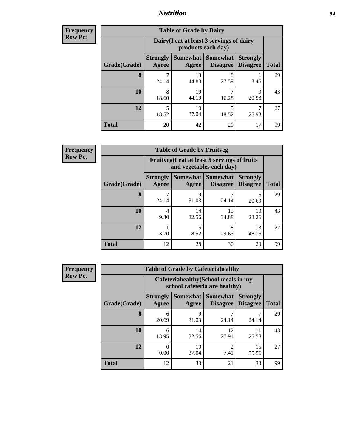### *Nutrition* **54**

**Frequency Row Pct**

| <b>Table of Grade by Dairy</b> |                          |                                                                 |                             |                                    |              |  |  |
|--------------------------------|--------------------------|-----------------------------------------------------------------|-----------------------------|------------------------------------|--------------|--|--|
|                                |                          | Dairy (I eat at least 3 servings of dairy<br>products each day) |                             |                                    |              |  |  |
| Grade(Grade)                   | <b>Strongly</b><br>Agree | Somewhat  <br>Agree                                             | <b>Somewhat</b><br>Disagree | <b>Strongly</b><br><b>Disagree</b> | <b>Total</b> |  |  |
| 8                              | 7<br>24.14               | 13<br>44.83                                                     | 8<br>27.59                  | 3.45                               | 29           |  |  |
| 10                             | 8<br>18.60               | 19<br>44.19                                                     | 7<br>16.28                  | 9<br>20.93                         | 43           |  |  |
| 12                             | 5<br>18.52               | 10<br>37.04                                                     | 5<br>18.52                  | 7<br>25.93                         | 27           |  |  |
| <b>Total</b>                   | 20                       | 42                                                              | 20                          | 17                                 | 99           |  |  |

| <b>Table of Grade by Fruitveg</b> |                          |                                                                          |                               |                                    |              |  |  |
|-----------------------------------|--------------------------|--------------------------------------------------------------------------|-------------------------------|------------------------------------|--------------|--|--|
|                                   |                          | Fruitveg(I eat at least 5 servings of fruits<br>and vegetables each day) |                               |                                    |              |  |  |
| Grade(Grade)                      | <b>Strongly</b><br>Agree | Agree                                                                    | Somewhat Somewhat<br>Disagree | <b>Strongly</b><br><b>Disagree</b> | <b>Total</b> |  |  |
| 8                                 | 24.14                    | 9<br>31.03                                                               | 24.14                         | 6<br>20.69                         | 29           |  |  |
| 10                                | 4<br>9.30                | 14<br>32.56                                                              | 15<br>34.88                   | 10<br>23.26                        | 43           |  |  |
| 12                                | 3.70                     | 5<br>18.52                                                               | 8<br>29.63                    | 13<br>48.15                        | 27           |  |  |
| <b>Total</b>                      | 12                       | 28                                                                       | 30                            | 29                                 | 99           |  |  |

| <b>Frequency</b> |              | <b>Table of Grade by Cafeteriahealthy</b>                             |                          |                                    |                                    |              |  |  |
|------------------|--------------|-----------------------------------------------------------------------|--------------------------|------------------------------------|------------------------------------|--------------|--|--|
| <b>Row Pct</b>   |              | Cafeteriahealthy (School meals in my<br>school cafeteria are healthy) |                          |                                    |                                    |              |  |  |
|                  | Grade(Grade) | <b>Strongly</b><br>Agree                                              | <b>Somewhat</b><br>Agree | <b>Somewhat</b><br><b>Disagree</b> | <b>Strongly</b><br><b>Disagree</b> | <b>Total</b> |  |  |
|                  | 8            | 6<br>20.69                                                            | 9<br>31.03               | 24.14                              | 24.14                              | 29           |  |  |
|                  | 10           | 6<br>13.95                                                            | 14<br>32.56              | 12<br>27.91                        | 11<br>25.58                        | 43           |  |  |
|                  | 12           | 0.00                                                                  | 10<br>37.04              | 7.41                               | 15<br>55.56                        | 27           |  |  |
|                  | Total        | 12                                                                    | 33                       | 21                                 | 33                                 | 99           |  |  |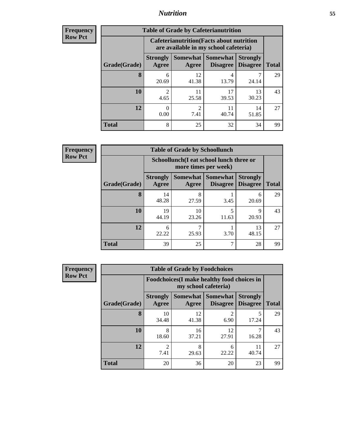## *Nutrition* **55**

| <b>Frequency</b> |
|------------------|
| <b>Row Pct</b>   |

| <b>Table of Grade by Cafeterianutrition</b> |                          |                                                                                           |                                          |                                    |              |  |  |
|---------------------------------------------|--------------------------|-------------------------------------------------------------------------------------------|------------------------------------------|------------------------------------|--------------|--|--|
|                                             |                          | <b>Cafeterianutrition</b> (Facts about nutrition<br>are available in my school cafeteria) |                                          |                                    |              |  |  |
| Grade(Grade)                                | <b>Strongly</b><br>Agree | Agree                                                                                     | Somewhat   Somewhat  <br><b>Disagree</b> | <b>Strongly</b><br><b>Disagree</b> | <b>Total</b> |  |  |
| 8                                           | 6<br>20.69               | 12<br>41.38                                                                               | 4<br>13.79                               | 24.14                              | 29           |  |  |
| 10                                          | $\overline{c}$<br>4.65   | 11<br>25.58                                                                               | 17<br>39.53                              | 13<br>30.23                        | 43           |  |  |
| 12                                          | 0<br>0.00                | $\mathcal{D}_{\mathcal{L}}$<br>7.41                                                       | 11<br>40.74                              | 14<br>51.85                        | 27           |  |  |
| <b>Total</b>                                | 8                        | 25                                                                                        | 32                                       | 34                                 | 99           |  |  |

| <b>Table of Grade by Schoollunch</b> |                          |                                                                 |                             |                                    |              |  |  |
|--------------------------------------|--------------------------|-----------------------------------------------------------------|-----------------------------|------------------------------------|--------------|--|--|
|                                      |                          | Schoollunch(I eat school lunch three or<br>more times per week) |                             |                                    |              |  |  |
| Grade(Grade)                         | <b>Strongly</b><br>Agree | <b>Somewhat</b><br>Agree                                        | <b>Somewhat</b><br>Disagree | <b>Strongly</b><br><b>Disagree</b> | <b>Total</b> |  |  |
| 8                                    | 14<br>48.28              | 8<br>27.59                                                      | 3.45                        | 6<br>20.69                         | 29           |  |  |
| 10                                   | 19<br>44.19              | 10<br>23.26                                                     | 5<br>11.63                  | Q<br>20.93                         | 43           |  |  |
| 12                                   | 6<br>22.22               | 25.93                                                           | 3.70                        | 13<br>48.15                        | 27           |  |  |
| <b>Total</b>                         | 39                       | 25                                                              | ┑                           | 28                                 | 99           |  |  |

| <b>Frequency</b> |  |
|------------------|--|
| <b>Row Pct</b>   |  |

| <b>Table of Grade by Foodchoices</b> |                                                                            |             |                                        |                                    |              |  |  |
|--------------------------------------|----------------------------------------------------------------------------|-------------|----------------------------------------|------------------------------------|--------------|--|--|
|                                      | <b>Foodchoices</b> (I make healthy food choices in<br>my school cafeteria) |             |                                        |                                    |              |  |  |
| Grade(Grade)                         | <b>Strongly</b><br>Agree                                                   | Agree       | Somewhat   Somewhat<br><b>Disagree</b> | <b>Strongly</b><br><b>Disagree</b> | <b>Total</b> |  |  |
| 8                                    | 10<br>34.48                                                                | 12<br>41.38 | 2<br>6.90                              | 5<br>17.24                         | 29           |  |  |
| 10                                   | 8<br>18.60                                                                 | 16<br>37.21 | 12<br>27.91                            | 16.28                              | 43           |  |  |
| 12                                   | $\mathfrak{D}$<br>7.41                                                     | 8<br>29.63  | 6<br>22.22                             | 11<br>40.74                        | 27           |  |  |
| <b>Total</b>                         | 20                                                                         | 36          | 20                                     | 23                                 | 99           |  |  |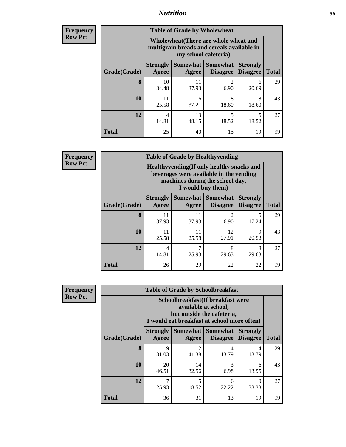## *Nutrition* **56**

| <b>Frequency</b><br>Row Pct |
|-----------------------------|
|                             |

| <b>Table of Grade by Wholewheat</b> |                                                                                                             |             |                                      |                                    |              |  |  |
|-------------------------------------|-------------------------------------------------------------------------------------------------------------|-------------|--------------------------------------|------------------------------------|--------------|--|--|
|                                     | Wholewheat (There are whole wheat and<br>multigrain breads and cereals available in<br>my school cafeteria) |             |                                      |                                    |              |  |  |
| Grade(Grade)                        | <b>Strongly</b><br>Agree                                                                                    | Agree       | Somewhat Somewhat<br><b>Disagree</b> | <b>Strongly</b><br><b>Disagree</b> | <b>Total</b> |  |  |
| 8                                   | 10<br>34.48                                                                                                 | 11<br>37.93 | $\mathfrak{D}$<br>6.90               | 6<br>20.69                         | 29           |  |  |
| 10                                  | 11<br>25.58                                                                                                 | 16<br>37.21 | 8<br>18.60                           | 8<br>18.60                         | 43           |  |  |
| 12                                  | 4<br>14.81                                                                                                  | 13<br>48.15 | 5<br>18.52                           | 5<br>18.52                         | 27           |  |  |
| Total                               | 25                                                                                                          | 40          | 15                                   | 19                                 | 99           |  |  |

**Frequency Row Pct**

| V | <b>Table of Grade by Healthyvending</b> |                                                                                                                                               |             |                                      |                                    |              |  |  |
|---|-----------------------------------------|-----------------------------------------------------------------------------------------------------------------------------------------------|-------------|--------------------------------------|------------------------------------|--------------|--|--|
|   |                                         | Healthyvending (If only healthy snacks and<br>beverages were available in the vending<br>machines during the school day,<br>I would buy them) |             |                                      |                                    |              |  |  |
|   | Grade(Grade)                            | <b>Strongly</b><br><b>Agree</b>                                                                                                               | Agree       | Somewhat Somewhat<br><b>Disagree</b> | <b>Strongly</b><br><b>Disagree</b> | <b>Total</b> |  |  |
|   | 8                                       | 11<br>37.93                                                                                                                                   | 11<br>37.93 | $\overline{2}$<br>6.90               | 17.24                              | 29           |  |  |
|   | 10                                      | 11<br>25.58                                                                                                                                   | 11<br>25.58 | 12<br>27.91                          | 9<br>20.93                         | 43           |  |  |
|   | 12                                      | 4<br>14.81                                                                                                                                    | 7<br>25.93  | 8<br>29.63                           | 8<br>29.63                         | 27           |  |  |
|   | <b>Total</b>                            | 26                                                                                                                                            | 29          | 22                                   | 22                                 | 99           |  |  |

| <b>Table of Grade by Schoolbreakfast</b> |                                                                                                                                          |             |            |            |    |  |  |  |
|------------------------------------------|------------------------------------------------------------------------------------------------------------------------------------------|-------------|------------|------------|----|--|--|--|
|                                          | Schoolbreakfast (If breakfast were<br>available at school,<br>but outside the cafeteria,<br>I would eat breakfast at school more often)  |             |            |            |    |  |  |  |
| Grade(Grade)                             | <b>Somewhat   Somewhat</b><br><b>Strongly</b><br><b>Strongly</b><br><b>Disagree</b><br>Agree<br><b>Disagree</b><br><b>Total</b><br>Agree |             |            |            |    |  |  |  |
| 8                                        | 9<br>31.03                                                                                                                               | 12<br>41.38 | 4<br>13.79 | 4<br>13.79 | 29 |  |  |  |
| 10                                       | 20<br>46.51                                                                                                                              | 14<br>32.56 | 3<br>6.98  | 6<br>13.95 | 43 |  |  |  |
| 12                                       | 25.93                                                                                                                                    | 5<br>18.52  | 6<br>22.22 | Q<br>33.33 | 27 |  |  |  |
| <b>Total</b>                             | 36                                                                                                                                       | 31          | 13         | 19         | 99 |  |  |  |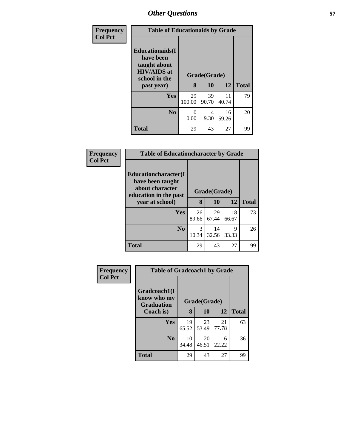| Frequency      | <b>Table of Educationaids by Grade</b>                                                      |              |             |             |              |  |
|----------------|---------------------------------------------------------------------------------------------|--------------|-------------|-------------|--------------|--|
| <b>Col Pct</b> | <b>Educationaids</b> (I<br>have been<br>taught about<br><b>HIV/AIDS</b> at<br>school in the | Grade(Grade) |             |             |              |  |
|                | past year)                                                                                  | 8            | 10          | 12          | <b>Total</b> |  |
|                | Yes                                                                                         | 29<br>100.00 | 39<br>90.70 | 11<br>40.74 | 79           |  |
|                | N <sub>0</sub>                                                                              | 0<br>0.00    | 4<br>9.30   | 16<br>59.26 | 20           |  |
|                | <b>Total</b>                                                                                | 29           | 43          | 27          | 99           |  |

| Frequency      | <b>Table of Educationcharacter by Grade</b>                                                  |              |             |             |              |  |
|----------------|----------------------------------------------------------------------------------------------|--------------|-------------|-------------|--------------|--|
| <b>Col Pct</b> | <b>Educationcharacter</b> (I<br>have been taught<br>about character<br>education in the past | Grade(Grade) |             |             |              |  |
|                | year at school)                                                                              | 8            | 10          | 12          | <b>Total</b> |  |
|                | <b>Yes</b>                                                                                   | 26<br>89.66  | 29<br>67.44 | 18<br>66.67 | 73           |  |
|                | N <sub>o</sub>                                                                               | 3<br>10.34   | 14<br>32.56 | Q<br>33.33  | 26           |  |
|                | <b>Total</b>                                                                                 | 29           | 43          | 27          | 99           |  |

| Frequency      | <b>Table of Gradcoach1 by Grade</b>              |              |             |             |              |
|----------------|--------------------------------------------------|--------------|-------------|-------------|--------------|
| <b>Col Pct</b> | Gradcoach1(I<br>know who my<br><b>Graduation</b> | Grade(Grade) |             |             |              |
|                | Coach is)                                        | 8            | 10          | 12          | <b>Total</b> |
|                | Yes                                              | 19<br>65.52  | 23<br>53.49 | 21<br>77.78 | 63           |
|                | N <sub>0</sub>                                   | 10<br>34.48  | 20<br>46.51 | 6<br>22.22  | 36           |
|                | <b>Total</b>                                     | 29           | 43          | 27          | 99           |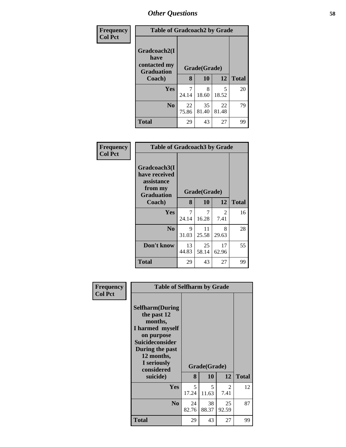| Frequency      | <b>Table of Gradcoach2 by Grade</b>                       |              |             |             |              |
|----------------|-----------------------------------------------------------|--------------|-------------|-------------|--------------|
| <b>Col Pct</b> | Gradcoach2(I<br>have<br>contacted my<br><b>Graduation</b> | Grade(Grade) |             |             |              |
|                | Coach)                                                    | 8            | 10          | 12          | <b>Total</b> |
|                | Yes                                                       | 24.14        | 8<br>18.60  | 5<br>18.52  | 20           |
|                | N <sub>0</sub>                                            | 22<br>75.86  | 35<br>81.40 | 22<br>81.48 | 79           |
|                | <b>Total</b>                                              | 29           | 43          | 27          | 99           |

| Frequency<br><b>Col Pct</b> | <b>Table of Gradcoach3 by Grade</b>                                         |              |             |             |              |
|-----------------------------|-----------------------------------------------------------------------------|--------------|-------------|-------------|--------------|
|                             | Gradcoach3(I<br>have received<br>assistance<br>from my<br><b>Graduation</b> | Grade(Grade) |             |             |              |
|                             | Coach)                                                                      | 8            | 10          | 12          | <b>Total</b> |
|                             | Yes                                                                         | 24.14        | 7<br>16.28  | 2<br>7.41   | 16           |
|                             | N <sub>0</sub>                                                              | 9<br>31.03   | 11<br>25.58 | 8<br>29.63  | 28           |
|                             | Don't know                                                                  | 13<br>44.83  | 25<br>58.14 | 17<br>62.96 | 55           |
|                             | <b>Total</b>                                                                | 29           | 43          | 27          | 99           |

| Frequency<br><b>Col Pct</b> | <b>Table of Selfharm by Grade</b>                                                                                                                                          |             |              |             |              |
|-----------------------------|----------------------------------------------------------------------------------------------------------------------------------------------------------------------------|-------------|--------------|-------------|--------------|
|                             | <b>Selfharm</b> (During<br>the past 12<br>months,<br>I harmed myself<br>on purpose<br><b>Suicideconsider</b><br>During the past<br>12 months,<br>I seriously<br>considered |             | Grade(Grade) |             |              |
|                             | suicide)                                                                                                                                                                   | 8           | <b>10</b>    | 12          | <b>Total</b> |
|                             | <b>Yes</b>                                                                                                                                                                 | 5<br>17.24  | 5<br>11.63   | 2<br>7.41   | 12           |
|                             | N <sub>0</sub>                                                                                                                                                             | 24<br>82.76 | 38<br>88.37  | 25<br>92.59 | 87           |
|                             | <b>Total</b>                                                                                                                                                               | 29          | 43           | 27          | 99           |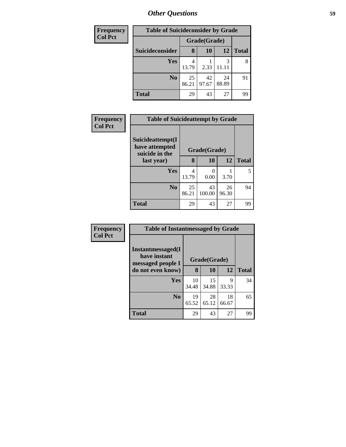| <b>Frequency</b> | <b>Table of Suicideconsider by Grade</b> |              |             |             |              |  |
|------------------|------------------------------------------|--------------|-------------|-------------|--------------|--|
| <b>Col Pct</b>   |                                          | Grade(Grade) |             |             |              |  |
|                  | Suicideconsider                          | 8            | <b>10</b>   | 12          | <b>Total</b> |  |
|                  | Yes                                      | 4<br>13.79   | 2.33        |             | 8            |  |
|                  | N <sub>o</sub>                           | 25<br>86.21  | 42<br>97.67 | 24<br>88.89 | 91           |  |
|                  | <b>Total</b>                             | 29           | 43          | 27          | 99           |  |

| Frequency      | <b>Table of Suicideattempt by Grade</b>              |              |              |             |              |
|----------------|------------------------------------------------------|--------------|--------------|-------------|--------------|
| <b>Col Pct</b> | Suicideattempt(I<br>have attempted<br>suicide in the | Grade(Grade) |              |             |              |
|                | last year)                                           | 8            | 10           | 12          | <b>Total</b> |
|                | Yes                                                  | 4<br>13.79   | 0<br>0.00    | 3.70        | 5            |
|                | N <sub>0</sub>                                       | 25<br>86.21  | 43<br>100.00 | 26<br>96.30 | 94           |
|                | <b>Total</b>                                         | 29           | 43           | 27          | 99           |

| <b>Frequency</b> |
|------------------|
| <b>Col Pct</b>   |

| <b>Table of Instantmessaged by Grade</b>                       |              |             |             |              |  |  |
|----------------------------------------------------------------|--------------|-------------|-------------|--------------|--|--|
| <b>Instantmessaged</b> (I<br>have instant<br>messaged people I | Grade(Grade) |             |             |              |  |  |
| do not even know)                                              | 8            | 10          | 12          | <b>Total</b> |  |  |
| Yes                                                            | 10<br>34.48  | 15<br>34.88 | 9<br>33.33  | 34           |  |  |
| N <sub>0</sub>                                                 | 19<br>65.52  | 28<br>65.12 | 18<br>66.67 | 65           |  |  |
| Total                                                          | 29           | 43          | 27          | 99           |  |  |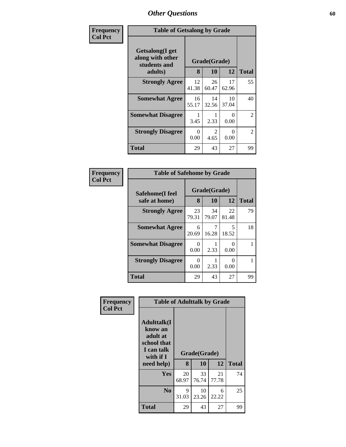| Frequency      | <b>Table of Getsalong by Grade</b>                  |                  |                       |                  |                |
|----------------|-----------------------------------------------------|------------------|-----------------------|------------------|----------------|
| <b>Col Pct</b> | Getsalong(I get<br>along with other<br>students and |                  | Grade(Grade)          |                  |                |
|                | adults)                                             | 8                | 10                    | 12               | <b>Total</b>   |
|                | <b>Strongly Agree</b>                               | 12<br>41.38      | 26<br>60.47           | 17<br>62.96      | 55             |
|                | <b>Somewhat Agree</b>                               | 16<br>55.17      | 14<br>32.56           | 10<br>37.04      | 40             |
|                | <b>Somewhat Disagree</b>                            | 3.45             | 2.33                  | 0<br>0.00        | $\overline{2}$ |
|                | <b>Strongly Disagree</b>                            | $\Omega$<br>0.00 | $\mathcal{L}$<br>4.65 | $\Omega$<br>0.00 | $\overline{2}$ |
|                | Total                                               | 29               | 43                    | 27               | 99             |

| Frequency      | <b>Table of Safehome by Grade</b> |                       |             |                           |              |  |  |  |
|----------------|-----------------------------------|-----------------------|-------------|---------------------------|--------------|--|--|--|
| <b>Col Pct</b> | Safehome(I feel                   | Grade(Grade)<br>8     |             |                           |              |  |  |  |
|                | safe at home)                     |                       | 10          | 12                        | <b>Total</b> |  |  |  |
|                | <b>Strongly Agree</b>             | 23<br>79.31           | 34<br>79.07 | 22<br>81.48               | 79           |  |  |  |
|                | <b>Somewhat Agree</b>             | 6<br>20.69            | 7<br>16.28  | 5<br>18.52                | 18           |  |  |  |
|                | <b>Somewhat Disagree</b>          | 0<br>0.00             | 2.33        | $_{0}$<br>0.00            |              |  |  |  |
|                | <b>Strongly Disagree</b>          | $\mathcal{O}$<br>0.00 | 2.33        | $\mathbf{\Omega}$<br>0.00 |              |  |  |  |
|                | <b>Total</b>                      | 29                    | 43          | 27                        | 99           |  |  |  |

| Frequency<br><b>Col Pct</b> | <b>Table of Adulttalk by Grade</b>                                                                |             |                    |             |              |  |  |  |  |
|-----------------------------|---------------------------------------------------------------------------------------------------|-------------|--------------------|-------------|--------------|--|--|--|--|
|                             | <b>Adulttalk(I</b><br>know an<br>adult at<br>school that<br>I can talk<br>with if I<br>need help) | 8           | Grade(Grade)<br>10 | 12          | <b>Total</b> |  |  |  |  |
|                             | <b>Yes</b>                                                                                        | 20<br>68.97 | 33<br>76.74        | 21<br>77.78 | 74           |  |  |  |  |
|                             | N <sub>o</sub>                                                                                    | 9<br>31.03  | 10<br>23.26        | 6<br>22.22  | 25           |  |  |  |  |
|                             | <b>Total</b>                                                                                      | 29          | 43                 | 27          | 99           |  |  |  |  |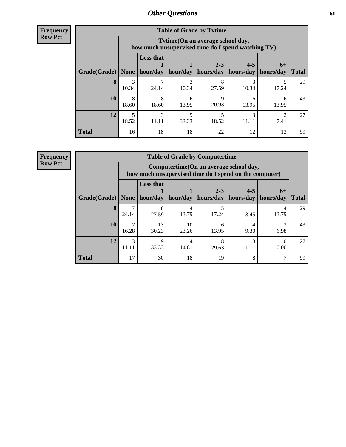| <b>Frequency</b> |
|------------------|
| <b>Row Pct</b>   |

| <b>Table of Grade by Tytime</b> |             |                                                                                                                                                                                                                         |            |            |            |            |    |  |  |  |  |
|---------------------------------|-------------|-------------------------------------------------------------------------------------------------------------------------------------------------------------------------------------------------------------------------|------------|------------|------------|------------|----|--|--|--|--|
|                                 |             | Tvtime(On an average school day,<br>how much unsupervised time do I spend watching TV)<br><b>Less that</b><br>$2 - 3$<br>$4 - 5$<br>$6+$<br>hour/day<br>hour/day<br>hours/day<br>hours/day<br>hours/day<br><b>Total</b> |            |            |            |            |    |  |  |  |  |
| Grade(Grade)                    | <b>None</b> |                                                                                                                                                                                                                         |            |            |            |            |    |  |  |  |  |
| 8                               | 3<br>10.34  | 24.14                                                                                                                                                                                                                   | 3<br>10.34 | 8<br>27.59 | 10.34      | 17.24      | 29 |  |  |  |  |
| 10                              | 8<br>18.60  | 8<br>18.60                                                                                                                                                                                                              | 6<br>13.95 | q<br>20.93 | 13.95      | 6<br>13.95 | 43 |  |  |  |  |
| 12                              | 5<br>18.52  | 3<br>11.11                                                                                                                                                                                                              | 9<br>33.33 | 18.52      | 3<br>11.11 | ി<br>7.41  | 27 |  |  |  |  |
| <b>Total</b>                    | 16          | 18                                                                                                                                                                                                                      | 18         | 22         | 12         | 13         | 99 |  |  |  |  |

**Frequency**

**Row Pct**

| <b>Table of Grade by Computertime</b> |            |                                                                                                                               |             |            |            |           |    |  |  |  |  |
|---------------------------------------|------------|-------------------------------------------------------------------------------------------------------------------------------|-------------|------------|------------|-----------|----|--|--|--|--|
|                                       |            | Computertime (On an average school day,<br>how much unsupervised time do I spend on the computer)                             |             |            |            |           |    |  |  |  |  |
| $ $ Grade(Grade) $ $                  | None       | <b>Less that</b><br>$2 - 3$<br>$4 - 5$<br>$6+$<br>hours/day<br>hour/day<br>hour/day<br>hours/day<br>hours/day<br><b>Total</b> |             |            |            |           |    |  |  |  |  |
| 8                                     | 24.14      | 8<br>27.59                                                                                                                    | 13.79       | 17.24      | 3.45       | 13.79     | 29 |  |  |  |  |
| 10                                    | ⇁<br>16.28 | 13<br>30.23                                                                                                                   | 10<br>23.26 | 6<br>13.95 | 4<br>9.30  | 3<br>6.98 | 43 |  |  |  |  |
| 12                                    | 3<br>11.11 | 9<br>33.33                                                                                                                    | 4<br>14.81  | 8<br>29.63 | 3<br>11.11 | 0.00      | 27 |  |  |  |  |
| <b>Total</b>                          | 17         | 30                                                                                                                            | 18          | 19         | 8          |           | 99 |  |  |  |  |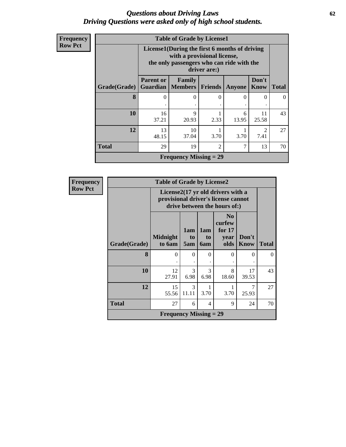### *Questions about Driving Laws* **62** *Driving Questions were asked only of high school students.*

| <b>Frequency</b> |
|------------------|
| <b>Row Pct</b>   |

| <b>Table of Grade by License1</b> |                                                                                                                                           |                                                                                                    |      |            |             |    |  |  |  |  |
|-----------------------------------|-------------------------------------------------------------------------------------------------------------------------------------------|----------------------------------------------------------------------------------------------------|------|------------|-------------|----|--|--|--|--|
|                                   | License1(During the first 6 months of driving<br>with a provisional license,<br>the only passengers who can ride with the<br>driver are:) |                                                                                                    |      |            |             |    |  |  |  |  |
| Grade(Grade)                      | <b>Parent or</b>                                                                                                                          | Don't<br>Family<br><b>Guardian   Members  </b><br><b>Know</b><br>Friends<br><b>Total</b><br>Anyone |      |            |             |    |  |  |  |  |
| 8                                 | $\mathbf{0}$                                                                                                                              | 0                                                                                                  | 0    | $\theta$   | 0           | 0  |  |  |  |  |
| 10                                | 16<br>37.21                                                                                                                               | $\mathbf Q$<br>20.93                                                                               | 2.33 | 6<br>13.95 | 11<br>25.58 | 43 |  |  |  |  |
| 12                                | 13<br>48.15                                                                                                                               | 10<br>$\mathfrak{D}$<br>7.41<br>37.04<br>3.70<br>3.70                                              |      |            |             |    |  |  |  |  |
| <b>Total</b>                      | 29                                                                                                                                        | $\overline{7}$<br>19<br>$\mathfrak{D}$<br>13                                                       |      |            |             |    |  |  |  |  |
|                                   |                                                                                                                                           | <b>Frequency Missing = 29</b>                                                                      |      |            |             |    |  |  |  |  |

| <b>Frequency</b> |                                         | <b>Table of Grade by License2</b> |                                                                                                          |                         |                                                      |                      |              |  |  |  |
|------------------|-----------------------------------------|-----------------------------------|----------------------------------------------------------------------------------------------------------|-------------------------|------------------------------------------------------|----------------------|--------------|--|--|--|
| <b>Row Pct</b>   |                                         |                                   | License2(17 yr old drivers with a<br>provisional driver's license cannot<br>drive between the hours of:) |                         |                                                      |                      |              |  |  |  |
|                  | Grade(Grade)                            | <b>Midnight</b><br>to 6am         | 1am<br>to<br>5am                                                                                         | 1am<br>to<br><b>6am</b> | N <sub>0</sub><br>curfew<br>for $17$<br>year<br>olds | Don't<br><b>Know</b> | <b>Total</b> |  |  |  |
|                  | 8                                       | $\Omega$                          | $\Omega$                                                                                                 | $\Omega$                | $\Omega$                                             | 0                    | $\Omega$     |  |  |  |
|                  | 10                                      | 12<br>27.91                       | 3<br>6.98                                                                                                | 3<br>6.98               | 8<br>18.60                                           | 17<br>39.53          | 43           |  |  |  |
|                  | 12                                      | 15<br>55.56                       | 3<br>11.11                                                                                               | 3.70                    | 3.70                                                 | 7<br>25.93           | 27           |  |  |  |
|                  | <b>Total</b><br>27<br>9<br>24<br>6<br>4 |                                   |                                                                                                          |                         |                                                      |                      |              |  |  |  |
|                  |                                         | <b>Frequency Missing = 29</b>     |                                                                                                          |                         |                                                      |                      |              |  |  |  |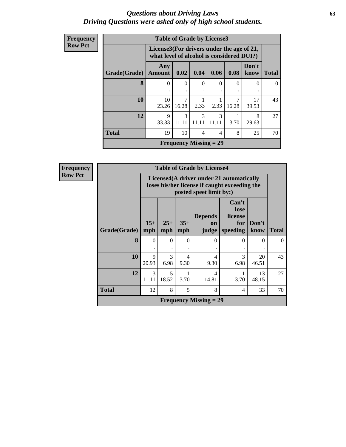#### *Questions about Driving Laws* **63** *Driving Questions were asked only of high school students.*

| Frequency      |              | <b>Table of Grade by License3</b> |                                                                                        |                               |            |       |               |              |  |  |
|----------------|--------------|-----------------------------------|----------------------------------------------------------------------------------------|-------------------------------|------------|-------|---------------|--------------|--|--|
| <b>Row Pct</b> |              |                                   | License3(For drivers under the age of 21,<br>what level of alcohol is considered DUI?) |                               |            |       |               |              |  |  |
|                | Grade(Grade) | Any<br><b>Amount</b>              | 0.02                                                                                   | 0.04                          | 0.06       | 0.08  | Don't<br>know | <b>Total</b> |  |  |
|                | 8            | $\Omega$                          | $\Omega$                                                                               | $\Omega$                      | ∩          | 0     | $\Omega$      | $\Omega$     |  |  |
|                | 10           | 10<br>23.26                       | 7<br>16.28                                                                             | 2.33                          | 2.33       | 16.28 | 17<br>39.53   | 43           |  |  |
|                | 12           | $\mathbf Q$<br>33.33              | 3<br>11.11                                                                             | 3<br>11.11                    | 3<br>11.11 | 3.70  | 8<br>29.63    | 27           |  |  |
|                | <b>Total</b> | 19                                | 10                                                                                     | $\overline{4}$                | 4          | 8     | 25            | 70           |  |  |
|                |              |                                   |                                                                                        | <b>Frequency Missing = 29</b> |            |       |               |              |  |  |

| <b>Table of Grade by License4</b> |                                                                                                   |                                                                                                                                               |   |   |          |   |          |  |  |  |
|-----------------------------------|---------------------------------------------------------------------------------------------------|-----------------------------------------------------------------------------------------------------------------------------------------------|---|---|----------|---|----------|--|--|--|
|                                   |                                                                                                   | License4(A driver under 21 automatically<br>loses his/her license if caught exceeding the<br>posted speet limit by:)                          |   |   |          |   |          |  |  |  |
| Grade(Grade)                      | $15+$<br>mph                                                                                      | Can't<br>lose<br><b>Depends</b><br>license<br>$35+$<br>$25+$<br>Don't<br>for<br>on<br>mph<br>speeding<br>know<br><b>Total</b><br>mph<br>judge |   |   |          |   |          |  |  |  |
| 8                                 | $\Omega$                                                                                          | $\Omega$                                                                                                                                      | 0 | 0 | $\Omega$ | 0 | $\Omega$ |  |  |  |
| 10                                | 9<br>20.93                                                                                        | 3<br>3<br>20<br>4<br>4<br>6.98<br>9.30<br>9.30<br>6.98<br>46.51                                                                               |   |   |          |   |          |  |  |  |
| 12                                | 3<br>5<br>13<br>1<br>$\overline{\mathcal{A}}$<br>3.70<br>14.81<br>11.11<br>18.52<br>3.70<br>48.15 |                                                                                                                                               |   |   |          |   |          |  |  |  |
| <b>Total</b>                      | 12                                                                                                | 8<br>5<br>8<br>33<br>70<br>4                                                                                                                  |   |   |          |   |          |  |  |  |
|                                   | <b>Frequency Missing = 29</b>                                                                     |                                                                                                                                               |   |   |          |   |          |  |  |  |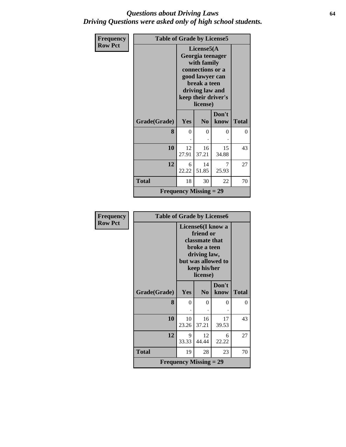### *Questions about Driving Laws* **64** *Driving Questions were asked only of high school students.*

| Frequency      | <b>Table of Grade by License5</b> |                                                                                                                                                             |                               |               |              |
|----------------|-----------------------------------|-------------------------------------------------------------------------------------------------------------------------------------------------------------|-------------------------------|---------------|--------------|
| <b>Row Pct</b> |                                   | License5(A)<br>Georgia teenager<br>with family<br>connections or a<br>good lawyer can<br>break a teen<br>driving law and<br>keep their driver's<br>license) |                               |               |              |
|                | Grade(Grade)                      | Yes                                                                                                                                                         | N <sub>0</sub>                | Don't<br>know | <b>Total</b> |
|                | 8                                 | $\theta$                                                                                                                                                    | 0                             | 0             | 0            |
|                | 10                                | 12<br>27.91                                                                                                                                                 | 16<br>37.21                   | 15<br>34.88   | 43           |
|                | 12                                | 6<br>22.22                                                                                                                                                  | 14<br>51.85                   | 7<br>25.93    | 27           |
|                | <b>Total</b>                      | 18                                                                                                                                                          | 30                            | 22            | 70           |
|                |                                   |                                                                                                                                                             | <b>Frequency Missing = 29</b> |               |              |

| <b>Frequency</b> | <b>Table of Grade by License6</b> |                                                                                                                                                 |                |               |              |
|------------------|-----------------------------------|-------------------------------------------------------------------------------------------------------------------------------------------------|----------------|---------------|--------------|
| <b>Row Pct</b>   |                                   | License <sub>6</sub> (I know a<br>friend or<br>classmate that<br>broke a teen<br>driving law,<br>but was allowed to<br>keep his/her<br>license) |                |               |              |
|                  | Grade(Grade)                      | Yes                                                                                                                                             | N <sub>0</sub> | Don't<br>know | <b>Total</b> |
|                  |                                   |                                                                                                                                                 |                |               |              |
|                  | 8                                 | $\Omega$                                                                                                                                        | $\theta$       | 0             | 0            |
|                  |                                   |                                                                                                                                                 |                |               |              |
|                  | 10                                | 10<br>23.26                                                                                                                                     | 16<br>37.21    | 17<br>39.53   | 43           |
|                  |                                   |                                                                                                                                                 |                |               |              |
|                  | 12                                | 9<br>33.33                                                                                                                                      | 12<br>44.44    | 6<br>22.22    | 27           |
|                  | <b>Total</b>                      | 19                                                                                                                                              | 28             | 23            | 70           |
|                  |                                   | <b>Frequency Missing = 29</b>                                                                                                                   |                |               |              |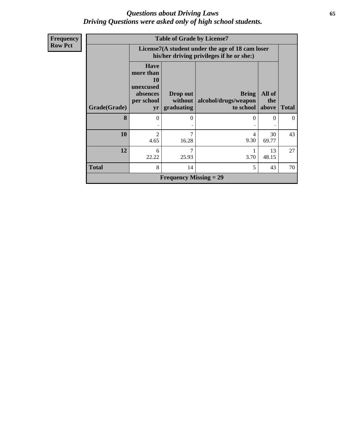### *Questions about Driving Laws* **65** *Driving Questions were asked only of high school students.*

| Frequency      | <b>Table of Grade by License7</b> |                                                                                               |                                   |                                                         |               |              |
|----------------|-----------------------------------|-----------------------------------------------------------------------------------------------|-----------------------------------|---------------------------------------------------------|---------------|--------------|
| <b>Row Pct</b> |                                   | License7(A student under the age of 18 cam loser<br>his/her driving privileges if he or she:) |                                   |                                                         |               |              |
|                | Grade(Grade)                      | <b>Have</b><br>more than<br><b>10</b><br>unexcused<br>absences<br>per school<br>yr            | Drop out<br>without<br>graduating | <b>Bring</b><br>alcohol/drugs/weapon<br>to school above | All of<br>the | <b>Total</b> |
|                | 8                                 | 0                                                                                             | 0                                 | $\Omega$                                                | 0             | $\theta$     |
|                | 10                                | $\overline{2}$<br>4.65                                                                        | 7<br>16.28                        | 4<br>9.30                                               | 30<br>69.77   | 43           |
|                | 12                                | 6<br>22.22                                                                                    | 7<br>25.93                        | 1<br>3.70                                               | 13<br>48.15   | 27           |
|                | <b>Total</b>                      | 8                                                                                             | 14                                | 5                                                       | 43            | 70           |
|                |                                   |                                                                                               | <b>Frequency Missing = 29</b>     |                                                         |               |              |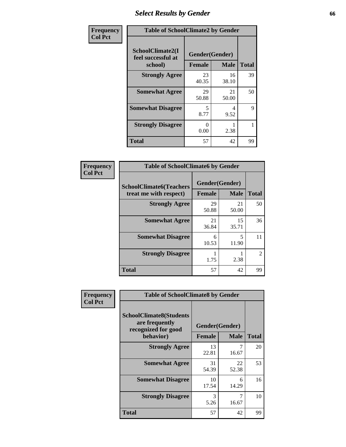# *Select Results by Gender* **66**

| Frequency      | <b>Table of SchoolClimate2 by Gender</b>          |                                 |             |              |
|----------------|---------------------------------------------------|---------------------------------|-------------|--------------|
| <b>Col Pct</b> | SchoolClimate2(I<br>feel successful at<br>school) | Gender(Gender)<br><b>Female</b> | <b>Male</b> | <b>Total</b> |
|                | <b>Strongly Agree</b>                             | 23<br>40.35                     | 16<br>38.10 | 39           |
|                | <b>Somewhat Agree</b>                             | 29<br>50.88                     | 21<br>50.00 | 50           |
|                | <b>Somewhat Disagree</b>                          | 5<br>8.77                       | 4<br>9.52   | $\mathbf Q$  |
|                | <b>Strongly Disagree</b>                          | 0<br>0.00                       | 2.38        |              |
|                | <b>Total</b>                                      | 57                              | 42          | 99           |

| Frequency      | <b>Table of SchoolClimate6 by Gender</b>                 |                          |             |                |  |
|----------------|----------------------------------------------------------|--------------------------|-------------|----------------|--|
| <b>Col Pct</b> | <b>SchoolClimate6(Teachers</b><br>treat me with respect) | Gender(Gender)<br>Female | <b>Male</b> | <b>Total</b>   |  |
|                | <b>Strongly Agree</b>                                    | 29<br>50.88              | 21<br>50.00 | 50             |  |
|                | <b>Somewhat Agree</b>                                    | 21<br>36.84              | 15<br>35.71 | 36             |  |
|                | <b>Somewhat Disagree</b>                                 | 6<br>10.53               | 5<br>11.90  | 11             |  |
|                | <b>Strongly Disagree</b>                                 | 1.75                     | 2.38        | $\mathfrak{D}$ |  |
|                | <b>Total</b>                                             | 57                       | 42          | 99             |  |

| <b>Frequency</b> |                                                                                      |                |             | <b>Table of SchoolClimate8 by Gender</b> |  |  |  |  |
|------------------|--------------------------------------------------------------------------------------|----------------|-------------|------------------------------------------|--|--|--|--|
| <b>Col Pct</b>   | <b>SchoolClimate8(Students</b><br>are frequently<br>recognized for good<br>behavior) | Gender(Gender) |             |                                          |  |  |  |  |
|                  |                                                                                      | <b>Female</b>  | <b>Male</b> | <b>Total</b>                             |  |  |  |  |
|                  | <b>Strongly Agree</b>                                                                | 13<br>22.81    | 7<br>16.67  | 20                                       |  |  |  |  |
|                  | <b>Somewhat Agree</b>                                                                | 31<br>54.39    | 22<br>52.38 | 53                                       |  |  |  |  |
|                  | <b>Somewhat Disagree</b>                                                             | 10<br>17.54    | 6<br>14.29  | 16                                       |  |  |  |  |
|                  | <b>Strongly Disagree</b>                                                             | 3<br>5.26      | 7<br>16.67  | 10                                       |  |  |  |  |
|                  | Total                                                                                | 57             | 42          | 99                                       |  |  |  |  |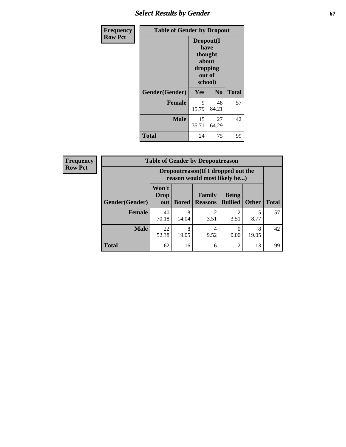## **Select Results by Gender 67**

| Frequency      | <b>Table of Gender by Dropout</b> |                                                                        |                |              |
|----------------|-----------------------------------|------------------------------------------------------------------------|----------------|--------------|
| <b>Row Pct</b> |                                   | Dropout(I<br>have<br>thought<br>about<br>dropping<br>out of<br>school) |                |              |
|                | Gender(Gender)                    | <b>Yes</b>                                                             | N <sub>0</sub> | <b>Total</b> |
|                | <b>Female</b>                     | 9<br>15.79                                                             | 48<br>84.21    | 57           |
|                | <b>Male</b>                       | 15<br>35.71                                                            | 27<br>64.29    | 42           |
|                | <b>Total</b>                      | 24                                                                     | 75             | 99           |

| <b>Frequency</b> | <b>Table of Gender by Dropoutreason</b> |                                                                     |              |                          |                                |              |              |
|------------------|-----------------------------------------|---------------------------------------------------------------------|--------------|--------------------------|--------------------------------|--------------|--------------|
| <b>Row Pct</b>   |                                         | Dropoutreason (If I dropped out the<br>reason would most likely be) |              |                          |                                |              |              |
|                  | <b>Gender(Gender)</b>                   | Won't<br><b>Drop</b><br>out                                         | <b>Bored</b> | Family<br><b>Reasons</b> | <b>Being</b><br><b>Bullied</b> | <b>Other</b> | <b>Total</b> |
|                  | <b>Female</b>                           | 40<br>70.18                                                         | 8<br>14.04   | っ<br>3.51                | 3.51                           | 5<br>8.77    | 57           |
|                  | <b>Male</b>                             | 22<br>52.38                                                         | 8<br>19.05   | 4<br>9.52                | 0.00                           | 8<br>19.05   | 42           |
|                  | <b>Total</b>                            | 62                                                                  | 16           | 6                        | $\overline{c}$                 | 13           | 99           |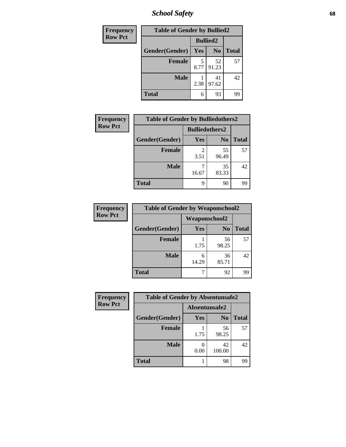*School Safety* **68**

| Frequency      | <b>Table of Gender by Bullied2</b> |                 |                |              |
|----------------|------------------------------------|-----------------|----------------|--------------|
| <b>Row Pct</b> |                                    | <b>Bullied2</b> |                |              |
|                | Gender(Gender)                     | Yes             | N <sub>0</sub> | <b>Total</b> |
|                | <b>Female</b>                      | 5<br>8.77       | 52<br>91.23    | 57           |
|                | <b>Male</b>                        | 2.38            | 41<br>97.62    | 42           |
|                | <b>Total</b>                       | 6               | 93             | 99           |

| <b>Frequency</b> | <b>Table of Gender by Bulliedothers2</b> |                       |                |              |
|------------------|------------------------------------------|-----------------------|----------------|--------------|
| <b>Row Pct</b>   |                                          | <b>Bulliedothers2</b> |                |              |
|                  | Gender(Gender)                           | <b>Yes</b>            | N <sub>0</sub> | <b>Total</b> |
|                  | <b>Female</b>                            | 3.51                  | 55<br>96.49    | 57           |
|                  | <b>Male</b>                              | 16.67                 | 35<br>83.33    | 42           |
|                  | <b>Total</b>                             | q                     | 90             | 99           |

| Frequency      | <b>Table of Gender by Weaponschool2</b> |                      |                |              |
|----------------|-----------------------------------------|----------------------|----------------|--------------|
| <b>Row Pct</b> |                                         | <b>Weaponschool2</b> |                |              |
|                | Gender(Gender)                          | <b>Yes</b>           | N <sub>0</sub> | <b>Total</b> |
|                | <b>Female</b>                           | 1.75                 | 56<br>98.25    | 57           |
|                | <b>Male</b>                             | 6<br>14.29           | 36<br>85.71    | 42           |
|                | <b>Total</b>                            |                      | 92             | 99           |

| Frequency      | <b>Table of Gender by Absentunsafe2</b> |               |                |              |
|----------------|-----------------------------------------|---------------|----------------|--------------|
| <b>Row Pct</b> |                                         | Absentunsafe2 |                |              |
|                | Gender(Gender)                          | Yes           | N <sub>0</sub> | <b>Total</b> |
|                | <b>Female</b>                           | 1.75          | 56<br>98.25    | 57           |
|                | <b>Male</b>                             | 0.00          | 42<br>100.00   | 42           |
|                | <b>Total</b>                            |               | 98             | 99           |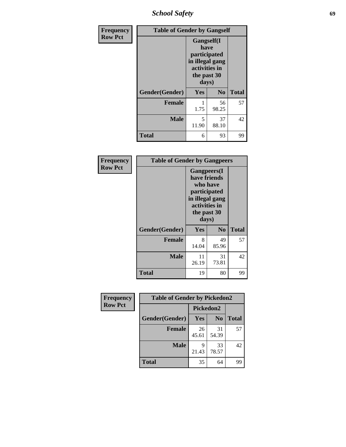*School Safety* **69**

| Frequency      | <b>Table of Gender by Gangself</b> |                                                                                                |                |              |
|----------------|------------------------------------|------------------------------------------------------------------------------------------------|----------------|--------------|
| <b>Row Pct</b> |                                    | Gangself(I<br>have<br>participated<br>in illegal gang<br>activities in<br>the past 30<br>days) |                |              |
|                | Gender(Gender)                     | Yes                                                                                            | N <sub>0</sub> | <b>Total</b> |
|                | <b>Female</b>                      | 1.75                                                                                           | 56<br>98.25    | 57           |
|                | <b>Male</b>                        | 5<br>11.90                                                                                     | 37<br>88.10    | 42           |
|                | <b>Total</b>                       | 6                                                                                              | 93             | 99           |

| Frequency      | <b>Table of Gender by Gangpeers</b> |                                                                                                                             |                |              |
|----------------|-------------------------------------|-----------------------------------------------------------------------------------------------------------------------------|----------------|--------------|
| <b>Row Pct</b> |                                     | <b>Gangpeers</b> (I<br>have friends<br>who have<br>participated<br>in illegal gang<br>activities in<br>the past 30<br>days) |                |              |
|                | Gender(Gender)                      | <b>Yes</b>                                                                                                                  | N <sub>0</sub> | <b>Total</b> |
|                | <b>Female</b>                       | 8<br>14.04                                                                                                                  | 49<br>85.96    | 57           |
|                | <b>Male</b>                         | 11<br>26.19                                                                                                                 | 31<br>73.81    | 42           |
|                | <b>Total</b>                        | 19                                                                                                                          | 80             | 99           |

| <b>Frequency</b> | <b>Table of Gender by Pickedon2</b> |             |                |              |
|------------------|-------------------------------------|-------------|----------------|--------------|
| <b>Row Pct</b>   |                                     |             | Pickedon2      |              |
|                  | Gender(Gender)                      | Yes         | N <sub>0</sub> | <b>Total</b> |
|                  | <b>Female</b>                       | 26<br>45.61 | 31<br>54.39    | 57           |
|                  | <b>Male</b>                         | Q<br>21.43  | 33<br>78.57    | 42           |
|                  | <b>Total</b>                        | 35          | 64             | 99           |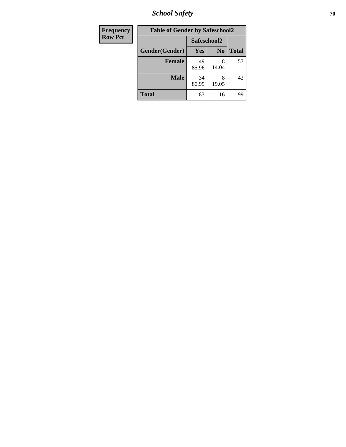*School Safety* **70**

| Frequency      | <b>Table of Gender by Safeschool2</b> |             |                |              |
|----------------|---------------------------------------|-------------|----------------|--------------|
| <b>Row Pct</b> |                                       |             | Safeschool2    |              |
|                | Gender(Gender)                        | Yes         | N <sub>0</sub> | <b>Total</b> |
|                | <b>Female</b>                         | 49<br>85.96 | 8<br>14.04     | 57           |
|                | <b>Male</b>                           | 34<br>80.95 | 8<br>19.05     | 42           |
|                | <b>Total</b>                          | 83          | 16             | 99           |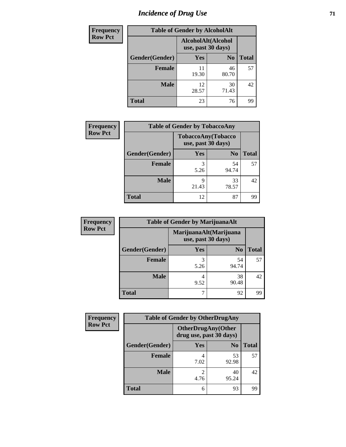# *Incidence of Drug Use* <sup>71</sup>

| <b>Frequency</b> | <b>Table of Gender by AlcoholAlt</b> |                                          |                |              |
|------------------|--------------------------------------|------------------------------------------|----------------|--------------|
| <b>Row Pct</b>   |                                      | AlcoholAlt(Alcohol<br>use, past 30 days) |                |              |
|                  | Gender(Gender)                       | <b>Yes</b>                               | N <sub>0</sub> | <b>Total</b> |
|                  | <b>Female</b>                        | 11<br>19.30                              | 46<br>80.70    | 57           |
|                  | <b>Male</b>                          | 12<br>28.57                              | 30<br>71.43    | 42           |
|                  | <b>Total</b>                         | 23                                       | 76             | 99           |

| <b>Frequency</b> | <b>Table of Gender by TobaccoAny</b> |                                          |                |              |
|------------------|--------------------------------------|------------------------------------------|----------------|--------------|
| <b>Row Pct</b>   |                                      | TobaccoAny(Tobacco<br>use, past 30 days) |                |              |
|                  | Gender(Gender)                       | Yes                                      | N <sub>0</sub> | <b>Total</b> |
|                  | <b>Female</b>                        | 3<br>5.26                                | 54<br>94.74    | 57           |
|                  | <b>Male</b>                          | Q<br>21.43                               | 33<br>78.57    | 42           |
|                  | <b>Total</b>                         | 12                                       | 87             | 99           |

| <b>Frequency</b> | <b>Table of Gender by MarijuanaAlt</b> |            |                                              |       |
|------------------|----------------------------------------|------------|----------------------------------------------|-------|
| <b>Row Pct</b>   |                                        |            | MarijuanaAlt(Marijuana<br>use, past 30 days) |       |
|                  | Gender(Gender)                         | <b>Yes</b> | N <sub>0</sub>                               | Total |
|                  | <b>Female</b>                          | 3<br>5.26  | 54<br>94.74                                  | 57    |
|                  | <b>Male</b>                            | 4<br>9.52  | 38<br>90.48                                  | 42    |
|                  | <b>Total</b>                           | 7          | 92                                           | 99    |

| <b>Frequency</b> | <b>Table of Gender by OtherDrugAny</b> |                                                      |                |              |
|------------------|----------------------------------------|------------------------------------------------------|----------------|--------------|
| <b>Row Pct</b>   |                                        | <b>OtherDrugAny(Other</b><br>drug use, past 30 days) |                |              |
|                  | Gender(Gender)                         | <b>Yes</b>                                           | N <sub>0</sub> | <b>Total</b> |
|                  | <b>Female</b>                          | 7.02                                                 | 53<br>92.98    | 57           |
|                  | <b>Male</b>                            | 4.76                                                 | 40<br>95.24    | 42           |
|                  | <b>Total</b>                           | 6                                                    | 93             | 99           |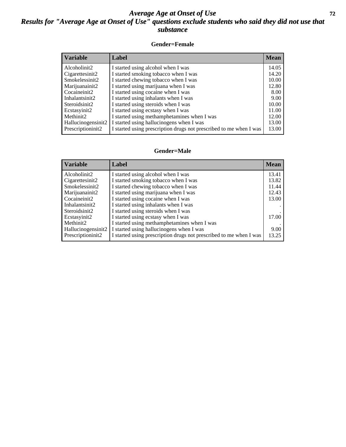### *Average Age at Onset of Use* **72** *Results for "Average Age at Onset of Use" questions exclude students who said they did not use that substance*

#### **Gender=Female**

| <i><b>Variable</b></i>          | <b>Label</b>                                                       | <b>Mean</b> |
|---------------------------------|--------------------------------------------------------------------|-------------|
| Alcoholinit2                    | I started using alcohol when I was                                 | 14.05       |
| Cigarettesinit2                 | I started smoking tobacco when I was                               | 14.20       |
| Smokelessinit2                  | I started chewing tobacco when I was                               | 10.00       |
| Marijuanainit2                  | I started using marijuana when I was                               | 12.80       |
| Cocaineinit2                    | I started using cocaine when I was                                 | 8.00        |
| Inhalantsinit2                  | I started using inhalants when I was                               | 9.00        |
| Steroidsinit2                   | I started using steroids when I was                                | 10.00       |
| Ecstasyinit2                    | I started using ecstasy when I was                                 | 11.00       |
| Methinit2                       | I started using methamphetamines when I was                        | 12.00       |
| Hallucinogensinit2              | I started using hallucinogens when I was                           | 13.00       |
| Prescription in it <sub>2</sub> | I started using prescription drugs not prescribed to me when I was | 13.00       |

#### **Gender=Male**

| <b>Variable</b>    | Label                                                              | <b>Mean</b> |
|--------------------|--------------------------------------------------------------------|-------------|
| Alcoholinit2       | I started using alcohol when I was                                 | 13.41       |
| Cigarettesinit2    | I started smoking tobacco when I was                               | 13.82       |
| Smokelessinit2     | I started chewing tobacco when I was                               | 11.44       |
| Marijuanainit2     | I started using marijuana when I was                               | 12.43       |
| Cocaineinit2       | I started using cocaine when I was                                 | 13.00       |
| Inhalantsinit2     | I started using inhalants when I was                               |             |
| Steroidsinit2      | I started using steroids when I was                                |             |
| Ecstasyinit2       | I started using ecstasy when I was                                 | 17.00       |
| Methinit2          | I started using methamphetamines when I was                        |             |
| Hallucinogensinit2 | I started using hallucinogens when I was                           | 9.00        |
| Prescriptioninit2  | I started using prescription drugs not prescribed to me when I was | 13.25       |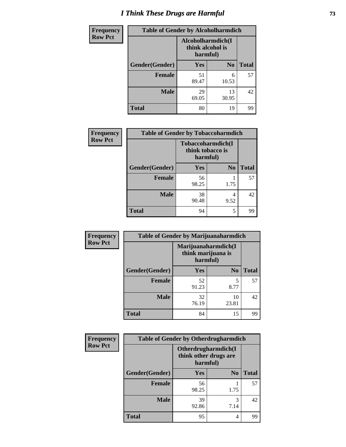# *I Think These Drugs are Harmful* **73**

| <b>Frequency</b> | <b>Table of Gender by Alcoholharmdich</b> |                                                   |                |              |
|------------------|-------------------------------------------|---------------------------------------------------|----------------|--------------|
| <b>Row Pct</b>   |                                           | Alcoholharmdich(I<br>think alcohol is<br>harmful) |                |              |
|                  | Gender(Gender)                            | <b>Yes</b>                                        | N <sub>0</sub> | <b>Total</b> |
|                  | Female                                    | 51<br>89.47                                       | 6<br>10.53     | 57           |
|                  | <b>Male</b>                               | 29<br>69.05                                       | 13<br>30.95    | 42           |
|                  | <b>Total</b>                              | 80                                                | 19             | 99           |

| Frequency      | <b>Table of Gender by Tobaccoharmdich</b> |                                                   |                |              |
|----------------|-------------------------------------------|---------------------------------------------------|----------------|--------------|
| <b>Row Pct</b> |                                           | Tobaccoharmdich(I<br>think tobacco is<br>harmful) |                |              |
|                | Gender(Gender)                            | Yes                                               | N <sub>0</sub> | <b>Total</b> |
|                | <b>Female</b>                             | 56<br>98.25                                       | 1.75           | 57           |
|                | <b>Male</b>                               | 38<br>90.48                                       | 4<br>9.52      | 42           |
|                | <b>Total</b>                              | 94                                                | 5              | 99           |

| Frequency      | <b>Table of Gender by Marijuanaharmdich</b> |                                                       |                |              |  |
|----------------|---------------------------------------------|-------------------------------------------------------|----------------|--------------|--|
| <b>Row Pct</b> |                                             | Marijuanaharmdich(I<br>think marijuana is<br>harmful) |                |              |  |
|                | Gender(Gender)                              | <b>Yes</b>                                            | N <sub>0</sub> | <b>Total</b> |  |
|                | <b>Female</b>                               | 52<br>91.23                                           | 5<br>8.77      | 57           |  |
|                | <b>Male</b>                                 | 32<br>76.19                                           | 10<br>23.81    | 42           |  |
|                | <b>Total</b>                                | 84                                                    | 15             | 99           |  |

| Frequency      | <b>Table of Gender by Otherdrugharmdich</b> |                                                          |                |              |
|----------------|---------------------------------------------|----------------------------------------------------------|----------------|--------------|
| <b>Row Pct</b> |                                             | Otherdrugharmdich(I<br>think other drugs are<br>harmful) |                |              |
|                | Gender(Gender)                              | <b>Yes</b>                                               | N <sub>0</sub> | <b>Total</b> |
|                | <b>Female</b>                               | 56<br>98.25                                              | 1.75           | 57           |
|                | <b>Male</b>                                 | 39<br>92.86                                              | 3<br>7.14      | 42           |
|                | <b>Total</b>                                | 95                                                       | 4              | 99           |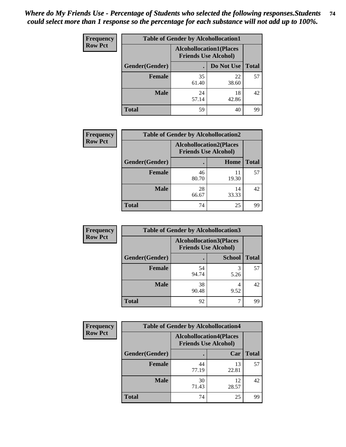| <b>Frequency</b> | <b>Table of Gender by Alcohollocation1</b> |                                                               |             |              |
|------------------|--------------------------------------------|---------------------------------------------------------------|-------------|--------------|
| <b>Row Pct</b>   |                                            | <b>Alcohollocation1(Places</b><br><b>Friends Use Alcohol)</b> |             |              |
|                  | Gender(Gender)                             |                                                               | Do Not Use  | <b>Total</b> |
|                  | <b>Female</b>                              | 35<br>61.40                                                   | 22<br>38.60 | 57           |
|                  | <b>Male</b>                                | 24<br>57.14                                                   | 18<br>42.86 | 42           |
|                  | Total                                      | 59                                                            | 40          | 99           |

| <b>Frequency</b> | <b>Table of Gender by Alcohollocation2</b> |                                |                             |              |
|------------------|--------------------------------------------|--------------------------------|-----------------------------|--------------|
| <b>Row Pct</b>   |                                            | <b>Alcohollocation2(Places</b> | <b>Friends Use Alcohol)</b> |              |
|                  | Gender(Gender)                             |                                | Home                        | <b>Total</b> |
|                  | <b>Female</b>                              | 46<br>80.70                    | 11<br>19.30                 | 57           |
|                  | <b>Male</b>                                | 28<br>66.67                    | 14<br>33.33                 | 42           |
|                  | <b>Total</b>                               | 74                             | 25                          | 99           |

| Frequency      | <b>Table of Gender by Alcohollocation3</b> |             |                                                               |              |
|----------------|--------------------------------------------|-------------|---------------------------------------------------------------|--------------|
| <b>Row Pct</b> |                                            |             | <b>Alcohollocation3(Places</b><br><b>Friends Use Alcohol)</b> |              |
|                | Gender(Gender)                             |             | <b>School</b>                                                 | <b>Total</b> |
|                | <b>Female</b>                              | 54<br>94.74 | 5.26                                                          | 57           |
|                | <b>Male</b>                                | 38<br>90.48 | 9.52                                                          | 42           |
|                | <b>Total</b>                               | 92          |                                                               | 99           |

| Frequency      | <b>Table of Gender by Alcohollocation4</b> |                                |                             |              |
|----------------|--------------------------------------------|--------------------------------|-----------------------------|--------------|
| <b>Row Pct</b> |                                            | <b>Alcohollocation4(Places</b> | <b>Friends Use Alcohol)</b> |              |
|                | Gender(Gender)                             |                                | Car                         | <b>Total</b> |
|                | <b>Female</b>                              | 44<br>77.19                    | 13<br>22.81                 | 57           |
|                | <b>Male</b>                                | 30<br>71.43                    | 12<br>28.57                 | 42           |
|                | <b>Total</b>                               | 74                             | 25                          | 99           |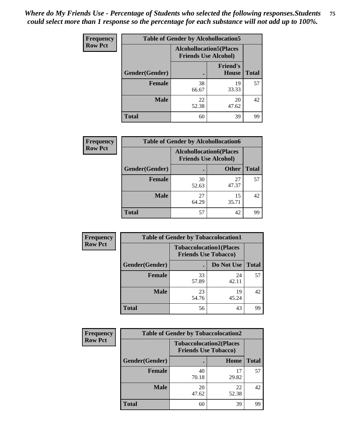| <b>Frequency</b> | <b>Table of Gender by Alcohollocation5</b> |                                                                |                                 |              |
|------------------|--------------------------------------------|----------------------------------------------------------------|---------------------------------|--------------|
| <b>Row Pct</b>   |                                            | <b>Alcohollocation5</b> (Places<br><b>Friends Use Alcohol)</b> |                                 |              |
|                  | Gender(Gender)                             |                                                                | <b>Friend's</b><br><b>House</b> | <b>Total</b> |
|                  | <b>Female</b>                              | 38<br>66.67                                                    | 19<br>33.33                     | 57           |
|                  | <b>Male</b>                                | 22<br>52.38                                                    | 20<br>47.62                     | 42           |
|                  | <b>Total</b>                               | 60                                                             | 39                              | 99           |

| Frequency      | <b>Table of Gender by Alcohollocation6</b> |                                                               |              |              |
|----------------|--------------------------------------------|---------------------------------------------------------------|--------------|--------------|
| <b>Row Pct</b> |                                            | <b>Alcohollocation6(Places</b><br><b>Friends Use Alcohol)</b> |              |              |
|                | Gender(Gender)                             |                                                               | <b>Other</b> | <b>Total</b> |
|                | <b>Female</b>                              | 30<br>52.63                                                   | 27<br>47.37  | 57           |
|                | <b>Male</b>                                | 27<br>64.29                                                   | 15<br>35.71  | 42           |
|                | <b>Total</b>                               | 57                                                            | 42           | 99           |

| Frequency      | <b>Table of Gender by Tobaccolocation1</b> |                                                               |             |              |  |
|----------------|--------------------------------------------|---------------------------------------------------------------|-------------|--------------|--|
| <b>Row Pct</b> |                                            | <b>Tobaccolocation1(Places</b><br><b>Friends Use Tobacco)</b> |             |              |  |
|                | Gender(Gender)                             |                                                               | Do Not Use  | <b>Total</b> |  |
|                | Female                                     | 33<br>57.89                                                   | 24<br>42.11 | 57           |  |
|                | <b>Male</b>                                | 23<br>54.76                                                   | 19<br>45.24 | 42           |  |
|                | <b>Total</b>                               | 56                                                            | 43          | 99           |  |

| Frequency      | <b>Table of Gender by Tobaccolocation2</b> |                                                               |             |              |
|----------------|--------------------------------------------|---------------------------------------------------------------|-------------|--------------|
| <b>Row Pct</b> |                                            | <b>Tobaccolocation2(Places</b><br><b>Friends Use Tobacco)</b> |             |              |
|                | Gender(Gender)                             |                                                               | Home        | <b>Total</b> |
|                | Female                                     | 40<br>70.18                                                   | 17<br>29.82 | 57           |
|                | <b>Male</b>                                | 20<br>47.62                                                   | 22<br>52.38 | 42           |
|                | <b>Total</b>                               | 60                                                            | 39          | 99           |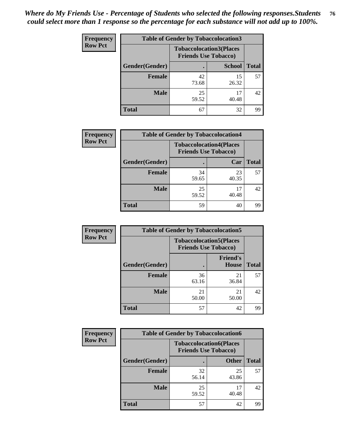| <b>Frequency</b> | <b>Table of Gender by Tobaccolocation3</b> |             |                                                               |              |  |
|------------------|--------------------------------------------|-------------|---------------------------------------------------------------|--------------|--|
| <b>Row Pct</b>   |                                            |             | <b>Tobaccolocation3(Places</b><br><b>Friends Use Tobacco)</b> |              |  |
|                  | Gender(Gender)                             |             | <b>School</b>                                                 | <b>Total</b> |  |
|                  | <b>Female</b>                              | 42<br>73.68 | 15<br>26.32                                                   | 57           |  |
|                  | <b>Male</b>                                | 25<br>59.52 | 17<br>40.48                                                   | 42           |  |
|                  | Total                                      | 67          | 32                                                            | 99           |  |

| <b>Frequency</b> | <b>Table of Gender by Tobaccolocation4</b> |             |                                                               |              |
|------------------|--------------------------------------------|-------------|---------------------------------------------------------------|--------------|
| <b>Row Pct</b>   |                                            |             | <b>Tobaccolocation4(Places</b><br><b>Friends Use Tobacco)</b> |              |
|                  | Gender(Gender)                             |             | Car                                                           | <b>Total</b> |
|                  | <b>Female</b>                              | 34<br>59.65 | 23<br>40.35                                                   | 57           |
|                  | <b>Male</b>                                | 25<br>59.52 | 17<br>40.48                                                   | 42           |
|                  | <b>Total</b>                               | 59          | 40                                                            | 99           |

| <b>Frequency</b> | <b>Table of Gender by Tobaccolocation5</b> |                                                               |                                 |              |
|------------------|--------------------------------------------|---------------------------------------------------------------|---------------------------------|--------------|
| <b>Row Pct</b>   |                                            | <b>Tobaccolocation5(Places</b><br><b>Friends Use Tobacco)</b> |                                 |              |
|                  | Gender(Gender)                             |                                                               | <b>Friend's</b><br><b>House</b> | <b>Total</b> |
|                  | <b>Female</b>                              | 36<br>63.16                                                   | 21<br>36.84                     | 57           |
|                  | <b>Male</b>                                | 21<br>50.00                                                   | 21<br>50.00                     | 42           |
|                  | <b>Total</b>                               | 57                                                            | 42                              | 99           |

| <b>Frequency</b> | <b>Table of Gender by Tobaccolocation6</b> |                                                               |              |              |
|------------------|--------------------------------------------|---------------------------------------------------------------|--------------|--------------|
| <b>Row Pct</b>   |                                            | <b>Tobaccolocation6(Places</b><br><b>Friends Use Tobacco)</b> |              |              |
|                  | Gender(Gender)                             |                                                               | <b>Other</b> | <b>Total</b> |
|                  | Female                                     | 32<br>56.14                                                   | 25<br>43.86  | 57           |
|                  | <b>Male</b>                                | 25<br>59.52                                                   | 17<br>40.48  | 42           |
|                  | <b>Total</b>                               | 57                                                            | 42           | 99           |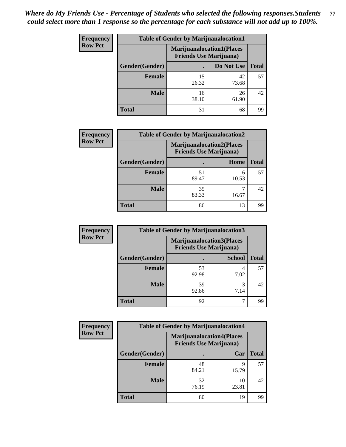| <b>Frequency</b> | <b>Table of Gender by Marijuanalocation1</b> |                                                                    |             |              |  |
|------------------|----------------------------------------------|--------------------------------------------------------------------|-------------|--------------|--|
| <b>Row Pct</b>   |                                              | <b>Marijuanalocation1(Places</b><br><b>Friends Use Marijuana</b> ) |             |              |  |
|                  | Gender(Gender)                               |                                                                    | Do Not Use  | <b>Total</b> |  |
|                  | <b>Female</b>                                | 15<br>26.32                                                        | 42<br>73.68 | 57           |  |
|                  | <b>Male</b>                                  | 16<br>38.10                                                        | 26<br>61.90 | 42           |  |
|                  | <b>Total</b>                                 | 31                                                                 | 68          | 99           |  |

| <b>Frequency</b> | <b>Table of Gender by Marijuanalocation2</b> |                                                                    |            |              |
|------------------|----------------------------------------------|--------------------------------------------------------------------|------------|--------------|
| <b>Row Pct</b>   |                                              | <b>Marijuanalocation2(Places</b><br><b>Friends Use Marijuana</b> ) |            |              |
|                  | Gender(Gender)                               |                                                                    | Home       | <b>Total</b> |
|                  | <b>Female</b>                                | 51<br>89.47                                                        | 6<br>10.53 | 57           |
|                  | <b>Male</b>                                  | 35<br>83.33                                                        | 16.67      | 42           |
|                  | <b>Total</b>                                 | 86                                                                 | 13         | 99           |

| Frequency      | <b>Table of Gender by Marijuanalocation3</b> |                                                                    |               |              |
|----------------|----------------------------------------------|--------------------------------------------------------------------|---------------|--------------|
| <b>Row Pct</b> |                                              | <b>Marijuanalocation3(Places</b><br><b>Friends Use Marijuana</b> ) |               |              |
|                | Gender(Gender)                               |                                                                    | <b>School</b> | <b>Total</b> |
|                | Female                                       | 53<br>92.98                                                        | 7.02          | 57           |
|                | <b>Male</b>                                  | 39<br>92.86                                                        | 7.14          | 42           |
|                | <b>Total</b>                                 | 92                                                                 | ┑             | 99           |

| Frequency      | <b>Table of Gender by Marijuanalocation4</b> |                                                                    |             |              |
|----------------|----------------------------------------------|--------------------------------------------------------------------|-------------|--------------|
| <b>Row Pct</b> |                                              | <b>Marijuanalocation4(Places</b><br><b>Friends Use Marijuana</b> ) |             |              |
|                | Gender(Gender)                               |                                                                    | Car         | <b>Total</b> |
|                | <b>Female</b>                                | 48<br>84.21                                                        | Q<br>15.79  | 57           |
|                | <b>Male</b>                                  | 32<br>76.19                                                        | 10<br>23.81 | 42           |
|                | <b>Total</b>                                 | 80                                                                 | 19          | 99           |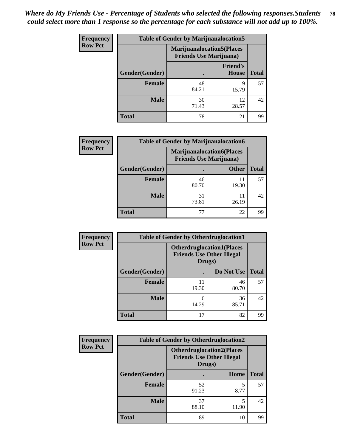| <b>Frequency</b> | <b>Table of Gender by Marijuanalocation5</b> |                                                                     |                          |              |
|------------------|----------------------------------------------|---------------------------------------------------------------------|--------------------------|--------------|
| <b>Row Pct</b>   |                                              | <b>Marijuanalocation5</b> (Places<br><b>Friends Use Marijuana</b> ) |                          |              |
|                  | Gender(Gender)                               |                                                                     | <b>Friend's</b><br>House | <b>Total</b> |
|                  | <b>Female</b>                                | 48<br>84.21                                                         | 9<br>15.79               | 57           |
|                  | <b>Male</b>                                  | 30<br>71.43                                                         | 12<br>28.57              | 42           |
|                  | <b>Total</b>                                 | 78                                                                  | 21                       | 99           |

| <b>Frequency</b> | <b>Table of Gender by Marijuanalocation6</b> |                                                                    |              |              |
|------------------|----------------------------------------------|--------------------------------------------------------------------|--------------|--------------|
| <b>Row Pct</b>   |                                              | <b>Marijuanalocation6(Places</b><br><b>Friends Use Marijuana</b> ) |              |              |
|                  | Gender(Gender)                               |                                                                    | <b>Other</b> | <b>Total</b> |
|                  | <b>Female</b>                                | 46<br>80.70                                                        | 19.30        | 57           |
|                  | <b>Male</b>                                  | 31<br>73.81                                                        | 26.19        | 42           |
|                  | <b>Total</b>                                 | 77                                                                 | 22           | 99           |

| Frequency      | <b>Table of Gender by Otherdruglocation1</b> |                                                                                |             |              |
|----------------|----------------------------------------------|--------------------------------------------------------------------------------|-------------|--------------|
| <b>Row Pct</b> |                                              | <b>Otherdruglocation1(Places</b><br><b>Friends Use Other Illegal</b><br>Drugs) |             |              |
|                | Gender(Gender)                               |                                                                                | Do Not Use  | <b>Total</b> |
|                | <b>Female</b>                                | 11<br>19.30                                                                    | 46<br>80.70 | 57           |
|                | <b>Male</b>                                  | 6<br>14.29                                                                     | 36<br>85.71 | 42           |
|                | <b>Total</b>                                 | 17                                                                             | 82          | 99           |

| Frequency      | <b>Table of Gender by Otherdruglocation2</b> |                                                                                |       |              |
|----------------|----------------------------------------------|--------------------------------------------------------------------------------|-------|--------------|
| <b>Row Pct</b> |                                              | <b>Otherdruglocation2(Places</b><br><b>Friends Use Other Illegal</b><br>Drugs) |       |              |
|                | Gender(Gender)                               |                                                                                | Home  | <b>Total</b> |
|                | <b>Female</b>                                | 52<br>91.23                                                                    | 8.77  | 57           |
|                | <b>Male</b>                                  | 37<br>88.10                                                                    | 11.90 | 42           |
|                | <b>Total</b>                                 | 89                                                                             | 10    | 99           |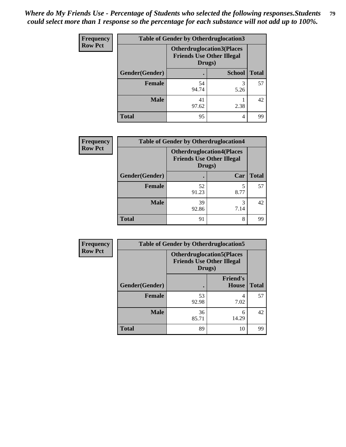| Frequency      | <b>Table of Gender by Otherdruglocation3</b> |                                                                                |               |              |
|----------------|----------------------------------------------|--------------------------------------------------------------------------------|---------------|--------------|
| <b>Row Pct</b> |                                              | <b>Otherdruglocation3(Places</b><br><b>Friends Use Other Illegal</b><br>Drugs) |               |              |
|                | Gender(Gender)                               |                                                                                | <b>School</b> | <b>Total</b> |
|                | Female                                       | 54<br>94.74                                                                    | 3<br>5.26     | 57           |
|                | <b>Male</b>                                  | 41<br>97.62                                                                    | 2.38          | 42           |
|                | <b>Total</b>                                 | 95                                                                             | 4             | 99           |

| Frequency      | <b>Table of Gender by Otherdruglocation4</b> |                                                                                |           |              |
|----------------|----------------------------------------------|--------------------------------------------------------------------------------|-----------|--------------|
| <b>Row Pct</b> |                                              | <b>Otherdruglocation4(Places</b><br><b>Friends Use Other Illegal</b><br>Drugs) |           |              |
|                | Gender(Gender)                               |                                                                                | Car       | <b>Total</b> |
|                | Female                                       | 52<br>91.23                                                                    | 5<br>8.77 | 57           |
|                | <b>Male</b>                                  | 39<br>92.86                                                                    | 3<br>7.14 | 42           |
|                | <b>Total</b>                                 | 91                                                                             | 8         | 99           |

| Frequency      | <b>Table of Gender by Otherdruglocation5</b> |                                                                                |                                 |              |
|----------------|----------------------------------------------|--------------------------------------------------------------------------------|---------------------------------|--------------|
| <b>Row Pct</b> |                                              | <b>Otherdruglocation5(Places</b><br><b>Friends Use Other Illegal</b><br>Drugs) |                                 |              |
|                | Gender(Gender)                               |                                                                                | <b>Friend's</b><br><b>House</b> | <b>Total</b> |
|                | <b>Female</b>                                | 53<br>92.98                                                                    | 7.02                            | 57           |
|                | <b>Male</b>                                  | 36<br>85.71                                                                    | 6<br>14.29                      | 42           |
|                | <b>Total</b>                                 | 89                                                                             | 10                              | 99           |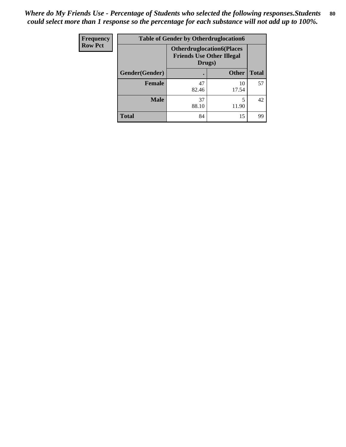| Frequency      | <b>Table of Gender by Otherdruglocation6</b> |                                                                                |              |              |
|----------------|----------------------------------------------|--------------------------------------------------------------------------------|--------------|--------------|
| <b>Row Pct</b> |                                              | <b>Otherdruglocation6(Places</b><br><b>Friends Use Other Illegal</b><br>Drugs) |              |              |
|                | Gender(Gender)                               |                                                                                | <b>Other</b> | <b>Total</b> |
|                | <b>Female</b>                                | 47<br>82.46                                                                    | 10<br>17.54  | 57           |
|                | <b>Male</b>                                  | 37<br>88.10                                                                    | 11.90        | 42           |
|                | <b>Total</b>                                 | 84                                                                             | 15           | 99           |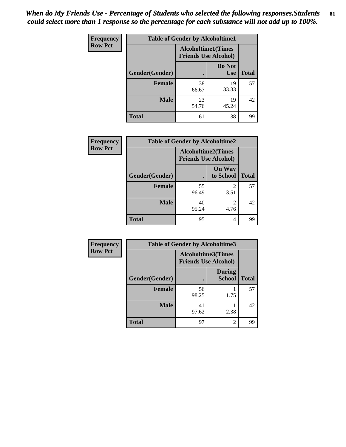| <b>Frequency</b> | <b>Table of Gender by Alcoholtime1</b> |                                                          |                      |              |
|------------------|----------------------------------------|----------------------------------------------------------|----------------------|--------------|
| <b>Row Pct</b>   |                                        | <b>Alcoholtime1(Times</b><br><b>Friends Use Alcohol)</b> |                      |              |
|                  | Gender(Gender)                         | $\bullet$                                                | Do Not<br><b>Use</b> | <b>Total</b> |
|                  | <b>Female</b>                          | 38<br>66.67                                              | 19<br>33.33          | 57           |
|                  | <b>Male</b>                            | 23<br>54.76                                              | 19<br>45.24          | 42           |
|                  | <b>Total</b>                           | 61                                                       | 38                   | 99           |

| Frequency      | <b>Table of Gender by Alcoholtime2</b> |                                                          |                            |              |
|----------------|----------------------------------------|----------------------------------------------------------|----------------------------|--------------|
| <b>Row Pct</b> |                                        | <b>Alcoholtime2(Times</b><br><b>Friends Use Alcohol)</b> |                            |              |
|                | Gender(Gender)                         |                                                          | <b>On Way</b><br>to School | <b>Total</b> |
|                | <b>Female</b>                          | 55<br>96.49                                              | 2<br>3.51                  | 57           |
|                | <b>Male</b>                            | 40<br>95.24                                              | 2<br>4.76                  | 42           |
|                | <b>Total</b>                           | 95                                                       | 4                          | 99           |

| Frequency      | <b>Table of Gender by Alcoholtime3</b> |                                                          |                         |              |
|----------------|----------------------------------------|----------------------------------------------------------|-------------------------|--------------|
| <b>Row Pct</b> |                                        | <b>Alcoholtime3(Times</b><br><b>Friends Use Alcohol)</b> |                         |              |
|                | Gender(Gender)                         |                                                          | <b>During</b><br>School | <b>Total</b> |
|                | Female                                 | 56<br>98.25                                              | 1.75                    | 57           |
|                | <b>Male</b>                            | 41<br>97.62                                              | 2.38                    | 42           |
|                | <b>Total</b>                           | 97                                                       | 2                       | 99           |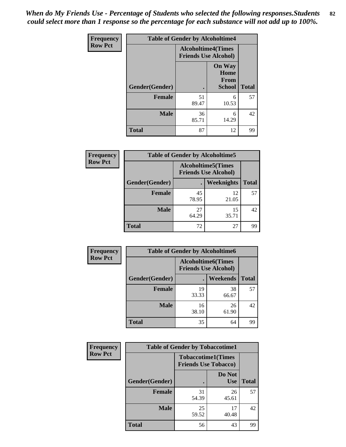*When do My Friends Use - Percentage of Students who selected the following responses.Students could select more than 1 response so the percentage for each substance will not add up to 100%.* **82**

| <b>Frequency</b> | <b>Table of Gender by Alcoholtime4</b> |                                                          |                                                |              |
|------------------|----------------------------------------|----------------------------------------------------------|------------------------------------------------|--------------|
| <b>Row Pct</b>   |                                        | <b>Alcoholtime4(Times</b><br><b>Friends Use Alcohol)</b> |                                                |              |
|                  | Gender(Gender)                         |                                                          | <b>On Way</b><br>Home<br>From<br><b>School</b> | <b>Total</b> |
|                  | <b>Female</b>                          | 51<br>89.47                                              | 6<br>10.53                                     | 57           |
|                  | <b>Male</b>                            | 36<br>85.71                                              | 6<br>14.29                                     | 42           |
|                  | <b>Total</b>                           | 87                                                       | 12                                             | 99           |

| <b>Frequency</b> | <b>Table of Gender by Alcoholtime5</b> |                                                           |             |              |
|------------------|----------------------------------------|-----------------------------------------------------------|-------------|--------------|
| <b>Row Pct</b>   |                                        | <b>Alcoholtime5</b> (Times<br><b>Friends Use Alcohol)</b> |             |              |
|                  | Gender(Gender)                         |                                                           | Weeknights  | <b>Total</b> |
|                  | <b>Female</b>                          | 45<br>78.95                                               | 12<br>21.05 | 57           |
|                  | <b>Male</b>                            | 27<br>64.29                                               | 15<br>35.71 | 42           |
|                  | <b>Total</b>                           | 72                                                        | 27          | 99           |

| <b>Frequency</b> | <b>Table of Gender by Alcoholtime6</b> |                                                           |                 |              |
|------------------|----------------------------------------|-----------------------------------------------------------|-----------------|--------------|
| <b>Row Pct</b>   |                                        | <b>Alcoholtime6</b> (Times<br><b>Friends Use Alcohol)</b> |                 |              |
|                  | Gender(Gender)                         |                                                           | <b>Weekends</b> | <b>Total</b> |
|                  | <b>Female</b>                          | 19<br>33.33                                               | 38<br>66.67     | 57           |
|                  | <b>Male</b>                            | 16<br>38.10                                               | 26<br>61.90     | 42           |
|                  | <b>Total</b>                           | 35                                                        | 64              | 99           |

| Frequency      | <b>Table of Gender by Tobaccotime1</b> |                                                          |                      |              |
|----------------|----------------------------------------|----------------------------------------------------------|----------------------|--------------|
| <b>Row Pct</b> |                                        | <b>Tobaccotime1(Times</b><br><b>Friends Use Tobacco)</b> |                      |              |
|                | Gender(Gender)                         |                                                          | Do Not<br><b>Use</b> | <b>Total</b> |
|                | Female                                 | 31<br>54.39                                              | 26<br>45.61          | 57           |
|                | <b>Male</b>                            | 25<br>59.52                                              | 17<br>40.48          | 42           |
|                | <b>Total</b>                           | 56                                                       | 43                   | 99           |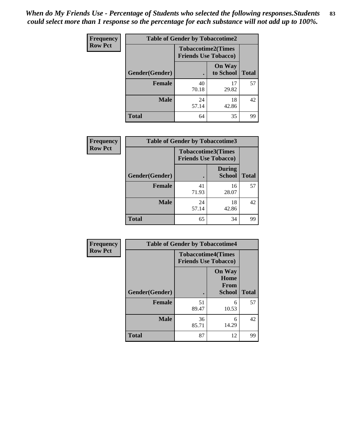*When do My Friends Use - Percentage of Students who selected the following responses.Students could select more than 1 response so the percentage for each substance will not add up to 100%.* **83**

| <b>Frequency</b> | <b>Table of Gender by Tobaccotime2</b> |                                                          |                            |              |
|------------------|----------------------------------------|----------------------------------------------------------|----------------------------|--------------|
| <b>Row Pct</b>   |                                        | <b>Tobaccotime2(Times</b><br><b>Friends Use Tobacco)</b> |                            |              |
|                  | Gender(Gender)                         | $\bullet$                                                | <b>On Way</b><br>to School | <b>Total</b> |
|                  | <b>Female</b>                          | 40<br>70.18                                              | 17<br>29.82                | 57           |
|                  | <b>Male</b>                            | 24<br>57.14                                              | 18<br>42.86                | 42           |
|                  | Total                                  | 64                                                       | 35                         | 99           |

| Frequency      |                | <b>Table of Gender by Tobaccotime3</b>                   |                                |              |
|----------------|----------------|----------------------------------------------------------|--------------------------------|--------------|
| <b>Row Pct</b> |                | <b>Tobaccotime3(Times</b><br><b>Friends Use Tobacco)</b> |                                |              |
|                | Gender(Gender) |                                                          | <b>During</b><br><b>School</b> | <b>Total</b> |
|                | <b>Female</b>  | 41<br>71.93                                              | 16<br>28.07                    | 57           |
|                | <b>Male</b>    | 24<br>57.14                                              | 18<br>42.86                    | 42           |
|                | <b>Total</b>   | 65                                                       | 34                             | 99           |

| Frequency      | <b>Table of Gender by Tobaccotime4</b> |                                                          |                                                |              |
|----------------|----------------------------------------|----------------------------------------------------------|------------------------------------------------|--------------|
| <b>Row Pct</b> |                                        | <b>Tobaccotime4(Times</b><br><b>Friends Use Tobacco)</b> |                                                |              |
|                | <b>Gender</b> (Gender)                 |                                                          | <b>On Way</b><br>Home<br>From<br><b>School</b> | <b>Total</b> |
|                | <b>Female</b>                          | 51<br>89.47                                              | 6<br>10.53                                     | 57           |
|                | <b>Male</b>                            | 36<br>85.71                                              | 6<br>14.29                                     | 42           |
|                | <b>Total</b>                           | 87                                                       | 12                                             | 99           |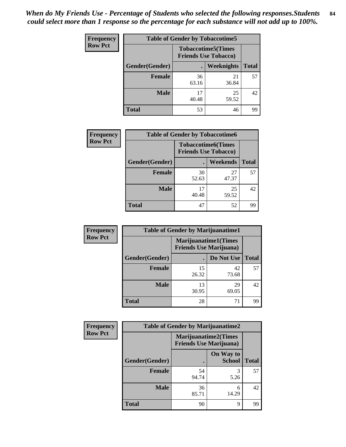| Frequency      | <b>Table of Gender by Tobaccotime5</b> |             |                                                           |              |  |
|----------------|----------------------------------------|-------------|-----------------------------------------------------------|--------------|--|
| <b>Row Pct</b> |                                        |             | <b>Tobaccotime5</b> (Times<br><b>Friends Use Tobacco)</b> |              |  |
|                | Gender(Gender)                         |             | Weeknights                                                | <b>Total</b> |  |
|                | <b>Female</b>                          | 36<br>63.16 | 21<br>36.84                                               | 57           |  |
|                | <b>Male</b>                            | 17<br>40.48 | 25<br>59.52                                               | 42           |  |
|                | <b>Total</b>                           | 53          | 46                                                        | 99           |  |

| <b>Frequency</b> | <b>Table of Gender by Tobaccotime6</b> |                                                          |             |              |
|------------------|----------------------------------------|----------------------------------------------------------|-------------|--------------|
| <b>Row Pct</b>   |                                        | <b>Tobaccotime6(Times</b><br><b>Friends Use Tobacco)</b> |             |              |
|                  | Gender(Gender)                         |                                                          | Weekends    | <b>Total</b> |
|                  | Female                                 | 30<br>52.63                                              | 27<br>47.37 | 57           |
|                  | <b>Male</b>                            | 17<br>40.48                                              | 25<br>59.52 | 42           |
|                  | <b>Total</b>                           | 47                                                       | 52          | 99           |

| <b>Frequency</b> | <b>Table of Gender by Marijuanatime1</b> |                                |                             |              |
|------------------|------------------------------------------|--------------------------------|-----------------------------|--------------|
| <b>Row Pct</b>   |                                          | <b>Friends Use Marijuana</b> ) | <b>Marijuanatime1(Times</b> |              |
|                  | Gender(Gender)                           |                                | Do Not Use                  | <b>Total</b> |
|                  | <b>Female</b>                            | 15<br>26.32                    | 42<br>73.68                 | 57           |
|                  | <b>Male</b>                              | 13<br>30.95                    | 29<br>69.05                 | 42           |
|                  | <b>Total</b>                             | 28                             | 71                          | 99           |

| <b>Frequency</b> | <b>Table of Gender by Marijuanatime2</b> |                                                               |                            |              |
|------------------|------------------------------------------|---------------------------------------------------------------|----------------------------|--------------|
| <b>Row Pct</b>   |                                          | <b>Marijuanatime2(Times</b><br><b>Friends Use Marijuana</b> ) |                            |              |
|                  | Gender(Gender)                           |                                                               | On Way to<br><b>School</b> | <b>Total</b> |
|                  | Female                                   | 54<br>94.74                                                   | 3<br>5.26                  | 57           |
|                  | <b>Male</b>                              | 36<br>85.71                                                   | 6<br>14.29                 | 42           |
|                  | <b>Total</b>                             | 90                                                            | 9                          | 99           |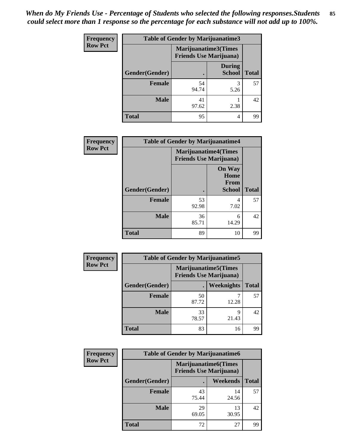| <b>Frequency</b> | <b>Table of Gender by Marijuanatime3</b> |                                                        |                                |              |
|------------------|------------------------------------------|--------------------------------------------------------|--------------------------------|--------------|
| <b>Row Pct</b>   |                                          | Marijuanatime3(Times<br><b>Friends Use Marijuana</b> ) |                                |              |
|                  | Gender(Gender)                           |                                                        | <b>During</b><br><b>School</b> | <b>Total</b> |
|                  | <b>Female</b>                            | 54<br>94.74                                            | 5.26                           | 57           |
|                  | <b>Male</b>                              | 41<br>97.62                                            | 2.38                           | 42           |
|                  | <b>Total</b>                             | 95                                                     | 4                              | 99           |

| Frequency      | <b>Table of Gender by Marijuanatime4</b> |                             |                                                       |              |
|----------------|------------------------------------------|-----------------------------|-------------------------------------------------------|--------------|
| <b>Row Pct</b> |                                          | <b>Marijuanatime4(Times</b> | <b>Friends Use Marijuana</b> )                        |              |
|                | Gender(Gender)                           |                             | <b>On Way</b><br>Home<br><b>From</b><br><b>School</b> | <b>Total</b> |
|                | <b>Female</b>                            | 53<br>92.98                 | 4<br>7.02                                             | 57           |
|                | <b>Male</b>                              | 36<br>85.71                 | 6<br>14.29                                            | 42           |
|                | <b>Total</b>                             | 89                          | 10                                                    | 99           |

| Frequency      |                | <b>Table of Gender by Marijuanatime5</b> |                                                                |              |
|----------------|----------------|------------------------------------------|----------------------------------------------------------------|--------------|
| <b>Row Pct</b> |                |                                          | <b>Marijuanatime5</b> (Times<br><b>Friends Use Marijuana</b> ) |              |
|                | Gender(Gender) |                                          | Weeknights                                                     | <b>Total</b> |
|                | <b>Female</b>  | 50<br>87.72                              | 12.28                                                          | 57           |
|                | <b>Male</b>    | 33<br>78.57                              | 9<br>21.43                                                     | 42           |
|                | <b>Total</b>   | 83                                       | 16                                                             | 99           |

| <b>Frequency</b> | <b>Table of Gender by Marijuanatime6</b> |             |                                                               |              |
|------------------|------------------------------------------|-------------|---------------------------------------------------------------|--------------|
| <b>Row Pct</b>   |                                          |             | <b>Marijuanatime6(Times</b><br><b>Friends Use Marijuana</b> ) |              |
|                  | Gender(Gender)                           |             | Weekends                                                      | <b>Total</b> |
|                  | Female                                   | 43<br>75.44 | 14<br>24.56                                                   | 57           |
|                  | <b>Male</b>                              | 29<br>69.05 | 13<br>30.95                                                   | 42           |
|                  | <b>Total</b>                             | 72          | 27                                                            | 99           |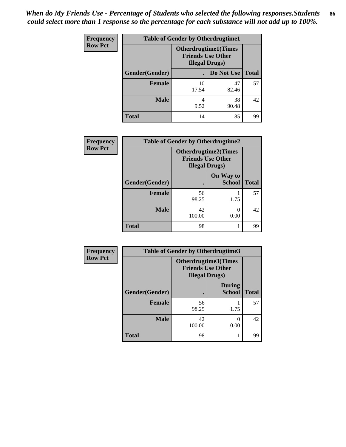| <b>Frequency</b> | <b>Table of Gender by Otherdrugtime1</b> |                        |                                                          |    |  |
|------------------|------------------------------------------|------------------------|----------------------------------------------------------|----|--|
| <b>Row Pct</b>   |                                          | <b>Illegal Drugs</b> ) | <b>Otherdrugtime1</b> (Times<br><b>Friends Use Other</b> |    |  |
|                  | Gender(Gender)                           |                        | Do Not Use   Total                                       |    |  |
|                  | <b>Female</b>                            | 10<br>17.54            | 47<br>82.46                                              | 57 |  |
|                  | Male                                     | 4                      | 38                                                       | 42 |  |
|                  |                                          | 9.52                   | 90.48                                                    |    |  |
|                  | <b>Total</b>                             | 14                     | 85                                                       | 99 |  |

| Frequency      | <b>Table of Gender by Otherdrugtime2</b> |                                                                                   |                            |              |  |
|----------------|------------------------------------------|-----------------------------------------------------------------------------------|----------------------------|--------------|--|
| <b>Row Pct</b> |                                          | <b>Otherdrugtime2(Times</b><br><b>Friends Use Other</b><br><b>Illegal Drugs</b> ) |                            |              |  |
|                | Gender(Gender)                           |                                                                                   | On Way to<br><b>School</b> | <b>Total</b> |  |
|                | <b>Female</b>                            | 56<br>98.25                                                                       | 1.75                       | 57           |  |
|                | <b>Male</b>                              | 42<br>100.00                                                                      | 0.00                       | 42           |  |
|                | <b>Total</b>                             | 98                                                                                |                            | 99           |  |

| Frequency      | <b>Table of Gender by Otherdrugtime3</b> |                                                                            |                                |              |
|----------------|------------------------------------------|----------------------------------------------------------------------------|--------------------------------|--------------|
| <b>Row Pct</b> |                                          | Otherdrugtime3(Times<br><b>Friends Use Other</b><br><b>Illegal Drugs</b> ) |                                |              |
|                | Gender(Gender)                           |                                                                            | <b>During</b><br><b>School</b> | <b>Total</b> |
|                | <b>Female</b>                            | 56<br>98.25                                                                | 1.75                           | 57           |
|                | <b>Male</b>                              | 42<br>100.00                                                               | 0<br>0.00                      | 42           |
|                | <b>Total</b>                             | 98                                                                         |                                | 99           |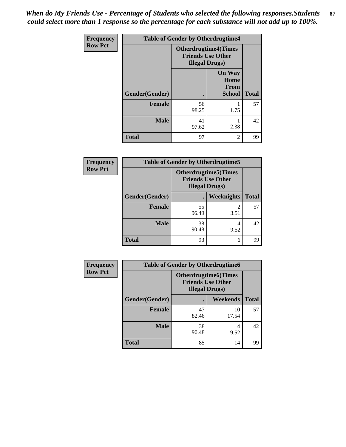*When do My Friends Use - Percentage of Students who selected the following responses.Students could select more than 1 response so the percentage for each substance will not add up to 100%.* **87**

| <b>Frequency</b> | <b>Table of Gender by Otherdrugtime4</b> |                                                    |                                                       |              |
|------------------|------------------------------------------|----------------------------------------------------|-------------------------------------------------------|--------------|
| <b>Row Pct</b>   |                                          | <b>Friends Use Other</b><br><b>Illegal Drugs</b> ) | <b>Otherdrugtime4(Times</b>                           |              |
|                  | Gender(Gender)                           |                                                    | <b>On Way</b><br>Home<br><b>From</b><br><b>School</b> | <b>Total</b> |
|                  | <b>Female</b>                            | 56<br>98.25                                        | 1.75                                                  | 57           |
|                  | <b>Male</b>                              | 41<br>97.62                                        | 2.38                                                  | 42           |
|                  | <b>Total</b>                             | 97                                                 | $\mathfrak{D}$                                        | 99           |

| <b>Frequency</b> | <b>Table of Gender by Otherdrugtime5</b> |                                                                                   |            |              |
|------------------|------------------------------------------|-----------------------------------------------------------------------------------|------------|--------------|
| <b>Row Pct</b>   |                                          | <b>Otherdrugtime5(Times</b><br><b>Friends Use Other</b><br><b>Illegal Drugs</b> ) |            |              |
|                  | Gender(Gender)                           |                                                                                   | Weeknights | <b>Total</b> |
|                  | Female                                   | 55<br>96.49                                                                       | 3.51       | 57           |
|                  | <b>Male</b>                              | 38<br>90.48                                                                       | 4<br>9.52  | 42           |
|                  | <b>Total</b>                             | 93                                                                                | 6          | 99           |

| <b>Frequency</b> | <b>Table of Gender by Otherdrugtime6</b> |                                                                                   |             |              |
|------------------|------------------------------------------|-----------------------------------------------------------------------------------|-------------|--------------|
| <b>Row Pct</b>   |                                          | <b>Otherdrugtime6(Times</b><br><b>Friends Use Other</b><br><b>Illegal Drugs</b> ) |             |              |
|                  | Gender(Gender)                           |                                                                                   | Weekends    | <b>Total</b> |
|                  | <b>Female</b>                            | 47<br>82.46                                                                       | 10<br>17.54 | 57           |
|                  | <b>Male</b>                              | 38<br>90.48                                                                       | 9.52        | 42           |
|                  | <b>Total</b>                             | 85                                                                                | 14          | 99           |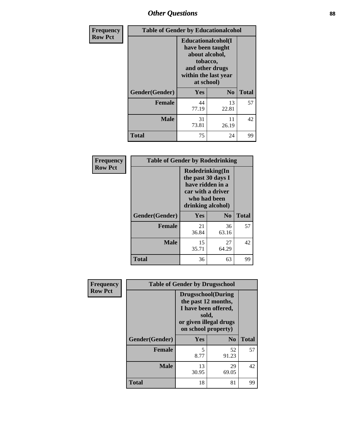## *Other Questions* **88**

| Frequency      | <b>Table of Gender by Educationalcohol</b> |                                                                                                                               |                |              |
|----------------|--------------------------------------------|-------------------------------------------------------------------------------------------------------------------------------|----------------|--------------|
| <b>Row Pct</b> |                                            | Educationalcohol(I<br>have been taught<br>about alcohol,<br>tobacco,<br>and other drugs<br>within the last year<br>at school) |                |              |
|                | Gender(Gender)                             | <b>Yes</b>                                                                                                                    | N <sub>0</sub> | <b>Total</b> |
|                | <b>Female</b>                              | 44<br>77.19                                                                                                                   | 13<br>22.81    | 57           |
|                | <b>Male</b>                                | 31<br>73.81                                                                                                                   | 11<br>26.19    | 42           |
|                | <b>Total</b>                               | 75                                                                                                                            | 24             | 99           |

| Frequency      | <b>Table of Gender by Rodedrinking</b> |             |                                                                                                                     |              |
|----------------|----------------------------------------|-------------|---------------------------------------------------------------------------------------------------------------------|--------------|
| <b>Row Pct</b> |                                        |             | Rodedrinking(In<br>the past 30 days I<br>have ridden in a<br>car with a driver<br>who had been<br>drinking alcohol) |              |
|                | Gender(Gender)                         | Yes         | N <sub>0</sub>                                                                                                      | <b>Total</b> |
|                | <b>Female</b>                          | 21<br>36.84 | 36<br>63.16                                                                                                         | 57           |
|                | <b>Male</b>                            | 15<br>35.71 | 27<br>64.29                                                                                                         | 42           |
|                | <b>Total</b>                           | 36          | 63                                                                                                                  | 99           |

| Frequency      |                | <b>Table of Gender by Drugsschool</b>                                                                                               |                |              |
|----------------|----------------|-------------------------------------------------------------------------------------------------------------------------------------|----------------|--------------|
| <b>Row Pct</b> |                | <b>Drugsschool</b> (During<br>the past 12 months,<br>I have been offered,<br>sold,<br>or given illegal drugs<br>on school property) |                |              |
|                | Gender(Gender) | Yes                                                                                                                                 | N <sub>0</sub> | <b>Total</b> |
|                | <b>Female</b>  | 5<br>8.77                                                                                                                           | 52<br>91.23    | 57           |
|                | <b>Male</b>    | 13<br>30.95                                                                                                                         | 29<br>69.05    | 42           |
|                | <b>Total</b>   | 18                                                                                                                                  | 81             | 99           |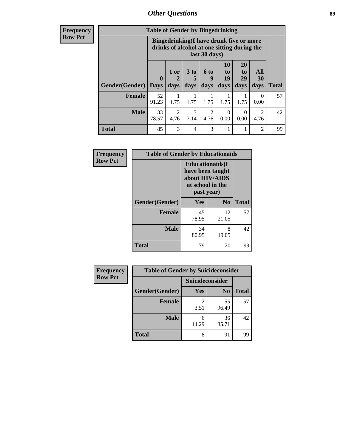## *Other Questions* **89**

**Frequency Row Pct**

| <b>Table of Gender by Bingedrinking</b> |             |                                                                                                         |                   |                   |                        |                               |                          |              |
|-----------------------------------------|-------------|---------------------------------------------------------------------------------------------------------|-------------------|-------------------|------------------------|-------------------------------|--------------------------|--------------|
|                                         |             | Bingedrinking(I have drunk five or more<br>drinks of alcohol at one sitting during the<br>last 30 days) |                   |                   |                        |                               |                          |              |
| <b>Gender</b> (Gender)   Days           | $\mathbf 0$ | 1 or<br>days                                                                                            | 3 to<br>5<br>days | 6 to<br>q<br>days | 10<br>to<br>19<br>days | <b>20</b><br>to<br>29<br>days | All<br><b>30</b><br>days | <b>Total</b> |
|                                         |             |                                                                                                         |                   |                   |                        |                               |                          |              |
| <b>Female</b>                           | 52<br>91.23 | 1.75                                                                                                    | 1.75              | 1.75              | 1.75                   | 1.75                          | $\theta$<br>0.00         | 57           |
| <b>Male</b>                             | 33<br>78.57 | 2<br>4.76                                                                                               | 3<br>7.14         | 2<br>4.76         | 0<br>0.00              | $\Omega$<br>0.00              | $\overline{2}$<br>4.76   | 42           |

| Frequency      | <b>Table of Gender by Educationaids</b> |                                                                                                 |                |              |
|----------------|-----------------------------------------|-------------------------------------------------------------------------------------------------|----------------|--------------|
| <b>Row Pct</b> |                                         | <b>Educationaids</b> (I<br>have been taught<br>about HIV/AIDS<br>at school in the<br>past year) |                |              |
|                | Gender(Gender)                          | Yes                                                                                             | N <sub>0</sub> | <b>Total</b> |
|                | <b>Female</b>                           | 45<br>78.95                                                                                     | 12<br>21.05    | 57           |
|                | <b>Male</b>                             | 34<br>80.95                                                                                     | 8<br>19.05     | 42           |
|                | <b>Total</b>                            | 79                                                                                              | 20             | 99           |

| <b>Frequency</b> | <b>Table of Gender by Suicideconsider</b> |                 |                |              |
|------------------|-------------------------------------------|-----------------|----------------|--------------|
| <b>Row Pct</b>   |                                           | Suicideconsider |                |              |
|                  | Gender(Gender)                            | Yes             | N <sub>0</sub> | <b>Total</b> |
|                  | Female                                    | 3.51            | 55<br>96.49    | 57           |
|                  | <b>Male</b>                               | 6<br>14.29      | 36<br>85.71    | 42           |
|                  | <b>Total</b>                              | 8               | 91             | 99           |